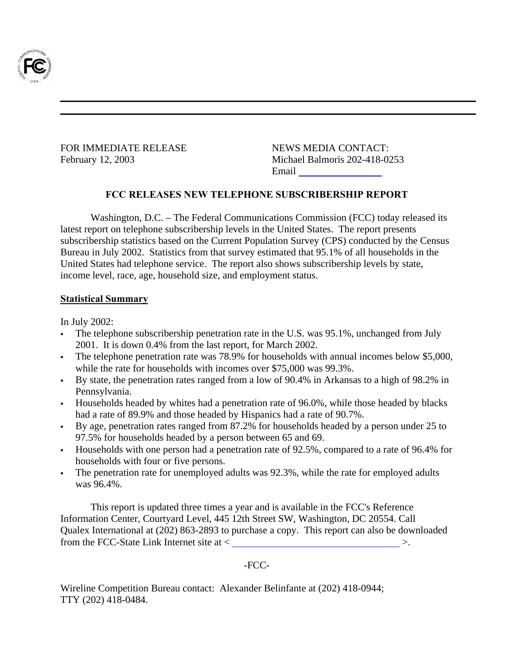

Federal Communications Commission 445 12<sup>th</sup> Street, S.W. Washington, D. C. 20554

This is an unofficial announcement of Commission action. Release of the full text of a Commission order<br>constitutes official action. See MCI v. FCC. 515 F 2d 385 (D.C. Circ 1974).

FOR IMMEDIATE RELEASE NEWS MEDIA CONTACT:

February 12, 2003 Michael Balmoris 202-418-0253 Email mbalmori@fcc.gov

#### **FCC RELEASES NEW TELEPHONE SUBSCRIBERSHIP REPORT**

Washington, D.C. – The Federal Communications Commission (FCC) today released its latest report on telephone subscribership levels in the United States. The report presents subscribership statistics based on the Current Population Survey (CPS) conducted by the Census Bureau in July 2002. Statistics from that survey estimated that 95.1% of all households in the United States had telephone service. The report also shows subscribership levels by state, income level, race, age, household size, and employment status.

#### **Statistical Summary**

In July 2002:

- The telephone subscribership penetration rate in the U.S. was 95.1%, unchanged from July 2001. It is down 0.4% from the last report, for March 2002.
- The telephone penetration rate was 78.9% for households with annual incomes below \$5,000, while the rate for households with incomes over \$75,000 was 99.3%.
- By state, the penetration rates ranged from a low of 90.4% in Arkansas to a high of 98.2% in Pennsylvania.
- Households headed by whites had a penetration rate of 96.0%, while those headed by blacks had a rate of 89.9% and those headed by Hispanics had a rate of 90.7%.
- By age, penetration rates ranged from 87.2% for households headed by a person under 25 to 97.5% for households headed by a person between 65 and 69.
- Households with one person had a penetration rate of 92.5%, compared to a rate of 96.4% for households with four or five persons.
- The penetration rate for unemployed adults was 92.3%, while the rate for employed adults was 96.4%.

This report is updated three times a year and is available in the FCC's Reference Information Center, Courtyard Level, 445 12th Street SW, Washington, DC 20554. Call Qualex International at (202) 863-2893 to purchase a copy. This report can also be downloaded from the FCC-State Link Internet site at < http://www.fcc.gov/wcb/iatd/stats.html >.

#### -FCC-

Wireline Competition Bureau contact: Alexander Belinfante at (202) 418-0944; TTY (202) 418-0484.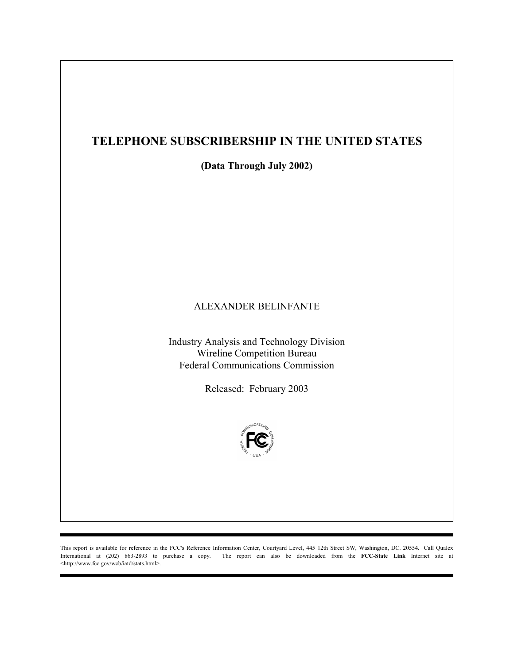## **TELEPHONE SUBSCRIBERSHIP IN THE UNITED STATES**

**(Data Through July 2002)** 

#### ALEXANDER BELINFANTE

Industry Analysis and Technology Division Wireline Competition Bureau Federal Communications Commission

Released: February 2003



This report is available for reference in the FCC's Reference Information Center, Courtyard Level, 445 12th Street SW, Washington, DC. 20554. Call Qualex International at (202) 863-2893 to purchase a copy. The report can also be downloaded from the **FCC-State Link** Internet site at <http://www.fcc.gov/wcb/iatd/stats.html>.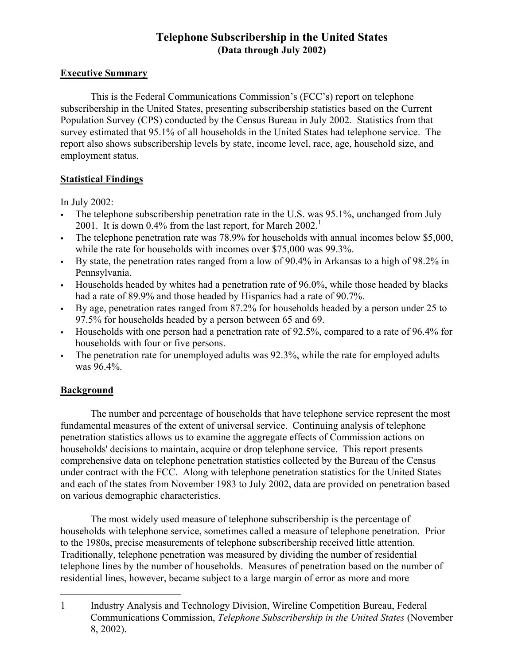### **Telephone Subscribership in the United States (Data through July 2002)**

#### **Executive Summary**

This is the Federal Communications Commission's (FCC's) report on telephone subscribership in the United States, presenting subscribership statistics based on the Current Population Survey (CPS) conducted by the Census Bureau in July 2002. Statistics from that survey estimated that 95.1% of all households in the United States had telephone service. The report also shows subscribership levels by state, income level, race, age, household size, and employment status.

#### **Statistical Findings**

In July 2002:

- The telephone subscribership penetration rate in the U.S. was 95.1%, unchanged from July 2001. It is down 0.4% from the last report, for March  $2002$ <sup>1</sup>
- The telephone penetration rate was 78.9% for households with annual incomes below \$5,000, while the rate for households with incomes over \$75,000 was 99.3%.
- By state, the penetration rates ranged from a low of 90.4% in Arkansas to a high of 98.2% in Pennsylvania.
- Households headed by whites had a penetration rate of 96.0%, while those headed by blacks had a rate of 89.9% and those headed by Hispanics had a rate of 90.7%.
- By age, penetration rates ranged from 87.2% for households headed by a person under 25 to 97.5% for households headed by a person between 65 and 69.
- Households with one person had a penetration rate of 92.5%, compared to a rate of 96.4% for households with four or five persons.
- The penetration rate for unemployed adults was 92.3%, while the rate for employed adults was 96.4%.

## **Background**

 The number and percentage of households that have telephone service represent the most fundamental measures of the extent of universal service. Continuing analysis of telephone penetration statistics allows us to examine the aggregate effects of Commission actions on households' decisions to maintain, acquire or drop telephone service. This report presents comprehensive data on telephone penetration statistics collected by the Bureau of the Census under contract with the FCC. Along with telephone penetration statistics for the United States and each of the states from November 1983 to July 2002, data are provided on penetration based on various demographic characteristics.

 The most widely used measure of telephone subscribership is the percentage of households with telephone service, sometimes called a measure of telephone penetration. Prior to the 1980s, precise measurements of telephone subscribership received little attention. Traditionally, telephone penetration was measured by dividing the number of residential telephone lines by the number of households. Measures of penetration based on the number of residential lines, however, became subject to a large margin of error as more and more

 $\overline{a}$ 1 Industry Analysis and Technology Division, Wireline Competition Bureau, Federal Communications Commission, *Telephone Subscribership in the United States* (November 8, 2002).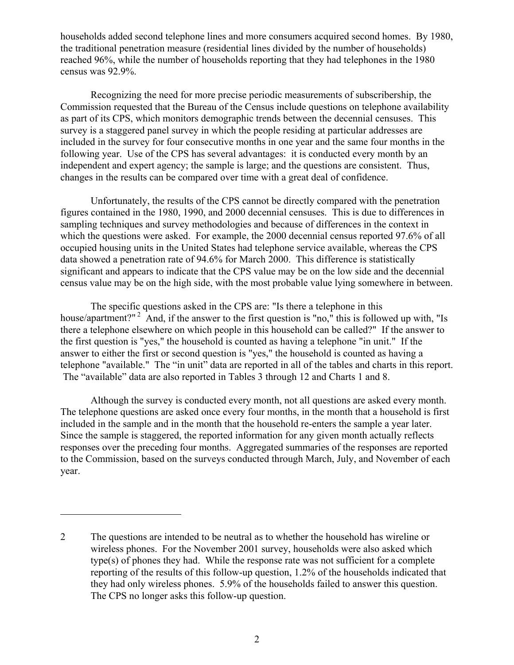households added second telephone lines and more consumers acquired second homes. By 1980, the traditional penetration measure (residential lines divided by the number of households) reached 96%, while the number of households reporting that they had telephones in the 1980 census was 92.9%.

 Recognizing the need for more precise periodic measurements of subscribership, the Commission requested that the Bureau of the Census include questions on telephone availability as part of its CPS, which monitors demographic trends between the decennial censuses. This survey is a staggered panel survey in which the people residing at particular addresses are included in the survey for four consecutive months in one year and the same four months in the following year. Use of the CPS has several advantages: it is conducted every month by an independent and expert agency; the sample is large; and the questions are consistent. Thus, changes in the results can be compared over time with a great deal of confidence.

 Unfortunately, the results of the CPS cannot be directly compared with the penetration figures contained in the 1980, 1990, and 2000 decennial censuses. This is due to differences in sampling techniques and survey methodologies and because of differences in the context in which the questions were asked. For example, the 2000 decennial census reported 97.6% of all occupied housing units in the United States had telephone service available, whereas the CPS data showed a penetration rate of 94.6% for March 2000. This difference is statistically significant and appears to indicate that the CPS value may be on the low side and the decennial census value may be on the high side, with the most probable value lying somewhere in between.

 The specific questions asked in the CPS are: "Is there a telephone in this house/apartment?" <sup>2</sup> And, if the answer to the first question is "no," this is followed up with, "Is there a telephone elsewhere on which people in this household can be called?" If the answer to the first question is "yes," the household is counted as having a telephone "in unit." If the answer to either the first or second question is "yes," the household is counted as having a telephone "available." The "in unit" data are reported in all of the tables and charts in this report. The "available" data are also reported in Tables 3 through 12 and Charts 1 and 8.

 Although the survey is conducted every month, not all questions are asked every month. The telephone questions are asked once every four months, in the month that a household is first included in the sample and in the month that the household re-enters the sample a year later. Since the sample is staggered, the reported information for any given month actually reflects responses over the preceding four months. Aggregated summaries of the responses are reported to the Commission, based on the surveys conducted through March, July, and November of each year.

1

<sup>2</sup> The questions are intended to be neutral as to whether the household has wireline or wireless phones. For the November 2001 survey, households were also asked which type(s) of phones they had. While the response rate was not sufficient for a complete reporting of the results of this follow-up question, 1.2% of the households indicated that they had only wireless phones. 5.9% of the households failed to answer this question. The CPS no longer asks this follow-up question.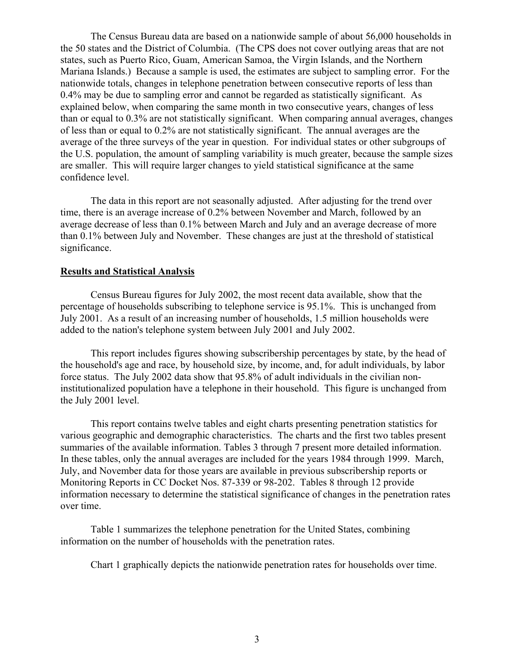The Census Bureau data are based on a nationwide sample of about 56,000 households in the 50 states and the District of Columbia. (The CPS does not cover outlying areas that are not states, such as Puerto Rico, Guam, American Samoa, the Virgin Islands, and the Northern Mariana Islands.) Because a sample is used, the estimates are subject to sampling error. For the nationwide totals, changes in telephone penetration between consecutive reports of less than 0.4% may be due to sampling error and cannot be regarded as statistically significant. As explained below, when comparing the same month in two consecutive years, changes of less than or equal to 0.3% are not statistically significant. When comparing annual averages, changes of less than or equal to 0.2% are not statistically significant. The annual averages are the average of the three surveys of the year in question. For individual states or other subgroups of the U.S. population, the amount of sampling variability is much greater, because the sample sizes are smaller. This will require larger changes to yield statistical significance at the same confidence level.

 The data in this report are not seasonally adjusted. After adjusting for the trend over time, there is an average increase of 0.2% between November and March, followed by an average decrease of less than 0.1% between March and July and an average decrease of more than 0.1% between July and November. These changes are just at the threshold of statistical significance.

#### **Results and Statistical Analysis**

 Census Bureau figures for July 2002, the most recent data available, show that the percentage of households subscribing to telephone service is 95.1%. This is unchanged from July 2001. As a result of an increasing number of households, 1.5 million households were added to the nation's telephone system between July 2001 and July 2002.

 This report includes figures showing subscribership percentages by state, by the head of the household's age and race, by household size, by income, and, for adult individuals, by labor force status. The July 2002 data show that 95.8% of adult individuals in the civilian noninstitutionalized population have a telephone in their household. This figure is unchanged from the July 2001 level.

 This report contains twelve tables and eight charts presenting penetration statistics for various geographic and demographic characteristics. The charts and the first two tables present summaries of the available information. Tables 3 through 7 present more detailed information. In these tables, only the annual averages are included for the years 1984 through 1999. March, July, and November data for those years are available in previous subscribership reports or Monitoring Reports in CC Docket Nos. 87-339 or 98-202. Tables 8 through 12 provide information necessary to determine the statistical significance of changes in the penetration rates over time.

 Table 1 summarizes the telephone penetration for the United States, combining information on the number of households with the penetration rates.

Chart 1 graphically depicts the nationwide penetration rates for households over time.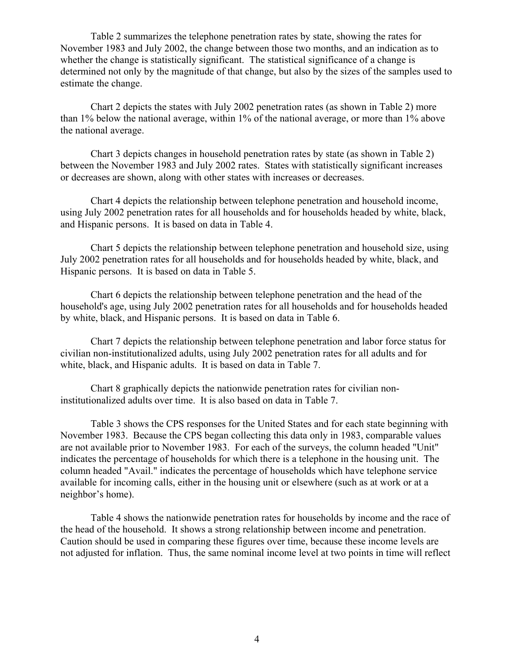Table 2 summarizes the telephone penetration rates by state, showing the rates for November 1983 and July 2002, the change between those two months, and an indication as to whether the change is statistically significant. The statistical significance of a change is determined not only by the magnitude of that change, but also by the sizes of the samples used to estimate the change.

 Chart 2 depicts the states with July 2002 penetration rates (as shown in Table 2) more than 1% below the national average, within 1% of the national average, or more than 1% above the national average.

 Chart 3 depicts changes in household penetration rates by state (as shown in Table 2) between the November 1983 and July 2002 rates. States with statistically significant increases or decreases are shown, along with other states with increases or decreases.

 Chart 4 depicts the relationship between telephone penetration and household income, using July 2002 penetration rates for all households and for households headed by white, black, and Hispanic persons. It is based on data in Table 4.

 Chart 5 depicts the relationship between telephone penetration and household size, using July 2002 penetration rates for all households and for households headed by white, black, and Hispanic persons. It is based on data in Table 5.

 Chart 6 depicts the relationship between telephone penetration and the head of the household's age, using July 2002 penetration rates for all households and for households headed by white, black, and Hispanic persons. It is based on data in Table 6.

 Chart 7 depicts the relationship between telephone penetration and labor force status for civilian non-institutionalized adults, using July 2002 penetration rates for all adults and for white, black, and Hispanic adults. It is based on data in Table 7.

 Chart 8 graphically depicts the nationwide penetration rates for civilian noninstitutionalized adults over time. It is also based on data in Table 7.

 Table 3 shows the CPS responses for the United States and for each state beginning with November 1983. Because the CPS began collecting this data only in 1983, comparable values are not available prior to November 1983. For each of the surveys, the column headed "Unit" indicates the percentage of households for which there is a telephone in the housing unit. The column headed "Avail." indicates the percentage of households which have telephone service available for incoming calls, either in the housing unit or elsewhere (such as at work or at a neighbor's home).

 Table 4 shows the nationwide penetration rates for households by income and the race of the head of the household. It shows a strong relationship between income and penetration. Caution should be used in comparing these figures over time, because these income levels are not adjusted for inflation. Thus, the same nominal income level at two points in time will reflect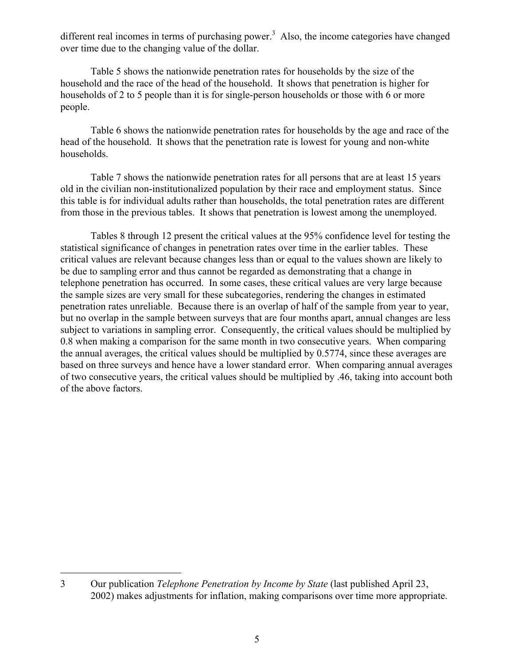different real incomes in terms of purchasing power.<sup>3</sup> Also, the income categories have changed over time due to the changing value of the dollar.

 Table 5 shows the nationwide penetration rates for households by the size of the household and the race of the head of the household. It shows that penetration is higher for households of 2 to 5 people than it is for single-person households or those with 6 or more people.

 Table 6 shows the nationwide penetration rates for households by the age and race of the head of the household. It shows that the penetration rate is lowest for young and non-white households.

 Table 7 shows the nationwide penetration rates for all persons that are at least 15 years old in the civilian non-institutionalized population by their race and employment status. Since this table is for individual adults rather than households, the total penetration rates are different from those in the previous tables. It shows that penetration is lowest among the unemployed.

 Tables 8 through 12 present the critical values at the 95% confidence level for testing the statistical significance of changes in penetration rates over time in the earlier tables. These critical values are relevant because changes less than or equal to the values shown are likely to be due to sampling error and thus cannot be regarded as demonstrating that a change in telephone penetration has occurred. In some cases, these critical values are very large because the sample sizes are very small for these subcategories, rendering the changes in estimated penetration rates unreliable. Because there is an overlap of half of the sample from year to year, but no overlap in the sample between surveys that are four months apart, annual changes are less subject to variations in sampling error. Consequently, the critical values should be multiplied by 0.8 when making a comparison for the same month in two consecutive years. When comparing the annual averages, the critical values should be multiplied by 0.5774, since these averages are based on three surveys and hence have a lower standard error. When comparing annual averages of two consecutive years, the critical values should be multiplied by .46, taking into account both of the above factors.

1

<sup>3</sup> Our publication *Telephone Penetration by Income by State* (last published April 23, 2002) makes adjustments for inflation, making comparisons over time more appropriate.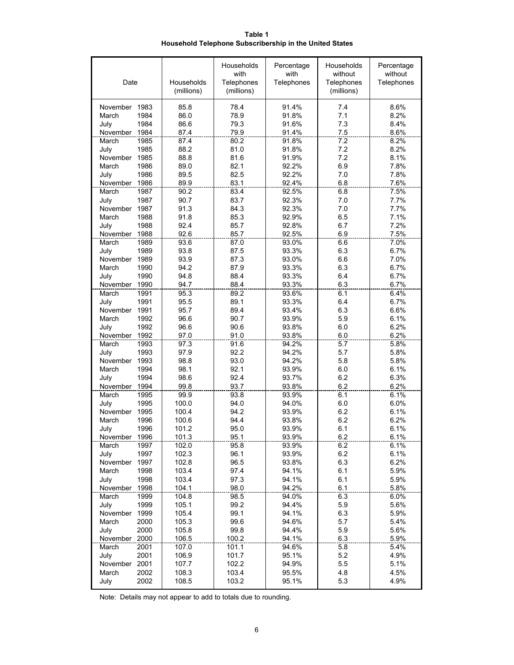**Table 1 Household Telephone Subscribership in the United States**

| Date                              | Households<br>(millions) | Households<br>with<br>Telephones<br>(millions) | Percentage<br>with<br>Telephones | Households<br>without<br>Telephones<br>(millions) | Percentage<br>without<br>Telephones |
|-----------------------------------|--------------------------|------------------------------------------------|----------------------------------|---------------------------------------------------|-------------------------------------|
| November 1983                     | 85.8                     | 78.4                                           | 91.4%                            | 7.4                                               | 8.6%                                |
| 1984<br>March                     | 86.0                     | 78.9                                           | 91.8%                            | 7.1                                               | 8.2%                                |
| 1984<br>July                      | 86.6                     | 79.3                                           | 91.6%                            | 7.3                                               | 8.4%                                |
| 1984<br>November                  | 87.4                     | 79.9                                           | 91.4%                            | 7.5                                               | 8.6%                                |
| 1985<br>March                     | 87.4                     | 80.2<br>81.0                                   | 91.8%                            | $\overline{72}$<br>7.2                            | 8.2%<br>8.2%                        |
| 1985<br>July<br>1985<br>November  | 88.2<br>88.8             | 81.6                                           | 91.8%<br>91.9%                   | 7.2                                               | 8.1%                                |
| 1986<br>March                     | 89.0                     | 82.1                                           | 92.2%                            | 6.9                                               | 7.8%                                |
| 1986<br>July                      | 89.5                     | 82.5                                           | 92.2%                            | 7.0                                               | 7.8%                                |
| November<br>1986                  | 89.9                     | 83.1                                           | 92.4%                            | 6.8                                               | 7.6%                                |
| March<br>1987                     | 90.2                     | 83.4                                           | 92.5%                            | 6.8                                               | 7.5%                                |
| 1987<br>July                      | 90.7                     | 83.7                                           | 92.3%                            | 7.0                                               | 7.7%                                |
| 1987<br>November                  | 91.3                     | 84.3                                           | 92.3%                            | 7.0                                               | 7.7%                                |
| March<br>1988                     | 91.8                     | 85.3                                           | 92.9%                            | 6.5                                               | 7.1%                                |
| 1988<br>July                      | 92.4                     | 85.7                                           | 92.8%                            | 6.7                                               | 7.2%                                |
| 1988<br>November                  | 92.6                     | 85.7                                           | 92.5%                            | 6.9                                               | 7.5%                                |
| March<br>1989                     | 93.6                     | 87.0                                           | 93.0%                            | 6.6                                               | 7 0%                                |
| 1989<br>July<br>1989<br>November  | 93.8<br>93.9             | 87.5<br>87.3                                   | 93.3%                            | 6.3<br>6.6                                        | 6.7%<br>7.0%                        |
| 1990<br>March                     | 94.2                     | 87.9                                           | 93.0%<br>93.3%                   | 6.3                                               | 6.7%                                |
| 1990<br>July                      | 94.8                     | 88.4                                           | 93.3%                            | 6.4                                               | 6.7%                                |
| 1990<br>November                  | 94.7                     | 88.4                                           | 93.3%                            | 6.3                                               | 6.7%                                |
| 1991<br>March                     | 95.3                     | 89.2                                           | 93.6%                            | 6.1                                               | 6.4%                                |
| 1991<br>July                      | 95.5                     | 89.1                                           | 93.3%                            | 6.4                                               | 6.7%                                |
| 1991<br>November                  | 95.7                     | 89.4                                           | 93.4%                            | 6.3                                               | 6.6%                                |
| 1992<br>March                     | 96.6                     | 90.7                                           | 93.9%                            | 5.9                                               | 6.1%                                |
| 1992<br>July                      | 96.6                     | 90.6                                           | 93.8%                            | 6.0                                               | 6.2%                                |
| November 1992                     | 97.0                     | 91.0                                           | 93.8%                            | 6.0                                               | 6.2%                                |
| 1993<br>March                     | 97.3                     | 91.6                                           | 94.2%                            | 5.7                                               | 5.8%                                |
| 1993<br>July                      | 97.9                     | 92.2                                           | 94.2%                            | 5.7                                               | 5.8%                                |
| November<br>1993<br>1994<br>March | 98.8<br>98.1             | 93.0<br>92.1                                   | 94.2%<br>93.9%                   | 5.8<br>6.0                                        | 5.8%<br>6.1%                        |
| 1994<br>July                      | 98.6                     | 92.4                                           | 93.7%                            | 6.2                                               | 6.3%                                |
| November 1994                     | 99.8                     | 93.7                                           | 93.8%                            | 6.2                                               | 6.2%                                |
| 1995<br>March                     | 99.9                     | 93.8                                           | 93.9%                            | 6.1                                               | 6.1%                                |
| 1995<br>July                      | 100.0                    | 94.0                                           | 94.0%                            | 6.0                                               | 6.0%                                |
| 1995<br>November                  | 100.4                    | 94.2                                           | 93.9%                            | 6.2                                               | 6.1%                                |
| March<br>1996                     | 100.6                    | 94.4                                           | 93.8%                            | 6.2                                               | 6.2%                                |
| 1996<br>July                      | 101.2                    | 95.0                                           | 93.9%                            | 6.1                                               | 6.1%                                |
| November<br>1996                  | 101.3                    | 95.1                                           | 93.9%                            | 6.2                                               | 6.1%                                |
| 1997<br>March                     | 102.0                    | 95.8                                           | 93.9%                            | 6.2                                               | 6.1%                                |
| 1997<br>July<br>November          | 102.3                    | 96.1                                           | 93.9%                            | 6.2                                               | 6.1%                                |
| 1997<br>March<br>1998             | 102.8<br>103.4           | 96.5<br>97.4                                   | 93.8%<br>94.1%                   | 6.3<br>6.1                                        | 6.2%<br>5.9%                        |
| July<br>1998                      | 103.4                    | 97.3                                           | 94.1%                            | 6.1                                               | 5.9%                                |
| November<br>1998                  | 104.1                    | 98.0                                           | 94.2%                            | 6.1                                               | 5.8%                                |
| March<br>1999                     | 104.8                    | 98.5                                           | 94.0%                            | 6.3                                               | 6.0%                                |
| 1999<br>July                      | 105.1                    | 99.2                                           | 94.4%                            | 5.9                                               | 5.6%                                |
| November<br>1999                  | 105.4                    | 99.1                                           | 94.1%                            | 6.3                                               | 5.9%                                |
| March<br>2000                     | 105.3                    | 99.6                                           | 94.6%                            | 5.7                                               | 5.4%                                |
| July<br>2000                      | 105.8                    | 99.8                                           | 94.4%                            | 5.9                                               | 5.6%                                |
| November 2000                     | 106.5                    | 100.2                                          | 94.1%                            | 6.3                                               | 5.9%                                |
| March<br>2001                     | 107.0                    | 101.1                                          | 94.6%                            | 5.8                                               | 5.4%                                |
| 2001<br>July                      | 106.9                    | 101.7                                          | 95.1%                            | 5.2                                               | 4.9%                                |
| November<br>2001<br>March<br>2002 | 107.7<br>108.3           | 102.2<br>103.4                                 | 94.9%<br>95.5%                   | 5.5<br>4.8                                        | 5.1%<br>4.5%                        |
| July<br>2002                      | 108.5                    | 103.2                                          | 95.1%                            | 5.3                                               | 4.9%                                |
|                                   |                          |                                                |                                  |                                                   |                                     |

Note: Details may not appear to add to totals due to rounding.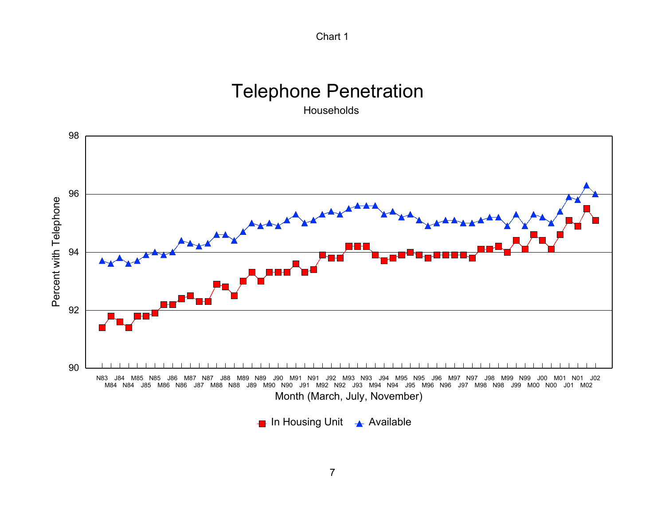

# Telephone Penetration

Households



In Housing Unit  $\rightarrow$  Available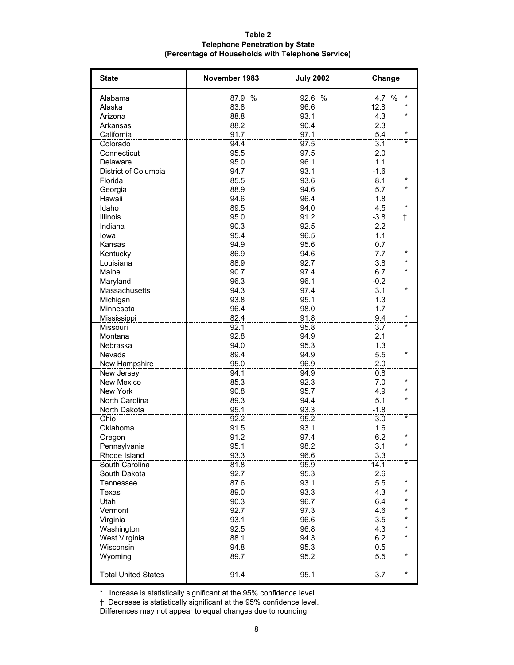| Table 2                                           |
|---------------------------------------------------|
| <b>Telephone Penetration by State</b>             |
| (Percentage of Households with Telephone Service) |

| <b>State</b>               | November 1983 | <b>July 2002</b> | Change               |
|----------------------------|---------------|------------------|----------------------|
| Alabama                    | 87.9 %        | 92.6 %           | 4.7 %                |
| Alaska                     | 83.8          | 96.6             | 12.8                 |
| Arizona                    | 88.8          | 93.1             | 4.3                  |
| Arkansas                   | 88.2          | 90.4             | 2.3                  |
| California                 | 91.7          | 97.1             | $\star$<br>$5.4$     |
| Colorado                   | 94.4          | 97.5             | 3.1                  |
| Connecticut                | 95.5          | 97.5             | 2.0                  |
| Delaware                   | 95.0          | 96.1             | 1.1                  |
| District of Columbia       | 94.7          | 93.1             | $-1.6$               |
| Florida                    | 85.5          | 93.6             | 8.1                  |
| Georgia                    | 88.9          | 94.6             | 5.7                  |
| Hawaii                     | 94.6          | 96.4             | 1.8                  |
| Idaho                      | 89.5          | 94.0             | $\star$<br>4.5       |
| <b>Illinois</b>            | 95.0          | 91.2             | $-3.8$<br>$\ddagger$ |
| Indiana                    | 90.3          | 92.5             | 2.2                  |
| lowa                       | 95.4          | 96.5             | 1.1                  |
| Kansas                     | 94.9          | 95.6             | 0.7                  |
| Kentucky                   | 86.9          | 94.6             | 7.7<br>$\star$       |
| Louisiana                  | 88.9          | 92.7             | 3.8                  |
| Maine                      | 90.7          | 97.4             | 6.7<br>$\star$       |
| Maryland                   | 96.3          | 96.1             | $-0.2$               |
| Massachusetts              | 94.3          | 97.4             | 3.1                  |
| Michigan                   | 93.8          | 95.1             | 1.3                  |
| Minnesota                  | 96.4          | 98.0             | 1.7                  |
| Mississippi                | 82.4          | 91.8             | 9.4                  |
| Missouri                   | 92.1          | 95.8             | 3.7<br>$\star$       |
| Montana                    | 92.8          | 94.9             | 2.1                  |
| Nebraska                   | 94.0          | 95.3             | 1.3                  |
| Nevada                     | 89.4          | 94.9             | 5.5                  |
| New Hampshire              | 95.0          | 96.9             | 2.0                  |
| New Jersey                 | 94.1          | 94.9             | 0.8                  |
| New Mexico                 | 85.3          | 92.3             | 7.0                  |
| <b>New York</b>            | 90.8          | 95.7             | 4.9                  |
| North Carolina             | 89.3          | 94.4             | 5.1                  |
| North Dakota               | 95.1          | 93.3             | $-1.8$               |
| Ohio                       | 92.2          | 95.2             | 3.0<br>$\star$       |
| Oklahoma                   | 91.5          | 93.1             | 1.6                  |
| Oregon                     | 91.2          | 97.4             | $\star$<br>6.2       |
| Pennsylvania               | 95.1          | 98.2             | 3.1                  |
| Rhode Island               | 93.3          | 96.6             | 3.3                  |
| South Carolina             | 81.8          | 95.9             | *<br>14.1            |
| South Dakota               | 92.7          | 95.3             | 2.6                  |
| Tennessee                  | 87.6          | 93.1             | *<br>5.5             |
| Texas                      | 89.0          | 93.3             | $\star$<br>4.3       |
| Utah                       | 90.3          | 96.7             | $^\star$<br>6.4      |
| Vermont                    | 92.7          | 97.3             | *<br>4.6             |
| Virginia                   | 93.1          | 96.6             | 3.5<br>*             |
| Washington                 | 92.5          | 96.8             | $\star$<br>4.3       |
| West Virginia              | 88.1          | 94.3             | *<br>6.2             |
| Wisconsin                  | 94.8          | 95.3             | 0.5                  |
| Wyoming                    | 89.7          | 95.2             | *<br>5.5             |
| <b>Total United States</b> | 91.4          | 95.1             | 3.7<br>*             |
|                            |               |                  |                      |

\* Increase is statistically significant at the 95% confidence level.

† Decrease is statistically significant at the 95% confidence level.

Differences may not appear to equal changes due to rounding.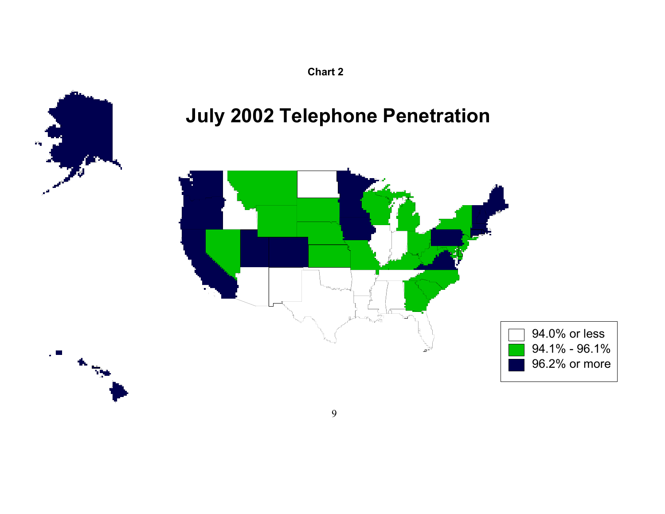

# **July 2002 Telephone Penetration**



9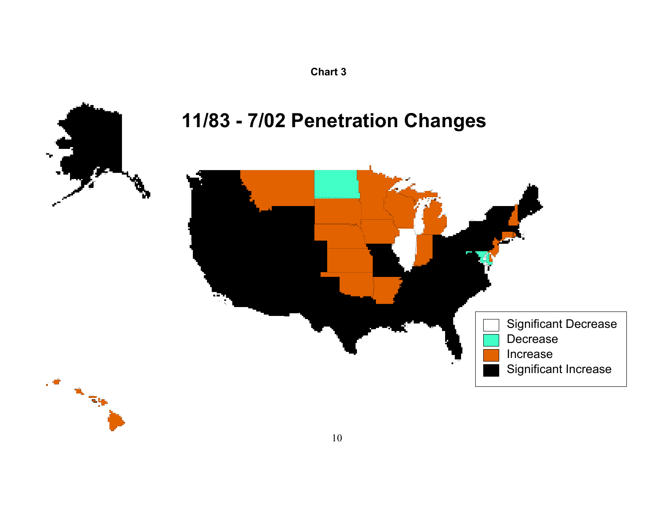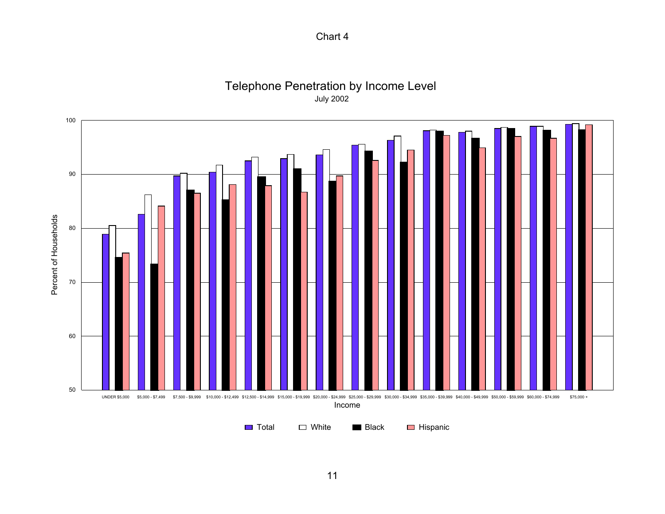

Telephone Penetration by Income Level July 2002

Income

■ Total □ White ■ Black ■ Hispanic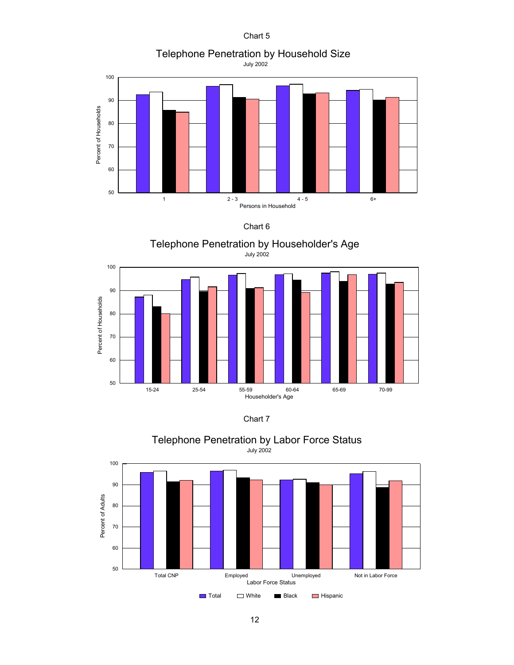Telephone Penetration by Household Size

July 2002













Telephone Penetration by Labor Force Status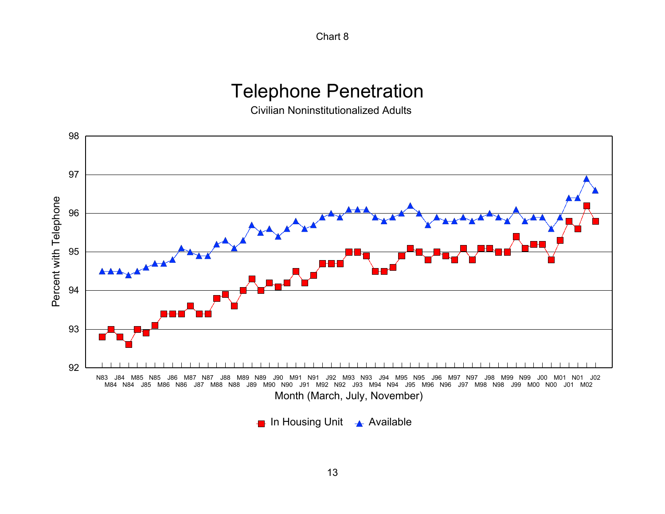## Telephone Penetration

Civilian Noninstitutionalized Adults



 $\blacksquare$  In Housing Unit  $\blacktriangle$  Available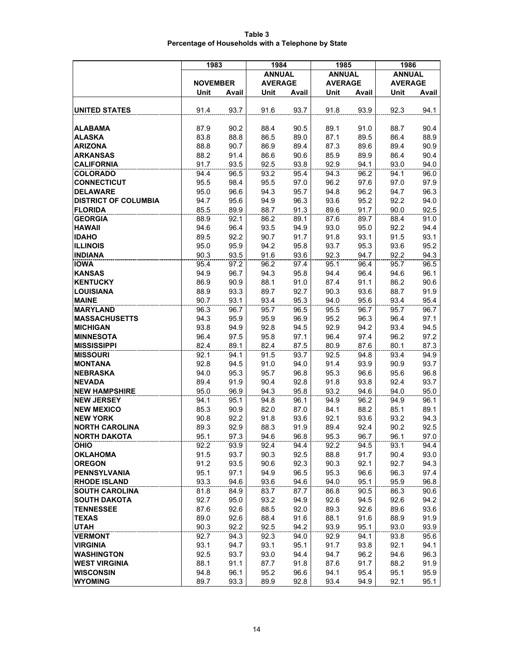| Table 3                                            |
|----------------------------------------------------|
| Percentage of Households with a Telephone by State |

|                             | 1983            |       | 1984           |       | 1985           |       | 1986           |       |
|-----------------------------|-----------------|-------|----------------|-------|----------------|-------|----------------|-------|
|                             |                 |       | <b>ANNUAL</b>  |       | <b>ANNUAL</b>  |       | <b>ANNUAL</b>  |       |
|                             | <b>NOVEMBER</b> |       | <b>AVERAGE</b> |       | <b>AVERAGE</b> |       | <b>AVERAGE</b> |       |
|                             | Unit            | Avail | Unit           | Avail | Unit           | Avail | Unit           | Avail |
|                             |                 |       |                |       |                |       |                |       |
| <b>UNITED STATES</b>        | 91.4            | 93.7  | 91.6           | 93.7  | 91.8           | 93.9  | 92.3           | 94.1  |
| <b>ALABAMA</b>              | 87.9            | 90.2  | 88.4           | 90.5  | 89.1           | 91.0  | 88.7           | 90.4  |
| <b>ALASKA</b>               | 83.8            | 88.8  | 86.5           | 89.0  | 87.1           | 89.5  | 86.4           | 88.9  |
| <b>ARIZONA</b>              | 88.8            | 90.7  | 86.9           | 89.4  | 87.3           | 89.6  | 89.4           | 90.9  |
| <b>ARKANSAS</b>             | 88.2            | 91.4  | 86.6           | 90.6  | 85.9           | 89.9  | 86.4           | 90.4  |
| <b>CALIFORNIA</b>           | 91.7            | 93.5  | 92.5           | 93.8  | 92.9           | 94.1  | 93.0           | 94.0  |
| <b>COLORADO</b>             | 94.4            | 96.5  | 93.2           | 95.4  | 94.3           | 96.2  | 94.1           | 96.0  |
| <b>CONNECTICUT</b>          | 95.5            | 98.4  | 95.5           | 97.0  | 96.2           | 97.6  | 97.0           | 97.9  |
| <b>DELAWARE</b>             | 95.0            | 96.6  | 94.3           | 95.7  | 94.8           | 96.2  | 94.7           | 96.3  |
| <b>DISTRICT OF COLUMBIA</b> | 94.7            | 95.6  | 94.9           | 96.3  | 93.6           | 95.2  | 92.2           | 94.0  |
| <b>FLORIDA</b>              | 85.5            | 89.9  | 88.7           | 91.3  | 89.6           | 91.7  | 90.0           | 92.5  |
| <b>GEORGIA</b>              | 88.9            | 92.1  | 86.2           | 89.1  | 87.6           | 89.7  | 88.4           | 91.0  |
| <b>HAWAII</b>               | 94.6            | 96.4  | 93.5           | 94.9  | 93.0           | 95.0  | 92.2           | 94.4  |
| <b>IDAHO</b>                | 89.5            | 92.2  | 90.7           | 91.7  | 91.8           | 93.1  | 91.5           | 93.1  |
| <b>ILLINOIS</b>             | 95.0            | 95.9  | 94.2           | 95.8  | 93.7           | 95.3  | 93.6           | 95.2  |
| <b>INDIANA</b>              | 90.3            | 93.5  | 91.6           | 93.6  | 92.3           | 94.7  | 92.2           | 94.3  |
| <b>IOWA</b>                 | 95.4            | 97.2  | 96.2           | 97.4  | 95.1           | 96.4  | 95.7           | 96.5  |
| <b>KANSAS</b>               | 94.9            | 96.7  | 94.3           | 95.8  | 94.4           | 96.4  | 94.6           | 96.1  |
| <b>KENTUCKY</b>             | 86.9            | 90.9  | 88.1           | 91.0  | 87.4           | 91.1  | 86.2           | 90.6  |
| <b>LOUISIANA</b>            | 88.9            | 93.3  | 89.7           | 92.7  | 90.3           | 93.6  | 88.7           | 91.9  |
| <b>MAINE</b>                | 90.7            | 93.1  | 93.4           | 95.3  | 94.0           | 95.6  | 93.4           | 95.4  |
| <b>MARYLAND</b>             | 96.3            | 96.7  | 95.7           | 96.5  | 95.5           | 96.7  | 95.7           | 96.7  |
| <b>MASSACHUSETTS</b>        | 94.3            | 95.9  | 95.9           | 96.9  | 95.2           | 96.3  | 96.4           | 97.1  |
| <b>MICHIGAN</b>             | 93.8            | 94.9  | 92.8           | 94.5  | 92.9           | 94.2  | 93.4           | 94.5  |
| <b>MINNESOTA</b>            | 96.4            | 97.5  | 95.8           | 97.1  | 96.4           | 97.4  | 96.2           | 97.2  |
| <b>MISSISSIPPI</b>          | 82.4            | 89.1  | 82.4           | 87.5  | 80.9           | 87.6  | 80.1           | 87.3  |
| <b>MISSOURI</b>             | 92.1            | 94.1  | 91.5           | 93.7  | 92.5           | 94.8  | 93.4           | 94.9  |
| <b>MONTANA</b>              | 92.8            | 94.5  | 91.0           | 94.0  | 91.4           | 93.9  | 90.9           | 93.7  |
| <b>NEBRASKA</b>             | 94.0            | 95.3  | 95.7           | 96.8  | 95.3           | 96.6  | 95.6           | 96.8  |
| <b>NEVADA</b>               | 89.4            | 91.9  | 90.4           | 92.8  | 91.8           | 93.8  | 92.4           | 93.7  |
| <b>NEW HAMPSHIRE</b>        | 95.0            | 96.9  | 94.3           | 95.8  | 93.2           | 94.6  | 94.0           | 95.0  |
| <b>NEW JERSEY</b>           | 94.1            | 95.1  | 94.8           | 96.1  | 94.9           | 96.2  | 94.9           | 96.1  |
| <b>NEW MEXICO</b>           | 85.3            | 90.9  | 82.0           | 87.0  | 84.1           | 88.2  | 85.1           | 89.1  |
| <b>NEW YORK</b>             | 90.8            | 92.2  | 91.8           | 93.6  | 92.1           | 93.6  | 93.2           | 94.3  |
| <b>NORTH CAROLINA</b>       | 89.3            | 92.9  | 88.3           | 91.9  | 89.4           | 92.4  | 90.2           | 92.5  |
| <b>NORTH DAKOTA</b>         | 95.1            | 97.3  | 94.6           | 96.8  | 95.3           | 96.7  | 96.1           | 97.0  |
| <b>OHIO</b>                 | 92.2            | 93.9  | 92.4           | 94.4  | 92.2           | 94.5  | 93.1           | 94.4  |
| <b>OKLAHOMA</b>             | 91.5            | 93.7  | 90.3           | 92.5  | 88.8           | 91.7  | 90.4           | 93.0  |
| <b>OREGON</b>               | 91.2            | 93.5  | 90.6           | 92.3  | 90.3           | 92.1  | 92.7           | 94.3  |
| <b>PENNSYLVANIA</b>         | 95.1            | 97.1  | 94.9           | 96.5  | 95.3           | 96.6  | 96.3           | 97.4  |
| <b>RHODE ISLAND</b>         | 93.3            | 94.6  | 93.6           | 94.6  | 94.0           | 95.1  | 95.9           | 96.8  |
| <b>SOUTH CAROLINA</b>       | 81.8            | 84.9  | 83.7           | 87.7  | 86.8           | 90.5  | 86.3           | 90.6  |
| <b>SOUTH DAKOTA</b>         | 92.7            | 95.0  | 93.2           | 94.9  | 92.6           | 94.5  | 92.6           | 94.2  |
| <b>TENNESSEE</b>            | 87.6            | 92.6  | 88.5           | 92.0  | 89.3           | 92.6  | 89.6           | 93.6  |
| <b>TEXAS</b>                | 89.0            | 92.6  | 88.4           | 91.6  | 88.1           | 91.6  | 88.9           | 91.9  |
| <b>UTAH</b>                 | 90.3            | 92.2  | 92.5           | 94.2  | 93.9           | 95.1  | 93.0           | 93.9  |
| <b>VERMONT</b>              | 92.7            | 94.3  | 92.3           | 94.0  | 92.9           | 94.1  | 93.8           | 95.6  |
| <b>VIRGINIA</b>             | 93.1            | 94.7  | 93.1           | 95.1  | 91.7           | 93.8  | 92.1           | 94.1  |
| <b>WASHINGTON</b>           | 92.5            | 93.7  | 93.0           | 94.4  | 94.7           | 96.2  | 94.6           | 96.3  |
| <b>WEST VIRGINIA</b>        | 88.1            | 91.1  | 87.7           | 91.8  | 87.6           | 91.7  | 88.2           | 91.9  |
| <b>WISCONSIN</b>            | 94.8            | 96.1  | 95.2           | 96.6  | 94.1           | 95.4  | 95.1           | 95.9  |
| <b>WYOMING</b>              | 89.7            | 93.3  | 89.9           | 92.8  | 93.4           | 94.9  | 92.1           | 95.1  |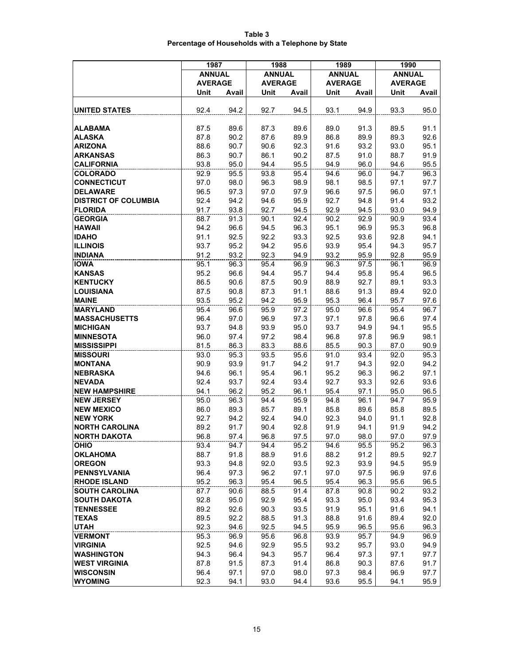| Table 3                                            |  |
|----------------------------------------------------|--|
| Percentage of Households with a Telephone by State |  |

|                             | 1987           |       | 1988           |       | 1989           |       | 1990           |       |
|-----------------------------|----------------|-------|----------------|-------|----------------|-------|----------------|-------|
|                             | <b>ANNUAL</b>  |       | <b>ANNUAL</b>  |       | <b>ANNUAL</b>  |       | <b>ANNUAL</b>  |       |
|                             | <b>AVERAGE</b> |       | <b>AVERAGE</b> |       | <b>AVERAGE</b> |       | <b>AVERAGE</b> |       |
|                             | Unit           | Avail | Unit           | Avail | Unit           | Avail | Unit           | Avail |
|                             |                |       |                |       |                |       |                |       |
| <b>UNITED STATES</b>        | 92.4           | 94.2  | 92.7           | 94.5  | 93.1           | 94.9  | 93.3           | 95.0  |
|                             |                |       |                |       |                |       |                |       |
| <b>ALABAMA</b>              | 87.5           | 89.6  | 87.3           | 89.6  | 89.0           | 91.3  | 89.5           | 91.1  |
| <b>ALASKA</b>               | 87.8           | 90.2  | 87.6           | 89.9  | 86.8           | 89.9  | 89.3           | 92.6  |
| <b>ARIZONA</b>              | 88.6           | 90.7  | 90.6           | 92.3  | 91.6           | 93.2  | 93.0           | 95.1  |
| <b>ARKANSAS</b>             | 86.3           | 90.7  | 86.1           | 90.2  | 87.5           | 91.0  | 88.7           | 91.9  |
| <b>CALIFORNIA</b>           | 93.8           | 95.0  | 94.4           | 95.5  | 94.9           | 96.0  | 94.6           | 95.5  |
| <b>COLORADO</b>             | 92.9           | 95.5  | 93.8           | 95.4  | 94.6           | 96.0  | 94.7           | 96.3  |
| <b>CONNECTICUT</b>          | 97.0           | 98.0  | 96.3           | 98.9  | 98.1           | 98.5  | 97.1           | 97.7  |
| <b>DELAWARE</b>             | 96.5           | 97.3  | 97.0           | 97.9  | 96.6           | 97.5  | 96.0           | 97.1  |
| <b>DISTRICT OF COLUMBIA</b> | 92.4           | 94.2  | 94.6           | 95.9  | 92.7           | 94.8  | 91.4           | 93.2  |
| <b>FLORIDA</b>              | 91.7           | 93.8  | 92.7           | 94.5  | 92.9           | 94.5  | 93.0           | 94.9  |
| <b>GEORGIA</b>              | 88.7           | 91.3  | 90.1           | 92.4  | 90.2           | 92.9  | 90.9           | 93.4  |
| <b>HAWAII</b>               | 94.2           | 96.6  | 94.5           | 96.3  | 95.1           | 96.9  | 95.3           | 96.8  |
| <b>IDAHO</b>                | 91.1           | 92.5  | 92.2           | 93.3  | 92.5           | 93.6  | 92.8           | 94.1  |
| <b>ILLINOIS</b>             | 93.7           | 95.2  | 94.2           | 95.6  | 93.9           | 95.4  | 94.3           | 95.7  |
| <b>INDIANA</b>              | 91.2           | 93.2  | 92.3           | 94.9  | 93.2           | 95.9  | 92.8           | 95.9  |
| <b>IOWA</b>                 | 95.1           | 96.3  | 95.4           | 96.9  | 96.3           | 97.5  | 96.1           | 96.9  |
| <b>KANSAS</b>               | 95.2           | 96.6  | 94.4           | 95.7  | 94.4           | 95.8  | 95.4           | 96.5  |
| <b>KENTUCKY</b>             | 86.5           | 90.6  | 87.5           | 90.9  | 88.9           | 92.7  | 89.1           | 93.3  |
| <b>LOUISIANA</b>            |                | 90.8  |                | 91.1  | 88.6           | 91.3  | 89.4           | 92.0  |
| <b>MAINE</b>                | 87.5           | 95.2  | 87.3           |       |                |       |                |       |
|                             | 93.5           |       | 94.2           | 95.9  | 95.3           | 96.4  | 95.7           | 97.6  |
| <b>MARYLAND</b>             | 95.4           | 96.6  | 95.9           | 97.2  | 95.0           | 96.6  | 95.4           | 96.7  |
| <b>MASSACHUSETTS</b>        | 96.4           | 97.0  | 96.9           | 97.3  | 97.1           | 97.8  | 96.6           | 97.4  |
| <b>MICHIGAN</b>             | 93.7           | 94.8  | 93.9           | 95.0  | 93.7           | 94.9  | 94.1           | 95.5  |
| <b>MINNESOTA</b>            | 96.0           | 97.4  | 97.2           | 98.4  | 96.8           | 97.8  | 96.9           | 98.1  |
| <b>MISSISSIPPI</b>          | 81.5           | 86.3  | 83.3           | 88.6  | 85.5           | 90.3  | 87.0           | 90.9  |
| <b>MISSOURI</b>             | 93.0           | 95.3  | 93.5           | 95.6  | 91.0           | 93.4  | 92.0           | 95.3  |
| <b>MONTANA</b>              | 90.9           | 93.9  | 91.7           | 94.2  | 91.7           | 94.3  | 92.0           | 94.2  |
| <b>NEBRASKA</b>             | 94.6           | 96.1  | 95.4           | 96.1  | 95.2           | 96.3  | 96.2           | 97.1  |
| <b>NEVADA</b>               | 92.4           | 93.7  | 92.4           | 93.4  | 92.7           | 93.3  | 92.6           | 93.6  |
| <b>NEW HAMPSHIRE</b>        | 94.1           | 96.2  | 95.2           | 96.1  | 95.4           | 97.1  | 95.0           | 96.5  |
| <b>NEW JERSEY</b>           | 95.0           | 96.3  | 94.4           | 95.9  | 94.8           | 96.1  | 94.7           | 95.9  |
| <b>NEW MEXICO</b>           | 86.0           | 89.3  | 85.7           | 89.1  | 85.8           | 89.6  | 85.8           | 89.5  |
| <b>NEW YORK</b>             | 92.7           | 94.2  | 92.4           | 94.0  | 92.3           | 94.0  | 91.1           | 92.8  |
| <b>NORTH CAROLINA</b>       | 89.2           | 91.7  | 90.4           | 92.8  | 91.9           | 94.1  | 91.9           | 94.2  |
| <b>NORTH DAKOTA</b>         | 96.8           | 97.4  | 96.8           | 97.5  | 97.0           | 98.0  | 97.0           | 97.9  |
| <b>OHIO</b>                 | 93.4           | 94.7  | 94.4           | 95.2  | 94.6           | 95.5  | 95.2           | 96.3  |
| <b>OKLAHOMA</b>             | 88.7           | 91.8  | 88.9           | 91.6  | 88.2           | 91.2  | 89.5           | 92.7  |
| <b>OREGON</b>               | 93.3           | 94.8  | 92.0           | 93.5  | 92.3           | 93.9  | 94.5           | 95.9  |
| <b>PENNSYLVANIA</b>         | 96.4           | 97.3  | 96.2           | 97.1  | 97.0           | 97.5  | 96.9           | 97.6  |
| <b>RHODE ISLAND</b>         | 95.2           | 96.3  | 95.4           | 96.5  | 95.4           | 96.3  | 95.6           | 96.5  |
| <b>SOUTH CAROLINA</b>       | 87.7           | 90.6  | 88.5           | 91.4  | 87.8           | 90.8  | 90.2           | 93.2  |
| <b>SOUTH DAKOTA</b>         | 92.8           | 95.0  | 92.9           | 95.4  | 93.3           | 95.0  | 93.4           | 95.3  |
| <b>TENNESSEE</b>            | 89.2           | 92.6  | 90.3           | 93.5  | 91.9           | 95.1  | 91.6           | 94.1  |
| <b>TEXAS</b>                | 89.5           | 92.2  | 88.5           | 91.3  | 88.8           | 91.6  | 89.4           | 92.0  |
| <b>UTAH</b>                 | 92.3           | 94.6  | 92.5           | 94.5  | 95.9           | 96.5  | 95.6           | 96.3  |
| <b>VERMONT</b>              | 95.3           | 96.9  | 95.6           | 96.8  | 93.9           | 95.7  | 94.9           | 96.9  |
| <b>VIRGINIA</b>             | 92.5           | 94.6  | 92.9           | 95.5  | 93.2           | 95.7  | 93.0           | 94.9  |
| <b>WASHINGTON</b>           | 94.3           | 96.4  | 94.3           | 95.7  | 96.4           | 97.3  | 97.1           | 97.7  |
| <b>WEST VIRGINIA</b>        | 87.8           | 91.5  | 87.3           | 91.4  | 86.8           | 90.3  | 87.6           | 91.7  |
| <b>WISCONSIN</b>            | 96.4           | 97.1  | 97.0           | 98.0  | 97.3           | 98.4  | 96.9           | 97.7  |
| <b>WYOMING</b>              | 92.3           | 94.1  | 93.0           | 94.4  | 93.6           | 95.5  | 94.1           | 95.9  |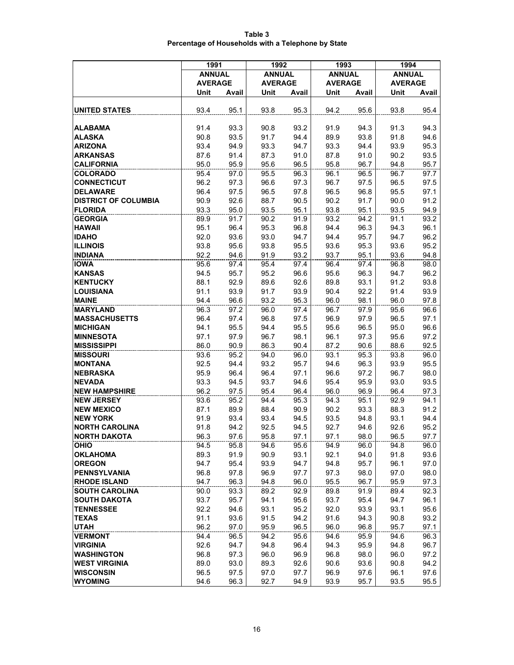| Table 3                                            |  |
|----------------------------------------------------|--|
| Percentage of Households with a Telephone by State |  |

|                                              | 1991           |              | 1992           |              | 1993           |              | 1994           |              |
|----------------------------------------------|----------------|--------------|----------------|--------------|----------------|--------------|----------------|--------------|
|                                              | <b>ANNUAL</b>  |              | <b>ANNUAL</b>  |              | <b>ANNUAL</b>  |              | <b>ANNUAL</b>  |              |
|                                              | <b>AVERAGE</b> |              | <b>AVERAGE</b> |              | <b>AVERAGE</b> |              | <b>AVERAGE</b> |              |
|                                              | Unit           | Avail        | Unit           | Avail        | Unit           | Avail        | Unit           | Avail        |
|                                              |                |              |                |              |                |              |                |              |
| <b>UNITED STATES</b>                         | 93.4           | 95.1         | 93.8           | 95.3         | 94.2           | 95.6         | 93.8           | 95.4         |
|                                              |                |              |                |              |                |              |                |              |
| <b>ALABAMA</b>                               | 91.4           | 93.3         | 90.8           | 93.2         | 91.9           | 94.3         | 91.3           | 94.3         |
| <b>ALASKA</b>                                | 90.8           | 93.5         | 91.7           | 94.4         | 89.9           | 93.8         | 91.8           | 94.6         |
| <b>ARIZONA</b>                               | 93.4           | 94.9         | 93.3           | 94.7         | 93.3           | 94.4         | 93.9           | 95.3         |
| <b>ARKANSAS</b>                              | 87.6           | 91.4         | 87.3           | 91.0         | 87.8           | 91.0         | 90.2           | 93.5         |
| <b>CALIFORNIA</b>                            | 95.0           | 95.9         | 95.6           | 96.5         | 95.8           | 96.7         | 94.8           | 95.7         |
| <b>COLORADO</b>                              | 95.4           | 97.0         | 95.5           | 96.3         | 96.1           | 96.5         | 96.7           | 97.7         |
| <b>CONNECTICUT</b>                           | 96.2           | 97.3         | 96.6           | 97.3         | 96.7           | 97.5         | 96.5           | 97.5         |
| <b>DELAWARE</b>                              | 96.4           | 97.5         | 96.5           | 97.8         | 96.5           | 96.8         | 95.5           | 97.1         |
| <b>DISTRICT OF COLUMBIA</b>                  | 90.9           | 92.6         | 88.7           | 90.5         | 90.2           | 91.7         | 90.0           | 91.2         |
| <b>FLORIDA</b>                               | 93.3           | 95.0         | 93.5           | 95.1         | 93.8           | 95.1         | 93.5           | 94.9         |
| <b>GEORGIA</b>                               | 89.9           | 91.7         | 90.2           | 91.9         | 93.2           | 94.2         | 91.1           | 93.2         |
| <b>HAWAII</b>                                | 95.1           | 96.4         | 95.3           | 96.8         | 94.4           | 96.3         | 94.3           | 96.1         |
| <b>IDAHO</b>                                 | 92.0           | 93.6         | 93.0           | 94.7         | 94.4           | 95.7         | 94.7           | 96.2         |
| <b>ILLINOIS</b>                              | 93.8           | 95.6         | 93.8           | 95.5         | 93.6           | 95.3         | 93.6           | 95.2         |
| <b>INDIANA</b>                               | 92.2           | 94.6         | 91.9           | 93.2         | 93.7           | 95.1         | 93.6           | 94.8         |
| <b>IOWA</b>                                  | 95.6           | 97.4         | 95.4           | 97.4         | 96.4           | 97.4         | 96.8           | 98.0         |
| <b>KANSAS</b>                                | 94.5           | 95.7         | 95.2           | 96.6         | 95.6           | 96.3         | 94.7           | 96.2         |
| <b>KENTUCKY</b>                              | 88.1           | 92.9         | 89.6           | 92.6         | 89.8           | 93.1         | 91.2           | 93.8         |
| <b>LOUISIANA</b>                             | 91.1           | 93.9         | 91.7           | 93.9         | 90.4           | 92.2         | 91.4           | 93.9         |
| <b>MAINE</b>                                 | 94.4           | 96.6         | 93.2           | 95.3         | 96.0           | 98.1         | 96.0           | 97.8         |
| <b>MARYLAND</b>                              | 96.3           | 97.2         | 96.0           | 97.4         | 96.7           | 97.9         | 95.6           | 96.6         |
| <b>MASSACHUSETTS</b>                         | 96.4           | 97.4         | 96.8           | 97.5         | 96.9           | 97.9         | 96.5           | 97.1         |
| <b>MICHIGAN</b>                              | 94.1           | 95.5         | 94.4           | 95.5         | 95.6           | 96.5         | 95.0           | 96.6         |
| <b>MINNESOTA</b>                             | 97.1           | 97.9         | 96.7           | 98.1         | 96.1           | 97.3         | 95.6           | 97.2         |
| <b>MISSISSIPPI</b>                           | 86.0           | 90.9         | 86.3           | 90.4         | 87.2           | 90.6         | 88.6           | 92.5         |
| <b>MISSOURI</b>                              | 93.6           | 95.2         | 94.0           | 96.0         | 93.1           | 95.3         | 93.8           | 96.0         |
| <b>MONTANA</b>                               | 92.5           | 94.4         | 93.2           | 95.7         | 94.6           | 96.3         | 93.9           | 95.5         |
| <b>NEBRASKA</b>                              | 95.9           | 96.4         | 96.4           | 97.1         | 96.6           | 97.2         | 96.7           | 98.0         |
| <b>NEVADA</b>                                | 93.3           | 94.5         | 93.7           | 94.6         | 95.4           | 95.9         | 93.0           | 93.5         |
| <b>NEW HAMPSHIRE</b>                         | 96.2           | 97.5         | 95.4           | 96.4         | 96.0           | 96.9         | 96.4           | 97.3         |
| <b>NEW JERSEY</b>                            | 93.6           | 95.2         | 94.4           | 95.3         | 94.3           | 95.1         | 92.9           | 94.1         |
| <b>NEW MEXICO</b>                            | 87.1           | 89.9         | 88.4           | 90.9         | 90.2           | 93.3         | 88.3           | 91.2         |
| <b>NEW YORK</b>                              | 91.9           | 93.4         | 93.4           | 94.5         | 93.5           | 94.8         | 93.1           | 94.4         |
| <b>NORTH CAROLINA</b>                        | 91.8           | 94.2         | 92.5           | 94.5         | 92.7           | 94.6         | 92.6           | 95.2         |
| <b>NORTH DAKOTA</b>                          | 96.3           | 97.6         | 95.8           | 97.1         | 97.1           | 98.0         | 96.5           | 97.7         |
| <b>OHIO</b>                                  | 94.5           | 95.8         | 94.6           | 95.6         | 94.9           | 96.0         | 94.8           | 96.0         |
| <b>OKLAHOMA</b>                              | 89.3           | 91.9         | 90.9           | 93.1         | 92.1           | 94.0         | 91.8           | 93.6         |
| <b>OREGON</b>                                | 94.7           | 95.4         | 93.9           | 94.7         | 94.8           | 95.7         | 96.1           | 97.0         |
| <b>PENNSYLVANIA</b>                          | 96.8           | 97.8<br>96.3 | 96.9           | 97.7         | 97.3           | 98.0         | 97.0           | 98.0         |
| <b>RHODE ISLAND</b><br><b>SOUTH CAROLINA</b> | 94.7           | 93.3         | 94.8<br>89.2   | 96.0<br>92.9 | 95.5<br>89.8   | 96.7<br>91.9 | 95.9<br>89.4   | 97.3<br>92.3 |
| <b>SOUTH DAKOTA</b>                          | 90.0<br>93.7   | 95.7         | 94.1           | 95.6         | 93.7           | 95.4         | 94.7           | 96.1         |
| <b>TENNESSEE</b>                             | 92.2           | 94.6         | 93.1           | 95.2         | 92.0           | 93.9         | 93.1           | 95.6         |
| <b>TEXAS</b>                                 | 91.1           | 93.6         | 91.5           | 94.2         | 91.6           | 94.3         | 90.8           | 93.2         |
| <b>UTAH</b>                                  | 96.2           | 97.0         | 95.9           | 96.5         | 96.0           | 96.8         | 95.7           | 97.1         |
| <b>VERMONT</b>                               | 94.4           | 96.5         | 94.2           | 95.6         | 94.6           | 95.9         | 94.6           | 96.3         |
| <b>VIRGINIA</b>                              | 92.6           | 94.7         | 94.8           | 96.4         | 94.3           | 95.9         | 94.8           | 96.7         |
| <b>WASHINGTON</b>                            | 96.8           | 97.3         | 96.0           | 96.9         | 96.8           | 98.0         | 96.0           | 97.2         |
| <b>WEST VIRGINIA</b>                         | 89.0           | 93.0         | 89.3           | 92.6         | 90.6           | 93.6         | 90.8           | 94.2         |
| <b>WISCONSIN</b>                             | 96.5           | 97.5         | 97.0           | 97.7         | 96.9           | 97.6         | 96.1           | 97.6         |
| <b>WYOMING</b>                               | 94.6           | 96.3         | 92.7           | 94.9         | 93.9           | 95.7         | 93.5           | 95.5         |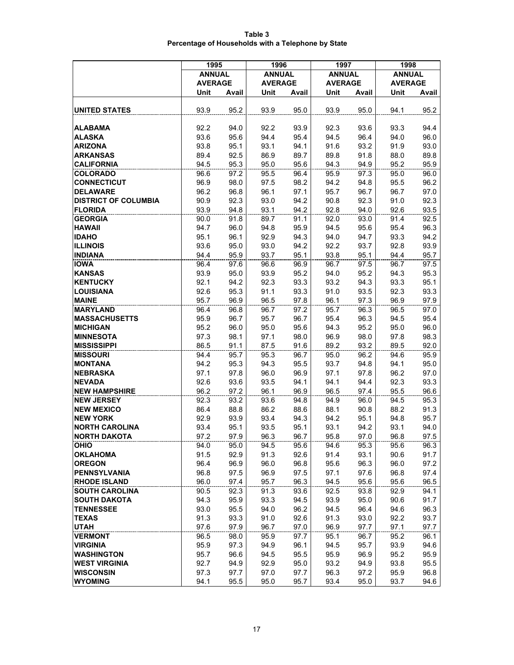| Table 3                                            |  |
|----------------------------------------------------|--|
| Percentage of Households with a Telephone by State |  |

|                             | 1995           |       | 1996           |       | 1997           |       | 1998           |       |
|-----------------------------|----------------|-------|----------------|-------|----------------|-------|----------------|-------|
|                             | <b>ANNUAL</b>  |       | <b>ANNUAL</b>  |       | <b>ANNUAL</b>  |       | <b>ANNUAL</b>  |       |
|                             | <b>AVERAGE</b> |       | <b>AVERAGE</b> |       | <b>AVERAGE</b> |       | <b>AVERAGE</b> |       |
|                             | Unit           | Avail | Unit           | Avail | Unit           | Avail | Unit           | Avail |
|                             |                |       |                |       |                |       |                |       |
| <b>UNITED STATES</b>        | 93.9           | 95.2  | 93.9           | 95.0  | 93.9           | 95.0  | 94.1           | 95.2  |
|                             |                |       |                |       |                |       |                |       |
| <b>ALABAMA</b>              | 92.2           | 94.0  | 92.2           | 93.9  | 92.3           | 93.6  | 93.3           | 94.4  |
| <b>ALASKA</b>               | 93.6           | 95.6  | 94.4           | 95.4  | 94.5           | 96.4  | 94.0           | 96.0  |
| <b>ARIZONA</b>              | 93.8           | 95.1  | 93.1           | 94.1  | 91.6           | 93.2  | 91.9           | 93.0  |
| <b>ARKANSAS</b>             | 89.4           | 92.5  | 86.9           | 89.7  | 89.8           | 91.8  | 88.0           | 89.8  |
| <b>CALIFORNIA</b>           | 94.5           | 95.3  | 95.0           | 95.6  | 94.3           | 94.9  | 95.2           | 95.9  |
| <b>COLORADO</b>             | 96.6           | 97.2  | 95.5           | 96.4  | 95.9           | 97.3  | 95.0           | 96.0  |
| <b>CONNECTICUT</b>          | 96.9           | 98.0  | 97.5           | 98.2  | 94.2           | 94.8  | 95.5           | 96.2  |
| <b>DELAWARE</b>             | 96.2           | 96.8  | 96.1           | 97.1  | 95.7           | 96.7  | 96.7           | 97.0  |
| <b>DISTRICT OF COLUMBIA</b> | 90.9           | 92.3  | 93.0           | 94.2  | 90.8           | 92.3  | 91.0           | 92.3  |
| <b>FLORIDA</b>              | 93.9           | 94.8  | 93.1           | 94.2  | 92.8           | 94.0  | 92.6           | 93.5  |
| <b>GEORGIA</b>              | 90.0           | 91.8  | 89.7           | 91.1  | 92.0           | 93.0  | 91.4           | 92.5  |
| <b>HAWAII</b>               | 94.7           | 96.0  | 94.8           | 95.9  | 94.5           | 95.6  | 95.4           | 96.3  |
| <b>IDAHO</b>                | 95.1           | 96.1  | 92.9           | 94.3  | 94.0           | 94.7  | 93.3           | 94.2  |
| <b>ILLINOIS</b>             | 93.6           | 95.0  | 93.0           | 94.2  | 92.2           | 93.7  | 92.8           | 93.9  |
| <b>INDIANA</b>              | 94.4           | 95.9  | 93.7           | 95.1  | 93.8           | 95.1  | 94.4           | 95.7  |
| <b>IOWA</b>                 | 96.4           | 97.6  | 96.6           | 96.9  | 96.7           | 97.5  | 96.7           | 97.5  |
| <b>KANSAS</b>               | 93.9           | 95.0  | 93.9           | 95.2  | 94.0           | 95.2  | 94.3           | 95.3  |
| <b>KENTUCKY</b>             | 92.1           | 94.2  | 92.3           | 93.3  | 93.2           | 94.3  | 93.3           | 95.1  |
| <b>LOUISIANA</b>            | 92.6           | 95.3  | 91.1           | 93.3  | 91.0           | 93.5  | 92.3           | 93.3  |
| <b>MAINE</b>                | 95.7           | 96.9  | 96.5           | 97.8  | 96.1           | 97.3  | 96.9           | 97.9  |
| <b>MARYLAND</b>             | 96.4           | 96.8  | 96.7           | 97.2  | 95.7           | 96.3  | 96.5           | 97.0  |
| <b>MASSACHUSETTS</b>        | 95.9           | 96.7  | 95.7           | 96.7  | 95.4           | 96.3  | 94.5           | 95.4  |
| <b>MICHIGAN</b>             | 95.2           | 96.0  | 95.0           | 95.6  | 94.3           | 95.2  | 95.0           | 96.0  |
| <b>MINNESOTA</b>            | 97.3           | 98.1  | 97.1           | 98.0  | 96.9           | 98.0  | 97.8           | 98.3  |
| <b>MISSISSIPPI</b>          | 86.5           | 91.1  | 87.5           | 91.6  | 89.2           | 93.2  | 89.5           | 92.0  |
| <b>MISSOURI</b>             | 94.4           | 95.7  | 95.3           | 96.7  | 95.0           | 96.2  | 94.6           | 95.9  |
| <b>MONTANA</b>              | 94.2           | 95.3  | 94.3           | 95.5  | 93.7           | 94.8  | 94.1           | 95.0  |
| <b>NEBRASKA</b>             | 97.1           | 97.8  | 96.0           | 96.9  | 97.1           | 97.8  | 96.2           | 97.0  |
| <b>NEVADA</b>               | 92.6           | 93.6  | 93.5           | 94.1  | 94.1           | 94.4  | 92.3           | 93.3  |
| <b>NEW HAMPSHIRE</b>        | 96.2           | 97.2  | 96.1           | 96.9  | 96.5           | 97.4  | 95.5           | 96.6  |
| <b>NEW JERSEY</b>           | 92.3           | 93.2  | 93.6           | 94.8  | 94.9           | 96.0  | 94.5           | 95.3  |
| <b>NEW MEXICO</b>           | 86.4           | 88.8  | 86.2           | 88.6  | 88.1           | 90.8  | 88.2           | 91.3  |
| <b>NEW YORK</b>             | 92.9           | 93.9  | 93.4           | 94.3  | 94.2           | 95.1  | 94.8           | 95.7  |
| <b>NORTH CAROLINA</b>       | 93.4           | 95.1  | 93.5           | 95.1  | 93.1           | 94.2  | 93.1           | 94.0  |
| <b>NORTH DAKOTA</b>         | 97.2           | 97.9  | 96.3           | 96.7  | 95.8           | 97.0  | 96.8           | 97.5  |
| <b>OHIO</b>                 | 94.0           | 95.0  | 94.5           | 95.6  | 94.6           | 95.3  | 95.6           | 96.3  |
| <b>OKLAHOMA</b>             | 91.5           | 92.9  | 91.3           | 92.6  | 91.4           | 93.1  | 90.6           | 91.7  |
| <b>OREGON</b>               | 96.4           | 96.9  | 96.0           | 96.8  | 95.6           | 96.3  | 96.0           | 97.2  |
| <b>PENNSYLVANIA</b>         | 96.8           | 97.5  | 96.9           | 97.5  | 97.1           | 97.6  | 96.8           | 97.4  |
| <b>RHODE ISLAND</b>         | 96.0           | 97.4  | 95.7           | 96.3  | 94.5           | 95.6  | 95.6           | 96.5  |
| <b>SOUTH CAROLINA</b>       | 90.5           | 92.3  | 91.3           | 93.6  | 92.5           | 93.8  | 92.9           | 94.1  |
| <b>SOUTH DAKOTA</b>         | 94.3           | 95.9  | 93.3           | 94.5  | 93.9           | 95.0  | 90.6           | 91.7  |
| <b>TENNESSEE</b>            | 93.0           | 95.5  | 94.0           | 96.2  | 94.5           | 96.4  | 94.6           | 96.3  |
| <b>TEXAS</b>                | 91.3           | 93.3  | 91.0           | 92.6  | 91.3           | 93.0  | 92.2           | 93.7  |
| <b>UTAH</b>                 | 97.6           | 97.9  | 96.7           | 97.0  | 96.9           | 97.7  | 97.1           | 97.7  |
| <b>VERMONT</b>              | 96.5           | 98.0  | 95.9           | 97.7  | 95.1           | 96.7  | 95.2           | 96.1  |
| <b>VIRGINIA</b>             | 95.9           | 97.3  | 94.9           | 96.1  | 94.5           | 95.7  | 93.9           | 94.6  |
| <b>WASHINGTON</b>           | 95.7           | 96.6  | 94.5           | 95.5  | 95.9           | 96.9  | 95.2           | 95.9  |
| <b>WEST VIRGINIA</b>        | 92.7           | 94.9  | 92.9           | 95.0  | 93.2           | 94.9  | 93.8           | 95.5  |
| <b>WISCONSIN</b>            | 97.3           | 97.7  | 97.0           | 97.7  | 96.3           | 97.2  | 95.9           | 96.8  |
| <b>WYOMING</b>              | 94.1           | 95.5  | 95.0           | 95.7  | 93.4           | 95.0  | 93.7           | 94.6  |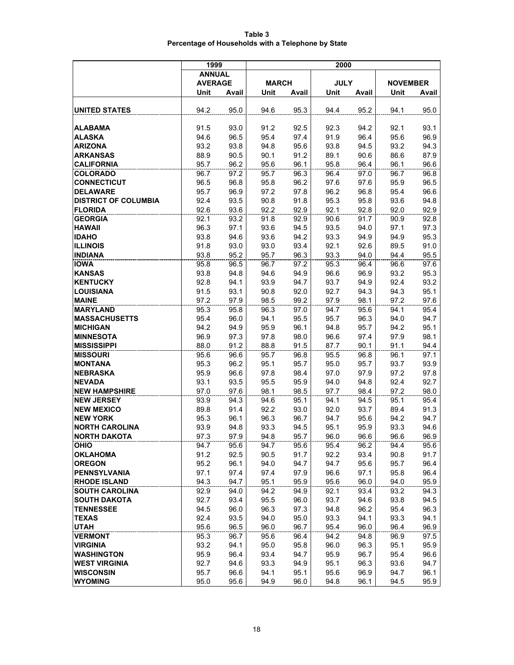| Table 3                                            |  |
|----------------------------------------------------|--|
| Percentage of Households with a Telephone by State |  |

|                                              | 1999           |              | 2000         |              |              |              |                 |              |
|----------------------------------------------|----------------|--------------|--------------|--------------|--------------|--------------|-----------------|--------------|
|                                              | <b>ANNUAL</b>  |              |              |              |              |              |                 |              |
|                                              | <b>AVERAGE</b> |              | <b>MARCH</b> |              | <b>JULY</b>  |              | <b>NOVEMBER</b> |              |
|                                              | Unit           | Avail        | Unit         | Avail        | Unit         | Avail        | Unit            | Avail        |
|                                              |                |              |              |              |              |              |                 |              |
| <b>UNITED STATES</b>                         | 94.2           | 95.0         | 94.6         | 95.3         | 94.4         | 95.2         | 94.1            | 95.0         |
| <b>ALABAMA</b>                               | 91.5           | 93.0         | 91.2         | 92.5         | 92.3         | 94.2         | 92.1            | 93.1         |
| <b>ALASKA</b>                                | 94.6           | 96.5         | 95.4         | 97.4         | 91.9         | 96.4         | 95.6            | 96.9         |
| <b>ARIZONA</b>                               | 93.2           | 93.8         | 94.8         | 95.6         | 93.8         | 94.5         | 93.2            | 94.3         |
| <b>ARKANSAS</b>                              | 88.9           | 90.5         | 90.1         | 91.2         | 89.1         | 90.6         | 86.6            | 87.9         |
| <b>CALIFORNIA</b>                            | 95.7           | 96.2         | 95.6         | 96.1         | 95.8         | 96.4         | 96.1            | 96.6         |
| <b>COLORADO</b>                              | 96.7           | 97.2         | 95.7         | 96.3         | 96.4         | 97.0         | 96.7            | 96.8         |
| <b>CONNECTICUT</b>                           | 96.5           | 96.8         | 95.8         | 96.2         | 97.6         | 97.6         | 95.9            | 96.5         |
| <b>DELAWARE</b>                              | 95.7           | 96.9         | 97.2         | 97.8         | 96.2         | 96.8         | 95.4            | 96.6         |
| <b>DISTRICT OF COLUMBIA</b>                  | 92.4           | 93.5         | 90.8         | 91.8         | 95.3         | 95.8         | 93.6            | 94.8         |
| <b>FLORIDA</b>                               | 92.6           | 93.6         | 92.2         | 92.9         | 92.1         | 92.8         | 92.0            | 92.9         |
| <b>GEORGIA</b>                               | 92.1           | 93.2         | 91.8         | 92.9         | 90.6         | 91.7         | 90.9            | 92.8         |
| <b>HAWAII</b>                                | 96.3           | 97.1         | 93.6         | 94.5         | 93.5         | 94.0         | 97.1            | 97.3         |
| <b>IDAHO</b>                                 | 93.8           | 94.6         | 93.6         | 94.2         | 93.3         | 94.9         | 94.9            | 95.3         |
| <b>ILLINOIS</b>                              | 91.8           | 93.0         | 93.0         | 93.4         | 92.1         | 92.6         | 89.5            | 91.0         |
| <b>INDIANA</b>                               | 93.8           | 95.2         | 95.7         | 96.3         | 93.3         | 94.0         | 94.4            | 95.5         |
| <b>IOWA</b>                                  | 95.8           | 96.5         | 96.7         | 97.2         | 95.3         | 96.4         | 96.6            | 97.6         |
| <b>KANSAS</b>                                | 93.8           | 94.8         | 94.6         | 94.9         | 96.6         | 96.9         | 93.2            | 95.3         |
| <b>KENTUCKY</b>                              | 92.8           | 94.1         | 93.9         | 94.7         | 93.7         | 94.9         | 92.4            | 93.2         |
| <b>LOUISIANA</b>                             | 91.5           | 93.1         | 90.8         | 92.0         | 92.7         | 94.3         | 94.3            | 95.1         |
| <b>MAINE</b>                                 | 97.2           | 97.9         | 98.5         | 99.2         | 97.9         | 98.1         | 97.2            | 97.6         |
| <b>MARYLAND</b>                              | 95.3           | 95.8         | 96.3         | 97.0         | 94.7         | 95.6         | 94.1            | 95.4         |
| <b>MASSACHUSETTS</b>                         | 95.4           | 96.0         | 94.1         | 95.5         | 95.7         | 96.3         | 94.0            | 94.7         |
| <b>MICHIGAN</b>                              | 94.2           | 94.9         | 95.9         | 96.1         | 94.8         | 95.7         | 94.2            | 95.1<br>98.1 |
| <b>MINNESOTA</b><br><b>MISSISSIPPI</b>       | 96.9<br>88.0   | 97.3<br>91.2 | 97.8<br>88.8 | 98.0<br>91.5 | 96.6<br>87.7 | 97.4<br>90.1 | 97.9<br>91.1    | 94.4         |
| <b>MISSOURI</b>                              | 95.6           | 96.6         | 95.7         | 96.8         | 95.5         | 96.8         | 96.1            | 97.1         |
| <b>MONTANA</b>                               | 95.3           | 96.2         | 95.1         | 95.7         | 95.0         | 95.7         | 93.7            | 93.9         |
| <b>NEBRASKA</b>                              | 95.9           | 96.6         | 97.8         | 98.4         | 97.0         | 97.9         | 97.2            | 97.8         |
| <b>NEVADA</b>                                | 93.1           | 93.5         | 95.5         | 95.9         | 94.0         | 94.8         | 92.4            | 92.7         |
| <b>NEW HAMPSHIRE</b>                         | 97.0           | 97.6         | 98.1         | 98.5         | 97.7         | 98.4         | 97.2            | 98.0         |
| <b>NEW JERSEY</b>                            | 93.9           | 94.3         | 94.6         | 95.1         | 94.1         | 94.5         | 95.1            | 95.4         |
| <b>NEW MEXICO</b>                            | 89.8           | 91.4         | 92.2         | 93.0         | 92.0         | 93.7         | 89.4            | 91.3         |
| <b>NEW YORK</b>                              | 95.3           | 96.1         | 96.3         | 96.7         | 94.7         | 95.6         | 94.2            | 94.7         |
| <b>NORTH CAROLINA</b>                        | 93.9           | 94.8         | 93.3         | 94.5         | 95.1         | 95.9         | 93.3            | 94.6         |
| <b>NORTH DAKOTA</b>                          | 97.3           | 97.9         | 94.8         | 95.7         | 96.0         | 96.6         | 96.6            | 96.9         |
| <b>OHIO</b>                                  | 94.7           | 95.6         | 94.7         | 95.6         | 95.4         | 96.2         | 94.4            | 95.6         |
| <b>OKLAHOMA</b>                              | 91.2           | 92.5         | 90.5         | 91.7         | 92.2         | 93.4         | 90.8            | 91.7         |
| <b>OREGON</b>                                | 95.2           | 96.1         | 94.0         | 94.7         | 94.7         | 95.6         | 95.7            | 96.4         |
| <b>PENNSYLVANIA</b>                          | 97.1           | 97.4         | 97.4         | 97.9         | 96.6         | 97.1         | 95.8            | 96.4         |
| <b>RHODE ISLAND</b>                          | 94.3           | 94.7         | 95.1         | 95.9         | 95.6         | 96.0         | 94.0            | 95.9         |
| <b>SOUTH CAROLINA</b><br><b>SOUTH DAKOTA</b> | 92.9           | 94.0         | 94.2         | 94.9         | 92.1         | 93.4         | 93.2            | 94.3         |
| <b>TENNESSEE</b>                             | 92.7           | 93.4         | 95.5         | 96.0         | 93.7         | 94.6         | 93.8            | 94.5<br>96.3 |
|                                              | 94.5           | 96.0<br>93.5 | 96.3         | 97.3         | 94.8<br>93.3 | 96.2<br>94.1 | 95.4<br>93.3    | 94.1         |
| <b>TEXAS</b><br><b>UTAH</b>                  | 92.4<br>95.6   | 96.5         | 94.0<br>96.0 | 95.0<br>96.7 | 95.4         | 96.0         | 96.4            | 96.9         |
| <b>VERMONT</b>                               | 95.3           | 96.7         | 95.6         | 96.4         | 94.2         | 94.8         | 96.9            | 97.5         |
| <b>VIRGINIA</b>                              | 93.2           | 94.1         | 95.0         | 95.8         | 96.0         | 96.3         | 95.1            | 95.9         |
| <b>WASHINGTON</b>                            | 95.9           | 96.4         | 93.4         | 94.7         | 95.9         | 96.7         | 95.4            | 96.6         |
| <b>WEST VIRGINIA</b>                         | 92.7           | 94.6         | 93.3         | 94.9         | 95.1         | 96.3         | 93.6            | 94.7         |
| <b>WISCONSIN</b>                             | 95.7           | 96.6         | 94.1         | 95.1         | 95.6         | 96.9         | 94.7            | 96.1         |
| <b>WYOMING</b>                               | 95.0           | 95.6         | 94.9         | 96.0         | 94.8         | 96.1         | 94.5            | 95.9         |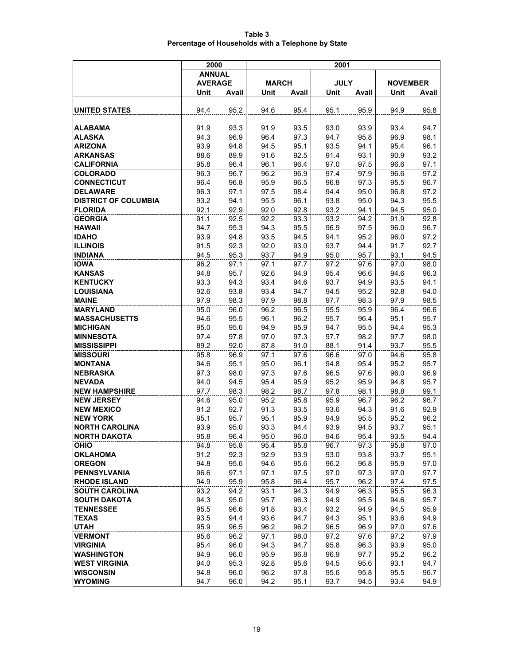| Table 3                                            |  |
|----------------------------------------------------|--|
| Percentage of Households with a Telephone by State |  |

|                               | 2000           |              | 2001         |              |              |              |                 |              |
|-------------------------------|----------------|--------------|--------------|--------------|--------------|--------------|-----------------|--------------|
|                               | <b>ANNUAL</b>  |              |              |              |              |              |                 |              |
|                               | <b>AVERAGE</b> |              | <b>MARCH</b> |              | <b>JULY</b>  |              | <b>NOVEMBER</b> |              |
|                               | Unit           | Avail        | Unit         | Avail        | Unit         | Avail        | Unit            | Avail        |
|                               |                |              |              |              |              |              |                 |              |
| UNITED STATES                 | 94.4           | 95.2         | 94.6         | 95.4         | 95.1         | 95.9         | 94.9            | 95.8         |
|                               |                |              |              |              |              |              |                 |              |
| <b>ALABAMA</b>                | 91.9           | 93.3         | 91.9         | 93.5         | 93.0         | 93.9         | 93.4            | 94.7         |
| <b>ALASKA</b>                 | 94.3           | 96.9         | 96.4         | 97.3         | 94.7         | 95.8         | 96.9            | 98.1         |
| <b>ARIZONA</b>                | 93.9           | 94.8         | 94.5         | 95.1         | 93.5         | 94.1         | 95.4            | 96.1         |
| <b>ARKANSAS</b>               | 88.6           | 89.9         | 91.6         | 92.5         | 91.4         | 93.1         | 90.9            | 93.2         |
| <b>CALIFORNIA</b>             | 95.8           | 96.4         | 96.1         | 96.4         | 97.0         | 97.5         | 96.6            | 97.1         |
| <b>COLORADO</b>               | 96.3           | 96.7         | 96.2         | 96.9         | 97.4         | 97.9         | 96.6            | 97.2         |
| <b>CONNECTICUT</b>            | 96.4           | 96.8         | 95.9         | 96.5         | 96.8         | 97.3         | 95.5            | 96.7         |
| <b>DELAWARE</b>               | 96.3           | 97.1         | 97.5         | 98.4         | 94.4         | 95.0         | 96.8            | 97.2         |
| <b>DISTRICT OF COLUMBIA</b>   | 93.2           | 94.1         | 95.5         | 96.1         | 93.8         | 95.0         | 94.3            | 95.5         |
| <b>FLORIDA</b>                | 92.1           | 92.9         | 92.0         | 92.8         | 93.2         | 94.1         | 94.5            | 95.0         |
| <b>GEORGIA</b>                | 91.1           | 92.5         | 92.2         | 93.3         | 93.2         | 94.2         | 91.9            | 92.8         |
| <b>HAWAII</b>                 | 94.7           | 95.3         | 94.3         | 95.5         | 96.9         | 97.5         | 96.0            | 96.7         |
| <b>IDAHO</b>                  | 93.9           | 94.8         | 93.5         | 94.5         | 94.1         | 95.2         | 96.0            | 97.2         |
| <b>ILLINOIS</b>               | 91.5           | 92.3         | 92.0         | 93.0         | 93.7         | 94.4         | 91.7            | 92.7         |
| <b>INDIANA</b><br><b>IOWA</b> | 94.5<br>96.2   | 95.3         | 93.7         | 94.9         | 95.0         | 95.7         | 93.1            | 94.5<br>98.0 |
| <b>KANSAS</b>                 | 94.8           | 97.1<br>95.7 | 97.1<br>92.6 | 97.7<br>94.9 | 97.2<br>95.4 | 97.6<br>96.6 | 97.0<br>94.6    | 96.3         |
| <b>KENTUCKY</b>               | 93.3           | 94.3         | 93.4         | 94.6         | 93.7         | 94.9         | 93.5            | 94.1         |
| <b>LOUISIANA</b>              | 92.6           | 93.8         | 93.4         | 94.7         | 94.5         | 95.2         | 92.8            | 94.0         |
| <b>MAINE</b>                  | 97.9           | 98.3         | 97.9         | 98.8         | 97.7         | 98.3         | 97.9            | 98.5         |
| <b>MARYLAND</b>               | 95.0           | 96.0         | 96.2         | 96.5         | 95.5         | 95.9         | 96.4            | 96.6         |
| <b>MASSACHUSETTS</b>          | 94.6           | 95.5         | 96.1         | 96.2         | 95.7         | 96.4         | 95.1            | 95.7         |
| <b>MICHIGAN</b>               | 95.0           | 95.6         | 94.9         | 95.9         | 94.7         | 95.5         | 94.4            | 95.3         |
| <b>MINNESOTA</b>              | 97.4           | 97.8         | 97.0         | 97.3         | 97.7         | 98.2         | 97.7            | 98.0         |
| <b>MISSISSIPPI</b>            | 89.2           | 92.0         | 87.8         | 91.0         | 88.1         | 91.4         | 93.7            | 95.5         |
| <b>MISSOURI</b>               | 95.8           | 96.9         | 97.1         | 97.6         | 96.6         | 97.0         | 94.6            | 95.8         |
| <b>MONTANA</b>                | 94.6           | 95.1         | 95.0         | 96.1         | 94.8         | 95.4         | 95.2            | 95.7         |
| <b>NEBRASKA</b>               | 97.3           | 98.0         | 97.3         | 97.6         | 96.5         | 97.6         | 96.0            | 96.9         |
| <b>NEVADA</b>                 | 94.0           | 94.5         | 95.4         | 95.9         | 95.2         | 95.9         | 94.8            | 95.7         |
| <b>NEW HAMPSHIRE</b>          | 97.7           | 98.3         | 98.2         | 98.7         | 97.8         | 98.1         | 98.8            | 99.1         |
| <b>NEW JERSEY</b>             | 94.6           | 95.0         | 95.2         | 95.8         | 95.9         | 96.7         | 96.2            | 96.7         |
| <b>NEW MEXICO</b>             | 91.2           | 92.7         | 91.3         | 93.5         | 93.6         | 94.3         | 91.6            | 92.9         |
| <b>NEW YORK</b>               | 95.1           | 95.7         | 95.1         | 95.9         | 94.9         | 95.5         | 95.2            | 96.2         |
| <b>NORTH CAROLINA</b>         | 93.9           | 95.0         | 93.3         | 94.4         | 93.9         | 94.5         | 93.7            | 95.1         |
| <b>NORTH DAKOTA</b>           | 95.8           | 96.4         | 95.0         | 96.0         | 94.6         | 95.4         | 93.5            | 94.4         |
| <b>OHIO</b>                   | 94.8           | 95.8         | 95.4         | 95.8         | 96.7         | 97.3         | 95.8            | 97.0         |
| <b>OKLAHOMA</b>               | 91.2           | 92.3         | 92.9         | 93.9         | 93.0         | 93.8         | 93.7            | 95.1         |
| <b>OREGON</b>                 | 94.8           | 95.6         | 94.6         | 95.6         | 96.2         | 96.8         | 95.9            | 97.0         |
| <b>PENNSYLVANIA</b>           | 96.6           | 97.1         | 97.1         | 97.5         | 97.0         | 97.3         | 97.0            | 97.7         |
| <b>RHODE ISLAND</b>           | 94.9           | 95.9         | 95.8         | 96.4         | 95.7         | 96.2         | 97.4            | 97.5         |
| <b>SOUTH CAROLINA</b>         | 93.2           | 94.2         | 93.1         | 94.3         | 94.9         | 96.3         | 95.5            | 96.3         |
| <b>SOUTH DAKOTA</b>           | 94.3           | 95.0         | 95.7         | 96.3         | 94.9         | 95.5         | 94.6            | 95.7         |
| <b>TENNESSEE</b>              | 95.5           | 96.6         | 91.8         | 93.4         | 93.2         | 94.9         | 94.5            | 95.9         |
| <b>TEXAS</b>                  | 93.5           | 94.4         | 93.6         | 94.7         | 94.3         | 95.1         | 93.6            | 94.9         |
| <b>UTAH</b>                   | 95.9           | 96.5         | 96.2         | 96.2         | 96.5         | 96.9         | 97.0            | 97.6         |
| <b>VERMONT</b>                | 95.6           | 96.2         | 97.1         | 98.0         | 97.2         | 97.6         | 97.2            | 97.9         |
| <b>VIRGINIA</b>               | 95.4           | 96.0         | 94.3         | 94.7         | 95.8         | 96.3         | 93.9            | 95.0         |
| <b>WASHINGTON</b>             | 94.9           | 96.0         | 95.9         | 96.8         | 96.9         | 97.7         | 95.2            | 96.2         |
| <b>WEST VIRGINIA</b>          | 94.0           | 95.3         | 92.8         | 95.6         | 94.5         | 95.6         | 93.1            | 94.7         |
| <b>WISCONSIN</b>              | 94.8           | 96.0         | 96.2         | 97.8         | 95.6         | 95.8         | 95.5            | 96.7         |
| <b>WYOMING</b>                | 94.7           | 96.0         | 94.2         | 95.1         | 93.7         | 94.5         | 93.4            | 94.9         |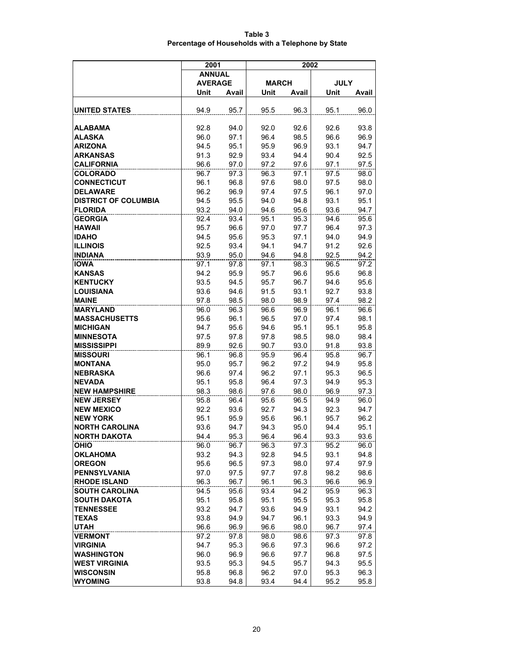| Table 3                                            |  |
|----------------------------------------------------|--|
| Percentage of Households with a Telephone by State |  |

|                             | 2001           |              | 2002         |              |              |              |
|-----------------------------|----------------|--------------|--------------|--------------|--------------|--------------|
|                             | <b>ANNUAL</b>  |              |              |              |              |              |
|                             | <b>AVERAGE</b> |              | <b>MARCH</b> |              | <b>JULY</b>  |              |
|                             | Unit           | Avail        | Unit         | Avail        | Unit         | Avail        |
| <b>UNITED STATES</b>        | 94.9           | 95.7         | 95.5         | 96.3         | 95.1         | 96.0         |
| ALABAMA                     | 92.8           | 94.0         | 92.0         | 92.6         | 92.6         | 93.8         |
| ALASKA                      | 96.0           |              | 96.4         | 98.5         | 96.6         | 96.9         |
| ARIZONA                     | 94.5           | 97.1<br>95.1 | 95.9         | 96.9         | 93.1         | 94.7         |
| <b>ARKANSAS</b>             | 91.3           | 92.9         | 93.4         | 94.4         | 90.4         | 92.5         |
| <b>CALIFORNIA</b>           | 96.6           |              |              |              |              |              |
| COLORADO                    | 96.7           | 97.0<br>97.3 | 97.2<br>96.3 | 97.6<br>97.1 | 97.1<br>97.5 | 97.5<br>98.0 |
| <b>CONNECTICUT</b>          | 96.1           | 96.8         | 97.6         | 98.0         | 97.5         | 98.0         |
| <b>DELAWARE</b>             | 96.2           | 96.9         | 97.4         | 97.5         | 96.1         | 97.0         |
| <b>DISTRICT OF COLUMBIA</b> | 94.5           | 95.5         | 94.0         | 94.8         | 93.1         | 95.1         |
| <b>FLORIDA</b>              | 93.2           | 94.0         | 94.6         | 95.6         | 93.6         | 94.7         |
| <b>GEORGIA</b>              | 92.4           | 93.4         | 95.1         | 95.3         | 94.6         | 95.6         |
| <b>HAWAII</b>               | 95.7           | 96.6         | 97.0         | 97.7         | 96.4         | 97.3         |
| <b>IDAHO</b>                | 94.5           | 95.6         | 95.3         | 97.1         | 94.0         | 94.9         |
| <b>ILLINOIS</b>             | 92.5           | 93.4         | 94.1         | 94.7         | 91.2         | 92.6         |
| <b>INDIANA</b>              | 93.9           | 95.0         | 94.6         | 94.8         | 92.5         | 94.2         |
| <b>IOWA</b>                 | 97.1           | 97.8         | 97.1         | 98.3         | 96.5         | 97.2         |
| KANSAS                      | 94.2           | 95.9         | 95.7         | 96.6         | 95.6         | 96.8         |
| <b>KENTUCKY</b>             | 93.5           | 94.5         | 95.7         | 96.7         | 94.6         | 95.6         |
| LOUISIANA                   | 93.6           | 94.6         | 91.5         | 93.1         | 92.7         | 93.8         |
| <b>MAINE</b>                | 97.8           | 98.5         | 98.0         | 98.9         | 97.4         | 98.2         |
| <b>MARYLAND</b>             | 96.0           | 96.3         | 96.6         | 96.9         | 96.1         | 96.6         |
| MASSACHUSETTS               | 95.6           | 96.1         | 96.5         | 97.0         | 97.4         | 98.1         |
| <b>MICHIGAN</b>             | 94.7           | 95.6         | 94.6         | 95.1         | 95.1         | 95.8         |
| <b>MINNESOTA</b>            | 97.5           | 97.8         | 97.8         | 98.5         | 98.0         | 98.4         |
| <b>MISSISSIPPI</b>          | 89.9           | 92.6         | 90.7         | 93.0         | 91.8         | 93.8         |
| <b>MISSOURI</b>             | 96.1           | 96.8         | 95.9         | 96.4         | 95.8         | 96.7         |
| MONTANA                     | 95.0           | 95.7         | 96.2         | 97.2         | 94.9         | 95.8         |
| NEBRASKA                    | 96.6           | 97.4         | 96.2         | 97.1         | 95.3         | 96.5         |
| <b>NEVADA</b>               | 95.1           | 95.8         | 96.4         | 97.3         | 94.9         | 95.3         |
| <b>NEW HAMPSHIRE</b>        | 98.3           | 98.6         | 97.6         | 98.0         | 96.9         | 97.3         |
| <b>NEW JERSEY</b>           | 95.8           | 96.4         | 95.6         | 96.5         | 94.9         | 96.0         |
| <b>NEW MEXICO</b>           | 92.2           | 93.6         | 92.7         | 94.3         | 92.3         | 94.7         |
| <b>NEW YORK</b>             | 95.1           | 95.9         | 95.6         | 96.1         | 95.7         | 96.2         |
| <b>NORTH CAROLINA</b>       | 93.6           | 94.7         | 94.3         | 95.0         | 94.4         | 95.1         |
| NORTH DAKOTA                | 94.4           | 95.3         | 96.4         | 96.4         | 93.3         | 93.6         |
| <b>OHIO</b>                 | 96.0           | 96.7         | 96.3         | 97.3         | 95.2         | 96.0         |
| <b>OKLAHOMA</b>             | 93.2           | 94.3         | 92.8         | 94.5         | 93.1         | 94.8         |
| <b>OREGON</b>               | 95.6           | 96.5         | 97.3         | 98.0         | 97.4         | 97.9         |
| <b>PENNSYLVANIA</b>         | 97.0           | 97.5         | 97.7         | 97.8         | 98.2         | 98.6         |
| <b>RHODE ISLAND</b>         | 96.3           | 96.7         | 96.1         | 96.3         | 96.6         | 96.9         |
| <b>SOUTH CAROLINA</b>       | 94.5           | 95.6         | 93.4         | 94.2         | 95.9         | 96.3         |
| <b>SOUTH DAKOTA</b>         | 95.1           | 95.8         | 95.1         | 95.5         | 95.3         | 95.8         |
| <b>TENNESSEE</b>            | 93.2           | 94.7         | 93.6         | 94.9         | 93.1         | 94.2         |
| <b>TEXAS</b>                | 93.8           | 94.9         | 94.7         | 96.1         | 93.3         | 94.9         |
| <b>UTAH</b>                 | 96.6           | 96.9         | 96.6         | 98.0         | 96.7         | 97.4         |
| <b>VERMONT</b>              | 97.2           | 97.8         | 98.0         | 98.6         | 97.3         | 97.8         |
| <b>VIRGINIA</b>             | 94.7           | 95.3         | 96.6         | 97.3         | 96.6         | 97.2         |
| <b>WASHINGTON</b>           | 96.0           | 96.9         | 96.6         | 97.7         | 96.8         | 97.5         |
| <b>WEST VIRGINIA</b>        | 93.5           | 95.3         | 94.5         | 95.7         | 94.3         | 95.5         |
| <b>WISCONSIN</b>            | 95.8           | 96.8         | 96.2         | 97.0         | 95.3         | 96.3         |
| <b>WYOMING</b>              | 93.8           | 94.8         | 93.4         | 94.4         | 95.2         | 95.8         |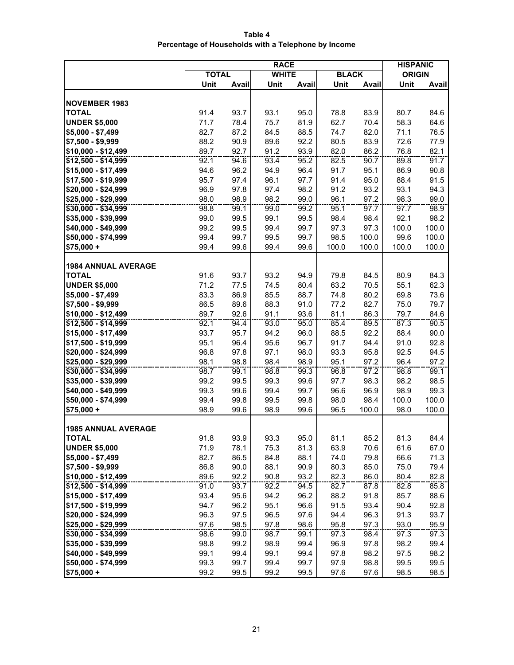**Table 4 Percentage of Households with a Telephone by Income**

|                            | <b>RACE</b>  |       |              |       |              |       | <b>HISPANIC</b> |       |
|----------------------------|--------------|-------|--------------|-------|--------------|-------|-----------------|-------|
|                            | <b>TOTAL</b> |       | <b>WHITE</b> |       | <b>BLACK</b> |       | <b>ORIGIN</b>   |       |
|                            | Unit         | Avail | Unit         | Avail | Unit         | Avail | Unit            | Avail |
|                            |              |       |              |       |              |       |                 |       |
| <b>NOVEMBER 1983</b>       |              |       |              |       |              |       |                 |       |
| <b>TOTAL</b>               | 91.4         | 93.7  | 93.1         | 95.0  | 78.8         | 83.9  | 80.7            | 84.6  |
| <b>UNDER \$5,000</b>       | 71.7         | 78.4  | 75.7         | 81.9  | 62.7         | 70.4  | 58.3            | 64.6  |
| $$5,000 - $7,499$          | 82.7         | 87.2  | 84.5         | 88.5  | 74.7         | 82.0  | 71.1            | 76.5  |
| \$7,500 - \$9,999          | 88.2         | 90.9  | 89.6         | 92.2  | 80.5         | 83.9  | 72.6            | 77.9  |
| \$10,000 - \$12,499        | 89.7         | 92.7  | 91.2         | 93.9  | 82.0         | 86.2  | 76.8            | 82.1  |
| \$12,500 - \$14,999        | 92.1         | 94.6  | 93.4         | 95.2  | 82.5         | 90.7  | 89.8            | 91.7  |
| \$15,000 - \$17,499        | 94.6         | 96.2  | 94.9         | 96.4  | 91.7         | 95.1  | 86.9            | 90.8  |
| \$17,500 - \$19,999        | 95.7         | 97.4  | 96.1         | 97.7  | 91.4         | 95.0  | 88.4            | 91.5  |
| \$20,000 - \$24,999        | 96.9         | 97.8  | 97.4         | 98.2  | 91.2         | 93.2  | 93.1            | 94.3  |
| \$25,000 - \$29,999        | 98.0         | 98.9  | 98.2         | 99.0  | 96.1         | 97.2  | 98.3            | 99.0  |
| $$30,000 - $34,999$        | 98.8         | 99.1  | 99.0         | 99.2  | 95.1         | 97.7  | 97.7            | 98.9  |
| \$35,000 - \$39,999        | 99.0         | 99.5  | 99.1         | 99.5  | 98.4         | 98.4  | 92.1            | 98.2  |
| \$40,000 - \$49,999        | 99.2         | 99.5  | 99.4         | 99.7  | 97.3         | 97.3  | 100.0           | 100.0 |
| \$50,000 - \$74,999        | 99.4         | 99.7  | 99.5         | 99.7  | 98.5         | 100.0 | 99.6            | 100.0 |
| $$75,000 +$                | 99.4         | 99.6  | 99.4         | 99.6  | 100.0        | 100.0 | 100.0           | 100.0 |
|                            |              |       |              |       |              |       |                 |       |
| <b>1984 ANNUAL AVERAGE</b> |              |       |              |       |              |       |                 |       |
| <b>TOTAL</b>               | 91.6         | 93.7  | 93.2         | 94.9  | 79.8         | 84.5  | 80.9            | 84.3  |
| <b>UNDER \$5,000</b>       | 71.2         | 77.5  | 74.5         | 80.4  | 63.2         | 70.5  | 55.1            | 62.3  |
| $$5,000 - $7,499$          | 83.3         | 86.9  | 85.5         | 88.7  | 74.8         | 80.2  | 69.8            | 73.6  |
| \$7,500 - \$9,999          | 86.5         | 89.6  | 88.3         | 91.0  | 77.2         | 82.7  | 75.0            | 79.7  |
| $$10,000 - $12,499$        | 89.7         | 92.6  | 91.1         | 93.6  | 81.1         | 86.3  | 79.7            | 84.6  |
| \$12,500 - \$14,999        | 92.1         | 94.4  | 93.0         | 95.0  | 85.4         | 89.5  | 87.3            | 90.5  |
| \$15,000 - \$17,499        | 93.7         | 95.7  | 94.2         | 96.0  | 88.5         | 92.2  | 88.4            | 90.0  |
| \$17,500 - \$19,999        | 95.1         | 96.4  | 95.6         | 96.7  | 91.7         | 94.4  | 91.0            | 92.8  |
| \$20,000 - \$24,999        | 96.8         | 97.8  | 97.1         | 98.0  | 93.3         | 95.8  | 92.5            | 94.5  |
| \$25,000 - \$29,999        | 98.1         | 98.8  | 98.4         | 98.9  | 95.1         | 97.2  | 96.4            | 97.2  |
| \$30,000 - \$34,999        | 98.7         | 99.1  | 98.8         | 99.3  | 96.8         | 97.2  | 98.8            | 99.1  |
| \$35,000 - \$39,999        | 99.2         | 99.5  | 99.3         | 99.6  | 97.7         | 98.3  | 98.2            | 98.5  |
| \$40,000 - \$49,999        | 99.3         | 99.6  | 99.4         | 99.7  | 96.6         | 96.9  | 98.9            | 99.3  |
| \$50,000 - \$74,999        | 99.4         | 99.8  | 99.5         | 99.8  | 98.0         | 98.4  | 100.0           | 100.0 |
| $$75,000 +$                | 98.9         | 99.6  | 98.9         | 99.6  | 96.5         | 100.0 | 98.0            | 100.0 |
|                            |              |       |              |       |              |       |                 |       |
| <b>1985 ANNUAL AVERAGE</b> |              |       |              |       |              |       |                 |       |
| TOTAL                      | 91.8         | 93.9  | 93.3         | 95.0  | 81.1         | 85.2  | 81.3            | 84.4  |
| <b>UNDER \$5,000</b>       | 71.9         | 78.1  | 75.3         | 81.3  | 63.9         | 70.6  | 61.6            | 67.0  |
| $$5,000 - $7,499$          | 82.7         | 86.5  | 84.8         | 88.1  | 74.0         | 79.8  | 66.6            | 71.3  |
| \$7,500 - \$9,999          | 86.8         | 90.0  | 88.1         | 90.9  | 80.3         | 85.0  | 75.0            | 79.4  |
| \$10,000 - \$12,499        | 89.6         | 92.2  | 90.8         | 93.2  | 82.3         | 86.0  | 80.4            | 82.8  |
| \$12,500 - \$14,999        | 91.0         | 93.7  | 92.2         | 94.5  | 82.7         | 87.8  | 82.8            | 85.8  |
| \$15,000 - \$17,499        | 93.4         | 95.6  | 94.2         | 96.2  | 88.2         | 91.8  | 85.7            | 88.6  |
| \$17,500 - \$19,999        | 94.7         | 96.2  | 95.1         | 96.6  | 91.5         | 93.4  | 90.4            | 92.8  |
| \$20,000 - \$24,999        | 96.3         | 97.5  | 96.5         | 97.6  | 94.4         | 96.3  | 91.3            | 93.7  |
| \$25,000 - \$29,999        | 97.6         | 98.5  | 97.8         | 98.6  | 95.8         | 97.3  | 93.0            | 95.9  |
| \$30,000 - \$34,999        | 98.6         | 99.0  | 98.7         | 99.1  | 97.3         | 98.4  | 97.3            | 97.3  |
| \$35,000 - \$39,999        | 98.8         | 99.2  | 98.9         | 99.4  | 96.9         | 97.8  | 98.2            | 99.4  |
| \$40,000 - \$49,999        | 99.1         | 99.4  | 99.1         | 99.4  | 97.8         | 98.2  | 97.5            | 98.2  |
| \$50,000 - \$74,999        | 99.3         | 99.7  | 99.4         | 99.7  | 97.9         | 98.8  | 99.5            | 99.5  |
| $$75,000 +$                | 99.2         | 99.5  | 99.2         | 99.5  | 97.6         | 97.6  | 98.5            | 98.5  |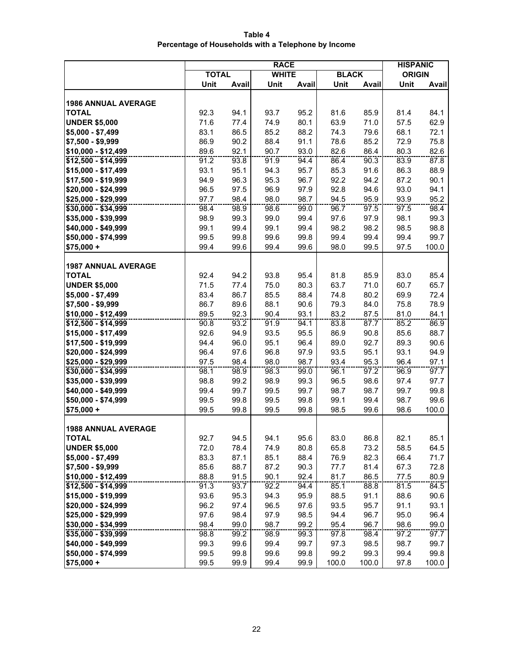**Table 4 Percentage of Households with a Telephone by Income**

|                            | <b>RACE</b>  |       |              |       |              |       | <b>HISPANIC</b> |       |
|----------------------------|--------------|-------|--------------|-------|--------------|-------|-----------------|-------|
|                            | <b>TOTAL</b> |       | <b>WHITE</b> |       | <b>BLACK</b> |       | <b>ORIGIN</b>   |       |
|                            | Unit         | Avail | Unit         | Avail | Unit         | Avail | Unit            | Avail |
|                            |              |       |              |       |              |       |                 |       |
| <b>1986 ANNUAL AVERAGE</b> |              |       |              |       |              |       |                 |       |
| <b>TOTAL</b>               | 92.3         | 94.1  | 93.7         | 95.2  | 81.6         | 85.9  | 81.4            | 84.1  |
| <b>UNDER \$5,000</b>       | 71.6         | 77.4  | 74.9         | 80.1  | 63.9         | 71.0  | 57.5            | 62.9  |
| $$5,000 - $7,499$          | 83.1         | 86.5  | 85.2         | 88.2  | 74.3         | 79.6  | 68.1            | 72.1  |
| \$7,500 - \$9,999          | 86.9         | 90.2  | 88.4         | 91.1  | 78.6         | 85.2  | 72.9            | 75.8  |
| \$10,000 - \$12,499        | 89.6         | 92.1  | 90.7         | 93.0  | 82.6         | 86.4  | 80.3            | 82.6  |
| \$12,500 - \$14,999        | 91.2         | 93.8  | 91.9         | 94.4  | 86.4         | 90.3  | 83.9            | 87.8  |
| \$15,000 - \$17,499        | 93.1         | 95.1  | 94.3         | 95.7  | 85.3         | 91.6  | 86.3            | 88.9  |
| \$17,500 - \$19,999        | 94.9         | 96.3  | 95.3         | 96.7  | 92.2         | 94.2  | 87.2            | 90.1  |
| \$20,000 - \$24,999        | 96.5         | 97.5  | 96.9         | 97.9  | 92.8         | 94.6  | 93.0            | 94.1  |
| \$25,000 - \$29,999        | 97.7         | 98.4  | 98.0         | 98.7  | 94.5         | 95.9  | 93.9            | 95.2  |
| $$30,000 - $34,999$        | 98.4         | 98.9  | 98.6         | 99.0  | 96.7         | 97.5  | 97.5            | 98.4  |
| \$35,000 - \$39,999        | 98.9         | 99.3  | 99.0         | 99.4  | 97.6         | 97.9  | 98.1            | 99.3  |
| \$40,000 - \$49,999        | 99.1         | 99.4  | 99.1         | 99.4  | 98.2         | 98.2  | 98.5            | 98.8  |
| \$50,000 - \$74,999        | 99.5         | 99.8  | 99.6         | 99.8  | 99.4         | 99.4  | 99.4            | 99.7  |
| $$75,000 +$                | 99.4         | 99.6  | 99.4         | 99.6  | 98.0         | 99.5  | 97.5            | 100.0 |
|                            |              |       |              |       |              |       |                 |       |
| <b>1987 ANNUAL AVERAGE</b> |              |       |              |       |              |       |                 |       |
| <b>TOTAL</b>               | 92.4         | 94.2  | 93.8         | 95.4  | 81.8         | 85.9  | 83.0            | 85.4  |
| <b>UNDER \$5,000</b>       | 71.5         | 77.4  | 75.0         | 80.3  | 63.7         | 71.0  | 60.7            | 65.7  |
| $$5,000 - $7,499$          | 83.4         | 86.7  | 85.5         | 88.4  | 74.8         | 80.2  | 69.9            | 72.4  |
| \$7,500 - \$9,999          | 86.7         | 89.6  | 88.1         | 90.6  | 79.3         | 84.0  | 75.8            | 78.9  |
| \$10,000 - \$12,499        | 89.5         | 92.3  | 90.4         | 93.1  | 83.2         | 87.5  | 81.0            | 84.1  |
| \$12,500 - \$14,999        | 90.8         | 93.2  | 91.9         | 94.1  | 83.8         | 87.7  | 85.2            | 86.9  |
| \$15,000 - \$17,499        | 92.6         | 94.9  | 93.5         | 95.5  | 86.9         | 90.8  | 85.6            | 88.7  |
| \$17,500 - \$19,999        | 94.4         | 96.0  | 95.1         | 96.4  | 89.0         | 92.7  | 89.3            | 90.6  |
| \$20,000 - \$24,999        | 96.4         | 97.6  | 96.8         | 97.9  | 93.5         | 95.1  | 93.1            | 94.9  |
| \$25,000 - \$29,999        | 97.5         | 98.4  | 98.0         | 98.7  | 93.4         | 95.3  | 96.4            | 97.1  |
| \$30,000 - \$34,999        | 98.1         | 98.9  | 98.3         | 99.0  | 96.1         | 97.2  | 96.9            | 97.7  |
| \$35,000 - \$39,999        | 98.8         | 99.2  | 98.9         | 99.3  | 96.5         | 98.6  | 97.4            | 97.7  |
| \$40,000 - \$49,999        | 99.4         | 99.7  | 99.5         | 99.7  | 98.7         | 98.7  | 99.7            | 99.8  |
| \$50,000 - \$74,999        | 99.5         | 99.8  | 99.5         | 99.8  | 99.1         | 99.4  | 98.7            | 99.6  |
| $$75,000 +$                | 99.5         | 99.8  | 99.5         | 99.8  | 98.5         | 99.6  | 98.6            | 100.0 |
|                            |              |       |              |       |              |       |                 |       |
| <b>1988 ANNUAL AVERAGE</b> |              |       |              |       |              |       |                 |       |
| <b>TOTAL</b>               | 92.7         | 94.5  | 94.1         | 95.6  | 83.0         | 86.8  | 82.1            | 85.1  |
| <b>UNDER \$5,000</b>       | 72.0         | 78.4  | 74.9         | 80.8  | 65.8         | 73.2  | 58.5            | 64.5  |
| $$5,000 - $7,499$          | 83.3         | 87.1  | 85.1         | 88.4  | 76.9         | 82.3  | 66.4            | 71.7  |
| \$7,500 - \$9,999          | 85.6         | 88.7  | 87.2         | 90.3  | 77.7         | 81.4  | 67.3            | 72.8  |
| \$10,000 - \$12,499        | 88.8         | 91.5  | 90.1         | 92.4  | 81.7         | 86.5  | 77.5            | 80.9  |
| $$12,500 - $14,999$        | 91.3         | 93.7  | 92.2         | 94.4  | 85.1         | 88.8  | 81.5            | 84.5  |
| \$15,000 - \$19,999        | 93.6         | 95.3  | 94.3         | 95.9  | 88.5         | 91.1  | 88.6            | 90.6  |
| \$20,000 - \$24,999        | 96.2         | 97.4  | 96.5         | 97.6  | 93.5         | 95.7  | 91.1            | 93.1  |
| \$25,000 - \$29,999        | 97.6         | 98.4  | 97.9         | 98.5  | 94.4         | 96.7  | 95.0            | 96.4  |
| \$30,000 - \$34,999        | 98.4         | 99.0  | 98.7         | 99.2  | 95.4         | 96.7  | 98.6            | 99.0  |
| \$35,000 - \$39,999        | 98.8         | 99.2  | 98.9         | 99.3  | 97.8         | 98.4  | 97.2            | 97.7  |
| \$40,000 - \$49,999        | 99.3         | 99.6  | 99.4         | 99.7  | 97.3         | 98.5  | 98.7            | 99.7  |
| \$50,000 - \$74,999        | 99.5         | 99.8  | 99.6         | 99.8  | 99.2         | 99.3  | 99.4            | 99.8  |
| $$75,000 +$                | 99.5         | 99.9  | 99.4         | 99.9  | 100.0        | 100.0 | 97.8            | 100.0 |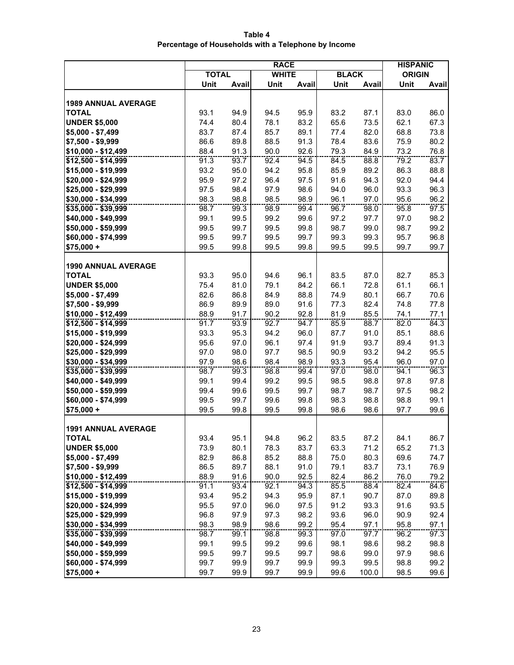**Table 4 Percentage of Households with a Telephone by Income**

|                               | <b>RACE</b>  |       |              |              |              |              | <b>HISPANIC</b> |              |
|-------------------------------|--------------|-------|--------------|--------------|--------------|--------------|-----------------|--------------|
|                               | <b>TOTAL</b> |       | <b>WHITE</b> |              | <b>BLACK</b> |              | <b>ORIGIN</b>   |              |
|                               | Unit         | Avail | Unit         | <b>Avail</b> | Unit         | Avail        | Unit            | Avail        |
|                               |              |       |              |              |              |              |                 |              |
| <b>1989 ANNUAL AVERAGE</b>    |              |       |              |              |              |              |                 |              |
| <b>TOTAL</b>                  | 93.1         | 94.9  | 94.5         | 95.9         | 83.2         | 87.1         | 83.0            | 86.0         |
| <b>UNDER \$5,000</b>          | 74.4         | 80.4  | 78.1         | 83.2         | 65.6         | 73.5         | 62.1            | 67.3         |
| $$5,000 - $7,499$             | 83.7         | 87.4  | 85.7         | 89.1         | 77.4         | 82.0         | 68.8            | 73.8         |
| \$7,500 - \$9,999             | 86.6         | 89.8  | 88.5         | 91.3         | 78.4         | 83.6         | 75.9            | 80.2         |
| \$10,000 - \$12,499           | 88.4         | 91.3  | 90.0         | 92.6         | 79.3         | 84.9         | 73.2            | 76.8         |
| \$12,500 - \$14,999           | 91.3         | 93.7  | 92.4         | 94.5         | 84.5         | 88.8         | 79.2            | 83.7         |
| \$15,000 - \$19,999           | 93.2         | 95.0  | 94.2         | 95.8         | 85.9         | 89.2         | 86.3            | 88.8         |
| \$20,000 - \$24,999           | 95.9         | 97.2  | 96.4         | 97.5         | 91.6         | 94.3         | 92.0            | 94.4         |
| \$25,000 - \$29,999           | 97.5         | 98.4  | 97.9         | 98.6         | 94.0         | 96.0         | 93.3            | 96.3         |
| \$30,000 - \$34,999           | 98.3         | 98.8  | 98.5         | 98.9         | 96.1         | 97.0         | 95.6            | 96.2         |
| $$35,000 - $39,999$           | 98.7         | 99.3  | 98.9         | 99.4         | 96.7         | 98.0         | 95.8            | 97.5         |
| \$40,000 - \$49,999           | 99.1         | 99.5  | 99.2         | 99.6         | 97.2         | 97.7         | 97.0            | 98.2         |
| \$50,000 - \$59,999           | 99.5         | 99.7  | 99.5         | 99.8         | 98.7         | 99.0         | 98.7            | 99.2         |
| \$60,000 - \$74,999           | 99.5         | 99.7  | 99.5         | 99.7         | 99.3         | 99.3         | 95.7            | 96.8         |
| $$75,000 +$                   | 99.5         | 99.8  | 99.5         | 99.8         | 99.5         | 99.5         | 99.7            | 99.7         |
|                               |              |       |              |              |              |              |                 |              |
| <b>1990 ANNUAL AVERAGE</b>    |              |       |              |              |              |              |                 |              |
| <b>TOTAL</b>                  | 93.3         | 95.0  | 94.6         | 96.1         | 83.5         | 87.0         | 82.7            | 85.3         |
| <b>UNDER \$5,000</b>          | 75.4         | 81.0  | 79.1         | 84.2         | 66.1         | 72.8         | 61.1            | 66.1         |
| $$5,000 - $7,499$             | 82.6         | 86.8  | 84.9         | 88.8         | 74.9         | 80.1         | 66.7            | 70.6         |
| \$7,500 - \$9,999             | 86.9         | 89.9  | 89.0         | 91.6         | 77.3         | 82.4         | 74.8            | 77.8         |
| $$10,000 - $12,499$           | 88.9         | 91.7  | 90.2         | 92.8         | 81.9         | 85.5         | 74.1            | 77.1         |
| \$12,500 - \$14,999           | 91.7         | 93.9  | 92.7         | 94.7         | 85.9         | 88.7         | 82.0            | 84.3         |
| \$15,000 - \$19,999           | 93.3         | 95.3  | 94.2         | 96.0         | 87.7         | 91.0         | 85.1            | 88.6         |
| \$20,000 - \$24,999           | 95.6         | 97.0  | 96.1         | 97.4         | 91.9         | 93.7         | 89.4            | 91.3         |
| \$25,000 - \$29,999           | 97.0         | 98.0  | 97.7         | 98.5         | 90.9         | 93.2         | 94.2            | 95.5         |
| \$30,000 - \$34,999           | 97.9         | 98.6  | 98.4         | 98.9         | 93.3         | 95.4         | 96.0            | 97.0         |
| \$35,000 - \$39,999           | 98.7         | 99.3  | 98.8         | 99.4         | 97.0         | 98.0         | 94.1            | 96.3         |
| \$40,000 - \$49,999           | 99.1         | 99.4  | 99.2         | 99.5         | 98.5         | 98.8         | 97.8            | 97.8         |
| \$50,000 - \$59,999           | 99.4         | 99.6  | 99.5         | 99.7         | 98.7         | 98.7         | 97.5            | 98.2         |
| \$60,000 - \$74,999           | 99.5         | 99.7  | 99.6         | 99.8         | 98.3         | 98.8         | 98.8            | 99.1         |
| $$75,000 +$                   | 99.5         | 99.8  | 99.5         | 99.8         | 98.6         | 98.6         | 97.7            | 99.6         |
|                               |              |       |              |              |              |              |                 |              |
| <b>1991 ANNUAL AVERAGE</b>    | 93.4         | 95.1  |              |              |              |              |                 |              |
| TOTAL<br><b>UNDER \$5,000</b> | 73.9         | 80.1  | 94.8<br>78.3 | 96.2<br>83.7 | 83.5<br>63.3 | 87.2<br>71.2 | 84.1<br>65.2    | 86.7<br>71.3 |
| $$5,000 - $7,499$             | 82.9         | 86.8  | 85.2         | 88.8         | 75.0         | 80.3         | 69.6            | 74.7         |
| \$7,500 - \$9,999             | 86.5         | 89.7  | 88.1         | 91.0         | 79.1         | 83.7         | 73.1            | 76.9         |
| \$10,000 - \$12,499           | 88.9         | 91.6  | 90.0         | 92.5         | 82.4         | 86.2         | 76.0            | 79.2         |
| $$12,500 - $14,999$           | 91.1         | 93.4  | 92.1         | 94.3         | 85.5         | 88.4         | 82.4            | 84.6         |
| \$15,000 - \$19,999           | 93.4         | 95.2  | 94.3         | 95.9         | 87.1         | 90.7         | 87.0            | 89.8         |
| \$20,000 - \$24,999           | 95.5         | 97.0  | 96.0         | 97.5         | 91.2         | 93.3         | 91.6            | 93.5         |
| \$25,000 - \$29,999           | 96.8         | 97.9  | 97.3         | 98.2         | 93.6         | 96.0         | 90.9            | 92.4         |
| \$30,000 - \$34,999           | 98.3         | 98.9  | 98.6         | 99.2         | 95.4         | 97.1         | 95.8            | 97.1         |
| \$35,000 - \$39,999           | 98.7         | 99.1  | 98.8         | 99.3         | 97.0         | 97.7         | 96.2            | 97.3         |
| \$40,000 - \$49,999           | 99.1         | 99.5  | 99.2         | 99.6         | 98.1         | 98.6         | 98.2            | 98.8         |
| \$50,000 - \$59,999           | 99.5         | 99.7  | 99.5         | 99.7         | 98.6         | 99.0         | 97.9            | 98.6         |
| \$60,000 - \$74,999           | 99.7         | 99.9  | 99.7         | 99.9         | 99.3         | 99.5         | 98.8            | 99.2         |
| $$75,000 +$                   | 99.7         | 99.9  | 99.7         | 99.9         | 99.6         | 100.0        | 98.5            | 99.6         |
|                               |              |       |              |              |              |              |                 |              |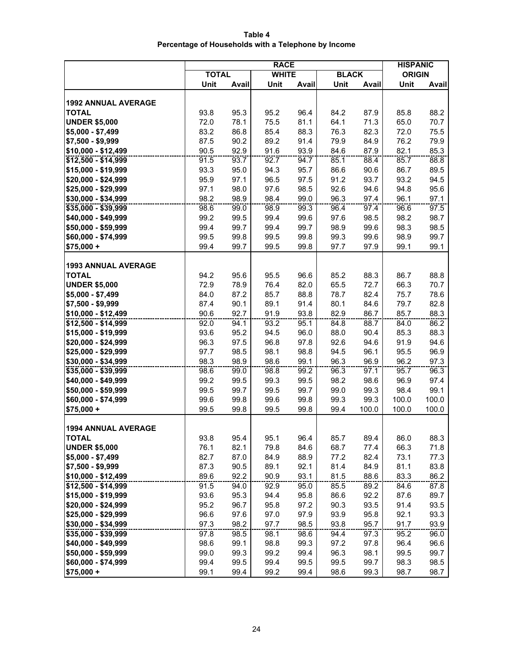**Table 4 Percentage of Households with a Telephone by Income**

|                               | <b>RACE</b>  |              |              |              |              |              | <b>HISPANIC</b> |              |
|-------------------------------|--------------|--------------|--------------|--------------|--------------|--------------|-----------------|--------------|
|                               | <b>TOTAL</b> |              | <b>WHITE</b> |              | <b>BLACK</b> |              | <b>ORIGIN</b>   |              |
|                               | Unit         | Avail        | Unit         | <b>Avail</b> | Unit         | Avail        | Unit            | Avail        |
|                               |              |              |              |              |              |              |                 |              |
| <b>1992 ANNUAL AVERAGE</b>    |              |              |              |              |              |              |                 |              |
| <b>TOTAL</b>                  | 93.8         | 95.3         | 95.2         | 96.4         | 84.2         | 87.9         | 85.8            | 88.2         |
| <b>UNDER \$5,000</b>          | 72.0         | 78.1         | 75.5         | 81.1         | 64.1         | 71.3         | 65.0            | 70.7         |
| $$5,000 - $7,499$             | 83.2         | 86.8         | 85.4         | 88.3         | 76.3         | 82.3         | 72.0            | 75.5         |
| $$7,500 - $9,999$             | 87.5         | 90.2         | 89.2         | 91.4         | 79.9         | 84.9         | 76.2            | 79.9         |
| \$10,000 - \$12,499           | 90.5         | 92.9         | 91.6         | 93.9         | 84.6         | 87.9         | 82.1            | 85.3         |
| \$12,500 - \$14,999           | 91.5         | 93.7         | 92.7         | 94.7         | 85.1         | 88.4         | 85.7            | 88.8         |
| \$15,000 - \$19,999           | 93.3         | 95.0         | 94.3         | 95.7         | 86.6         | 90.6         | 86.7            | 89.5         |
| \$20,000 - \$24,999           | 95.9         | 97.1         | 96.5         | 97.5         | 91.2         | 93.7         | 93.2            | 94.5         |
| \$25,000 - \$29,999           | 97.1         | 98.0         | 97.6         | 98.5         | 92.6         | 94.6         | 94.8            | 95.6         |
| \$30,000 - \$34,999           | 98.2         | 98.9         | 98.4         | 99.0         | 96.3         | 97.4         | 96.1            | 97.1         |
| \$35,000 - \$39,999           | 98.6         | 99.0         | 98.9         | 99.3         | 96.4         | 97.4         | 96.6            | 97.5         |
| \$40,000 - \$49,999           | 99.2         | 99.5         | 99.4         | 99.6         | 97.6         | 98.5         | 98.2            | 98.7         |
| \$50,000 - \$59,999           | 99.4         | 99.7         | 99.4         | 99.7         | 98.9         | 99.6         | 98.3            | 98.5         |
| \$60,000 - \$74,999           | 99.5         | 99.8         | 99.5         | 99.8         | 99.3         | 99.6         | 98.9            | 99.7         |
| $$75,000 +$                   | 99.4         | 99.7         | 99.5         | 99.8         | 97.7         | 97.9         | 99.1            | 99.1         |
|                               |              |              |              |              |              |              |                 |              |
| <b>1993 ANNUAL AVERAGE</b>    |              |              |              |              |              |              |                 |              |
| <b>TOTAL</b>                  | 94.2         | 95.6         | 95.5         | 96.6         | 85.2         | 88.3         | 86.7            | 88.8         |
| <b>UNDER \$5,000</b>          | 72.9         | 78.9         | 76.4         | 82.0         | 65.5         | 72.7         | 66.3            | 70.7         |
| $$5,000 - $7,499$             | 84.0         | 87.2         | 85.7         | 88.8         | 78.7         | 82.4         | 75.7            | 78.6         |
| \$7,500 - \$9,999             | 87.4         | 90.1         | 89.1         | 91.4         | 80.1         | 84.6         | 79.7            | 82.8         |
| \$10,000 - \$12,499           | 90.6         | 92.7         | 91.9         | 93.8         | 82.9         | 86.7         | 85.7            | 88.3         |
| \$12,500 - \$14,999           | 92.0         | 94.1         | 93.2         | 95.1         | 84.8         | 88.7         | 84.0            | 86.2         |
| \$15,000 - \$19,999           | 93.6         | 95.2         | 94.5         | 96.0         | 88.0         | 90.4         | 85.3            | 88.3         |
| \$20,000 - \$24,999           | 96.3         | 97.5         | 96.8         | 97.8         | 92.6         | 94.6         | 91.9            | 94.6         |
| \$25,000 - \$29,999           | 97.7         | 98.5         | 98.1         | 98.8         | 94.5         | 96.1         | 95.5            | 96.9         |
| \$30,000 - \$34,999           | 98.3         | 98.9         | 98.6         | 99.1         | 96.3         | 96.9         | 96.2            | 97.3         |
| \$35,000 - \$39,999           | 98.6         | 99.0         | 98.8         | 99.2         | 96.3         | 97.1         | 95.7            | 96.3         |
| \$40,000 - \$49,999           | 99.2         | 99.5         | 99.3         | 99.5         | 98.2         | 98.6         | 96.9            | 97.4         |
| \$50,000 - \$59,999           | 99.5         | 99.7         | 99.5         | 99.7         | 99.0         | 99.3         | 98.4            | 99.1         |
| \$60,000 - \$74,999           | 99.6         | 99.8         | 99.6         | 99.8         | 99.3         | 99.3         | 100.0           | 100.0        |
| $$75,000 +$                   | 99.5         | 99.8         | 99.5         | 99.8         | 99.4         | 100.0        | 100.0           | 100.0        |
| <b>1994 ANNUAL AVERAGE</b>    |              |              |              |              |              |              |                 |              |
|                               |              |              |              |              |              |              |                 |              |
| TOTAL<br><b>UNDER \$5,000</b> | 93.8<br>76.1 | 95.4<br>82.1 | 95.1<br>79.8 | 96.4<br>84.6 | 85.7<br>68.7 | 89.4<br>77.4 | 86.0<br>66.3    | 88.3<br>71.8 |
| $$5,000 - $7,499$             | 82.7         | 87.0         | 84.9         | 88.9         | 77.2         | 82.4         | 73.1            | 77.3         |
| \$7,500 - \$9,999             | 87.3         | 90.5         | 89.1         | 92.1         | 81.4         | 84.9         | 81.1            | 83.8         |
| \$10,000 - \$12,499           | 89.6         | 92.2         | 90.9         | 93.1         | 81.5         | 88.6         | 83.3            | 86.2         |
| \$12,500 - \$14,999           | 91.5         | 94.0         | 92.9         | 95.0         | 85.5         | 89.2         | 84.6            | 87.8         |
| \$15,000 - \$19,999           | 93.6         | 95.3         | 94.4         | 95.8         | 86.6         | 92.2         | 87.6            | 89.7         |
| \$20,000 - \$24,999           | 95.2         | 96.7         | 95.8         | 97.2         | 90.3         | 93.5         | 91.4            | 93.5         |
| \$25,000 - \$29,999           | 96.6         | 97.6         | 97.0         | 97.9         | 93.9         | 95.8         | 92.1            | 93.3         |
| \$30,000 - \$34,999           | 97.3         | 98.2         | 97.7         | 98.5         | 93.8         | 95.7         | 91.7            | 93.9         |
| \$35,000 - \$39,999           | 97.8         | 98.5         | 98.1         | 98.6         | 94.4         | 97.3         | 95.2            | 96.0         |
| \$40,000 - \$49,999           | 98.6         | 99.1         | 98.8         | 99.3         | 97.2         | 97.8         | 96.4            | 96.6         |
| \$50,000 - \$59,999           | 99.0         | 99.3         | 99.2         | 99.4         | 96.3         | 98.1         | 99.5            | 99.7         |
| \$60,000 - \$74,999           | 99.4         | 99.5         | 99.4         | 99.5         | 99.5         | 99.7         | 98.3            | 98.5         |
| $$75,000 +$                   | 99.1         | 99.4         | 99.2         | 99.4         | 98.6         | 99.3         | 98.7            | 98.7         |
|                               |              |              |              |              |              |              |                 |              |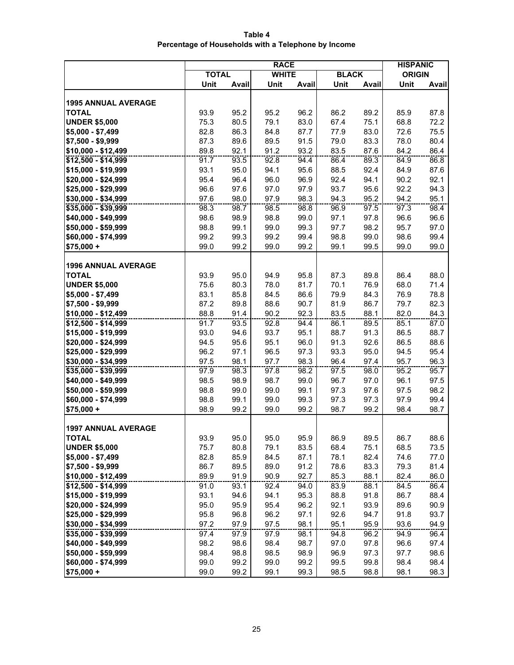**Table 4 Percentage of Households with a Telephone by Income**

|                                            | <b>RACE</b>  |              |              |              |              | <b>HISPANIC</b> |               |              |
|--------------------------------------------|--------------|--------------|--------------|--------------|--------------|-----------------|---------------|--------------|
|                                            | <b>TOTAL</b> |              | <b>WHITE</b> |              | <b>BLACK</b> |                 | <b>ORIGIN</b> |              |
|                                            | Unit         | Avail        | Unit         | Avail        | Unit         | Avail           | Unit          | Avail        |
|                                            |              |              |              |              |              |                 |               |              |
| <b>1995 ANNUAL AVERAGE</b>                 |              |              |              |              |              |                 |               |              |
| <b>TOTAL</b>                               | 93.9         | 95.2         | 95.2         | 96.2         | 86.2         | 89.2            | 85.9          | 87.8         |
| <b>UNDER \$5,000</b>                       | 75.3         | 80.5         | 79.1         | 83.0         | 67.4         | 75.1            | 68.8          | 72.2         |
| $$5,000 - $7,499$                          | 82.8         | 86.3         | 84.8         | 87.7         | 77.9         | 83.0            | 72.6          | 75.5         |
| $$7,500 - $9,999$                          | 87.3         | 89.6         | 89.5         | 91.5         | 79.0         | 83.3            | 78.0          | 80.4         |
| \$10,000 - \$12,499                        | 89.8         | 92.1         | 91.2         | 93.2         | 83.5         | 87.6            | 84.2          | 86.4         |
| \$12,500 - \$14,999                        | 91.7         | 93.5         | 92.8         | 94.4         | 86.4         | 89.3            | 84.9          | 86.8         |
| \$15,000 - \$19,999                        | 93.1         | 95.0         | 94.1         | 95.6         | 88.5         | 92.4            | 84.9          | 87.6         |
| \$20,000 - \$24,999                        | 95.4         | 96.4         | 96.0         | 96.9         | 92.4         | 94.1            | 90.2          | 92.1         |
| \$25,000 - \$29,999                        | 96.6         | 97.6         | 97.0         | 97.9         | 93.7         | 95.6            | 92.2          | 94.3         |
| \$30,000 - \$34,999                        | 97.6         | 98.0         | 97.9         | 98.3         | 94.3         | 95.2            | 94.2          | 95.1         |
| \$35,000 - \$39,999                        | 98.3         | 98.7         | 98.5         | 98.8         | 96.9         | 97.5            | 97.3          | 98.4         |
| \$40,000 - \$49,999                        | 98.6         | 98.9         | 98.8         | 99.0         | 97.1         | 97.8            | 96.6          | 96.6         |
| \$50,000 - \$59,999                        | 98.8         | 99.1         | 99.0         | 99.3         | 97.7         | 98.2            | 95.7          | 97.0         |
| \$60,000 - \$74,999                        | 99.2         | 99.3         | 99.2         | 99.4         | 98.8         | 99.0            | 98.6          | 99.4         |
| $$75,000 +$                                | 99.0         | 99.2         | 99.0         | 99.2         | 99.1         | 99.5            | 99.0          | 99.0         |
|                                            |              |              |              |              |              |                 |               |              |
| <b>1996 ANNUAL AVERAGE</b>                 |              |              |              |              |              |                 |               |              |
| <b>TOTAL</b>                               | 93.9         | 95.0         | 94.9         | 95.8         | 87.3         | 89.8            | 86.4          | 88.0         |
| <b>UNDER \$5,000</b>                       | 75.6         | 80.3         | 78.0         | 81.7         | 70.1         | 76.9            | 68.0          | 71.4         |
| $$5,000 - $7,499$                          | 83.1         | 85.8         | 84.5         | 86.6         | 79.9         | 84.3            | 76.9          | 78.8         |
| \$7,500 - \$9,999                          | 87.2         | 89.8         | 88.6         | 90.7         | 81.9         | 86.7            | 79.7          | 82.3         |
| \$10,000 - \$12,499                        | 88.8         | 91.4         | 90.2         | 92.3         | 83.5         | 88.1            | 82.0          | 84.3         |
| \$12,500 - \$14,999                        | 91.7         | 93.5         | 92.8         | 94.4         | 86.1         | 89.5            | 85.1          | 87.0         |
| \$15,000 - \$19,999                        | 93.0         | 94.6         | 93.7         | 95.1         | 88.7         | 91.3            | 86.5          | 88.7         |
| \$20,000 - \$24,999                        | 94.5         | 95.6         | 95.1         | 96.0         | 91.3         | 92.6            | 86.5          | 88.6         |
| \$25,000 - \$29,999                        | 96.2         | 97.1         | 96.5         | 97.3         | 93.3         | 95.0            | 94.5          | 95.4         |
| \$30,000 - \$34,999                        | 97.5         | 98.1         | 97.7         | 98.3         | 96.4         | 97.4            | 95.7          | 96.3         |
| \$35,000 - \$39,999                        | 97.9         | 98.3         | 97.8         | 98.2         | 97.5         | 98.0            | 95.2          | 95.7         |
| \$40,000 - \$49,999                        | 98.5         | 98.9         | 98.7         | 99.0         | 96.7         | 97.0            | 96.1          | 97.5         |
| \$50,000 - \$59,999                        | 98.8         | 99.0         | 99.0         | 99.1         | 97.3         | 97.6            | 97.5          | 98.2         |
| \$60,000 - \$74,999                        | 98.8         | 99.1         | 99.0         | 99.3         | 97.3         | 97.3            | 97.9          | 99.4         |
| $$75,000 +$                                | 98.9         | 99.2         | 99.0         | 99.2         | 98.7         | 99.2            | 98.4          | 98.7         |
|                                            |              |              |              |              |              |                 |               |              |
| <b>1997 ANNUAL AVERAGE</b>                 |              |              |              |              |              |                 |               |              |
| TOTAL                                      | 93.9         | 95.0         | 95.0         | 95.9         | 86.9         | 89.5            | 86.7          | 88.6         |
| <b>UNDER \$5,000</b>                       | 75.7         | 80.8         | 79.1         | 83.5         | 68.4         | 75.1            | 68.5          | 73.5         |
| $$5,000 - $7,499$                          | 82.8         | 85.9         | 84.5         | 87.1         | 78.1         | 82.4            | 74.6          | 77.0         |
| \$7,500 - \$9,999                          | 86.7         | 89.5         | 89.0         | 91.2         | 78.6         | 83.3            | 79.3          | 81.4         |
| \$10,000 - \$12,499                        | 89.9         | 91.9         | 90.9         | 92.7         | 85.3         | 88.1            | 82.4          | 86.0         |
| \$12,500 - \$14,999                        | 91.0         | 93.1         | 92.4         | 94.0         | 83.9         | 88.1            | 84.5          | 86.4         |
| \$15,000 - \$19,999                        | 93.1         | 94.6         | 94.1         | 95.3         | 88.8         | 91.8            | 86.7          | 88.4         |
| \$20,000 - \$24,999                        | 95.0         | 95.9         | 95.4         | 96.2         | 92.1         | 93.9            | 89.6          | 90.9         |
| \$25,000 - \$29,999                        | 95.8         | 96.8         | 96.2         | 97.1         | 92.6         | 94.7            | 91.8          | 93.7         |
| \$30,000 - \$34,999                        | 97.2         | 97.9         | 97.5         | 98.1         | 95.1         | 95.9            | 93.6          | 94.9         |
| \$35,000 - \$39,999                        | 97.4         | 97.9         | 97.9         | 98.1         | 94.8         | 96.2            | 94.9          | 96.4         |
| \$40,000 - \$49,999<br>\$50,000 - \$59,999 | 98.2         | 98.6<br>98.8 | 98.4<br>98.5 | 98.7<br>98.9 | 97.0<br>96.9 | 97.8<br>97.3    | 96.6<br>97.7  | 97.4<br>98.6 |
|                                            | 98.4<br>99.0 |              |              |              |              |                 |               |              |
| \$60,000 - \$74,999                        |              | 99.2         | 99.0         | 99.2         | 99.5         | 99.8            | 98.4          | 98.4         |
| $$75,000 +$                                | 99.0         | 99.2         | 99.1         | 99.3         | 98.5         | 98.8            | 98.1          | 98.3         |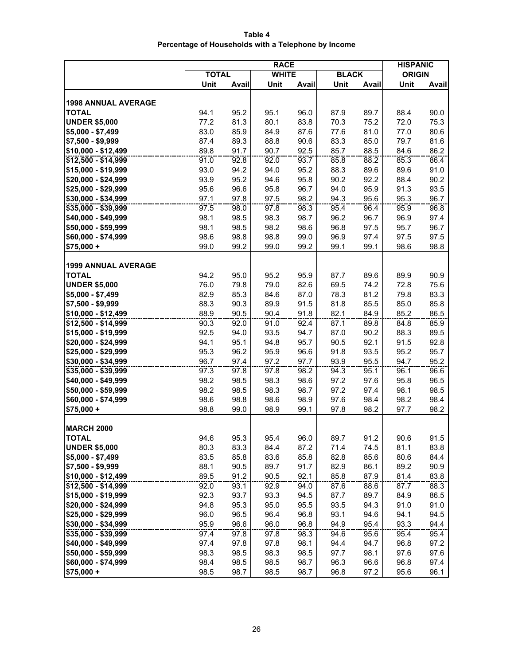**Table 4 Percentage of Households with a Telephone by Income**

|                                            | <b>RACE</b>  |              |              |              |              |              | <b>HISPANIC</b> |              |
|--------------------------------------------|--------------|--------------|--------------|--------------|--------------|--------------|-----------------|--------------|
|                                            | <b>TOTAL</b> |              | <b>WHITE</b> |              | <b>BLACK</b> |              | <b>ORIGIN</b>   |              |
|                                            | Unit         | Avail        | Unit         | Avail        | Unit         | Avail        | Unit            | Avail        |
|                                            |              |              |              |              |              |              |                 |              |
| <b>1998 ANNUAL AVERAGE</b>                 |              |              |              |              |              |              |                 |              |
| <b>TOTAL</b>                               | 94.1         | 95.2         | 95.1         | 96.0         | 87.9         | 89.7         | 88.4            | 90.0         |
| <b>UNDER \$5,000</b>                       | 77.2         | 81.3         | 80.1         | 83.8         | 70.3         | 75.2         | 72.0            | 75.3         |
| $$5,000 - $7,499$                          | 83.0         | 85.9         | 84.9         | 87.6         | 77.6         | 81.0         | 77.0            | 80.6         |
| $$7,500 - $9,999$                          | 87.4         | 89.3         | 88.8         | 90.6         | 83.3         | 85.0         | 79.7            | 81.6         |
| \$10,000 - \$12,499                        | 89.8         | 91.7         | 90.7         | 92.5         | 85.7         | 88.5         | 84.6            | 86.2         |
| \$12,500 - \$14,999                        | 91.0         | 92.8         | 92.0         | 93.7         | 85.8         | 88.2         | 85.3            | 86.4         |
| \$15,000 - \$19,999                        | 93.0         | 94.2         | 94.0         | 95.2         | 88.3         | 89.6         | 89.6            | 91.0         |
| \$20,000 - \$24,999                        | 93.9         | 95.2         | 94.6         | 95.8         | 90.2         | 92.2         | 88.4            | 90.2         |
| \$25,000 - \$29,999                        | 95.6         | 96.6         | 95.8         | 96.7         | 94.0         | 95.9         | 91.3            | 93.5         |
| \$30,000 - \$34,999                        | 97.1         | 97.8         | 97.5         | 98.2         | 94.3         | 95.6         | 95.3            | 96.7         |
| \$35,000 - \$39,999                        | 97.5         | 98.0         | 97.8         | 98.3         | 95.4         | 96.4         | 95.9            | 96.8         |
| \$40,000 - \$49,999                        | 98.1         | 98.5         | 98.3         | 98.7         | 96.2         | 96.7         | 96.9            | 97.4         |
| \$50,000 - \$59,999                        | 98.1         | 98.5         | 98.2         | 98.6         | 96.8         | 97.5         | 95.7            | 96.7         |
| \$60,000 - \$74,999                        | 98.6         | 98.8         | 98.8         | 99.0         | 96.9         | 97.4         | 97.5            | 97.5         |
| $$75,000 +$                                | 99.0         | 99.2         | 99.0         | 99.2         | 99.1         | 99.1         | 98.6            | 98.8         |
|                                            |              |              |              |              |              |              |                 |              |
| <b>1999 ANNUAL AVERAGE</b>                 |              |              |              |              |              |              |                 |              |
| <b>TOTAL</b>                               | 94.2         | 95.0         | 95.2         | 95.9         | 87.7         | 89.6         | 89.9            | 90.9         |
| <b>UNDER \$5,000</b>                       | 76.0         | 79.8         | 79.0         | 82.6         | 69.5         | 74.2         | 72.8            | 75.6         |
| $$5,000 - $7,499$                          | 82.9         | 85.3         | 84.6         | 87.0         | 78.3         | 81.2         | 79.8            | 83.3         |
| \$7,500 - \$9,999                          | 88.3         | 90.3         | 89.9<br>90.4 | 91.5         | 81.8<br>82.1 | 85.5         | 85.0<br>85.2    | 85.8<br>86.5 |
| \$10,000 - \$12,499<br>\$12,500 - \$14,999 | 88.9<br>90.3 | 90.5<br>92.0 | 91.0         | 91.8<br>92.4 | 87.1         | 84.9<br>89.8 | 84.8            | 85.9         |
| \$15,000 - \$19,999                        | 92.5         | 94.0         | 93.5         | 94.7         | 87.0         | 90.2         | 88.3            | 89.5         |
| \$20,000 - \$24,999                        | 94.1         | 95.1         | 94.8         | 95.7         | 90.5         | 92.1         | 91.5            | 92.8         |
| \$25,000 - \$29,999                        | 95.3         | 96.2         | 95.9         | 96.6         | 91.8         | 93.5         | 95.2            | 95.7         |
| \$30,000 - \$34,999                        | 96.7         | 97.4         | 97.2         | 97.7         | 93.9         | 95.5         | 94.7            | 95.2         |
| \$35,000 - \$39,999                        | 97.3         | 97.8         | 97.8         | 98.2         | 94.3         | 95.1         | 96.1            | 96.6         |
| \$40,000 - \$49,999                        | 98.2         | 98.5         | 98.3         | 98.6         | 97.2         | 97.6         | 95.8            | 96.5         |
| \$50,000 - \$59,999                        | 98.2         | 98.5         | 98.3         | 98.7         | 97.2         | 97.4         | 98.1            | 98.5         |
| \$60,000 - \$74,999                        | 98.6         | 98.8         | 98.6         | 98.9         | 97.6         | 98.4         | 98.2            | 98.4         |
| $$75,000 +$                                | 98.8         | 99.0         | 98.9         | 99.1         | 97.8         | 98.2         | 97.7            | 98.2         |
|                                            |              |              |              |              |              |              |                 |              |
| <b>MARCH 2000</b>                          |              |              |              |              |              |              |                 |              |
| TOTAL                                      | 94.6         | 95.3         | 95.4         | 96.0         | 89.7         | 91.2         | 90.6            | 91.5         |
| <b>UNDER \$5,000</b>                       | 80.3         | 83.3         | 84.4         | 87.2         | 71.4         | 74.5         | 81.1            | 83.8         |
| $$5,000 - $7,499$                          | 83.5         | 85.8         | 83.6         | 85.8         | 82.8         | 85.6         | 80.6            | 84.4         |
| \$7,500 - \$9,999                          | 88.1         | 90.5         | 89.7         | 91.7         | 82.9         | 86.1         | 89.2            | 90.9         |
| \$10,000 - \$12,499                        | 89.5         | 91.2         | 90.5         | 92.1         | 85.8         | 87.9         | 81.4            | 83.8         |
| \$12,500 - \$14,999                        | 92.0         | 93.1         | 92.9         | 94.0         | 87.6         | 88.6         | 87.7            | 88.3         |
| \$15,000 - \$19,999                        | 92.3         | 93.7         | 93.3         | 94.5         | 87.7         | 89.7         | 84.9            | 86.5         |
| \$20,000 - \$24,999                        | 94.8         | 95.3         | 95.0         | 95.5         | 93.5         | 94.3         | 91.0            | 91.0         |
| \$25,000 - \$29,999                        | 96.0         | 96.5         | 96.4         | 96.8         | 93.1         | 94.6         | 94.1            | 94.5         |
| \$30,000 - \$34,999                        | 95.9         | 96.6         | 96.0         | 96.8         | 94.9         | 95.4         | 93.3            | 94.4         |
| \$35,000 - \$39,999                        | 97.4         | 97.8         | 97.8         | 98.3         | 94.6         | 95.6         | 95.4            | 95.4         |
| \$40,000 - \$49,999                        | 97.4         | 97.8         | 97.8         | 98.1         | 94.4         | 94.7         | 96.8            | 97.2         |
| \$50,000 - \$59,999                        | 98.3         | 98.5         | 98.3         | 98.5         | 97.7         | 98.1         | 97.6            | 97.6         |
| \$60,000 - \$74,999                        | 98.4         | 98.5         | 98.5         | 98.7         | 96.3         | 96.6         | 96.8            | 97.4         |
| $$75,000 +$                                | 98.5         | 98.7         | 98.5         | 98.7         | 96.8         | 97.2         | 95.6            | 96.1         |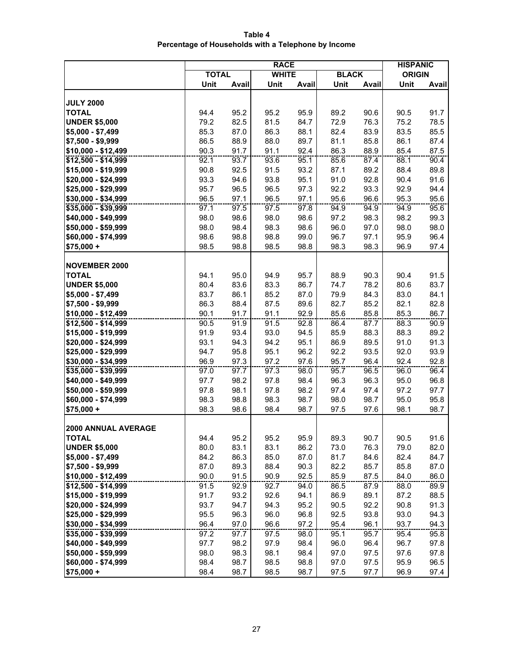**Table 4 Percentage of Households with a Telephone by Income**

|                               | <b>RACE</b>  |              |              |              |              |              | <b>HISPANIC</b> |              |
|-------------------------------|--------------|--------------|--------------|--------------|--------------|--------------|-----------------|--------------|
|                               | <b>TOTAL</b> |              | <b>WHITE</b> |              | <b>BLACK</b> |              | <b>ORIGIN</b>   |              |
|                               | Unit         | Avail        | Unit         | Avail        | Unit         | Avail        | Unit            | Avail        |
|                               |              |              |              |              |              |              |                 |              |
| <b>JULY 2000</b>              |              |              |              |              |              |              |                 |              |
| <b>TOTAL</b>                  | 94.4         | 95.2         | 95.2         | 95.9         | 89.2         | 90.6         | 90.5            | 91.7         |
| <b>UNDER \$5,000</b>          | 79.2         | 82.5         | 81.5         | 84.7         | 72.9         | 76.3         | 75.2            | 78.5         |
| $$5,000 - $7,499$             | 85.3         | 87.0         | 86.3         | 88.1         | 82.4         | 83.9         | 83.5            | 85.5         |
| $$7,500 - $9,999$             | 86.5         | 88.9         | 88.0         | 89.7         | 81.1         | 85.8         | 86.1            | 87.4         |
| \$10,000 - \$12,499           | 90.3         | 91.7         | 91.1         | 92.4         | 86.3         | 88.9         | 85.4            | 87.5         |
| \$12,500 - \$14,999           | 92.1         | 93.7         | 93.6         | 95.1         | 85.6         | 87.4         | 88.1            | 90.4         |
| \$15,000 - \$19,999           | 90.8         | 92.5         | 91.5         | 93.2         | 87.1         | 89.2         | 88.4            | 89.8         |
| \$20,000 - \$24,999           | 93.3         | 94.6         | 93.8         | 95.1         | 91.0         | 92.8         | 90.4            | 91.6         |
| \$25,000 - \$29,999           | 95.7         | 96.5         | 96.5         | 97.3         | 92.2         | 93.3         | 92.9            | 94.4         |
| $$30,000 - $34,999$           | 96.5         | 97.1         | 96.5         | 97.1         | 95.6         | 96.6         | 95.3            | 95.6         |
| \$35,000 - \$39,999           | 97.1         | 97.5         | 97.5         | 97.8         | 94.9         | 94.9         | 94.9            | 95.6         |
| \$40,000 - \$49,999           | 98.0         | 98.6         | 98.0         | 98.6         | 97.2         | 98.3         | 98.2            | 99.3         |
| \$50,000 - \$59,999           | 98.0         | 98.4         | 98.3         | 98.6         | 96.0         | 97.0         | 98.0            | 98.0         |
| \$60,000 - \$74,999           | 98.6         | 98.8         | 98.8         | 99.0         | 96.7         | 97.1         | 95.9            | 96.4         |
| $$75,000 +$                   | 98.5         | 98.8         | 98.5         | 98.8         | 98.3         | 98.3         | 96.9            | 97.4         |
|                               |              |              |              |              |              |              |                 |              |
| <b>NOVEMBER 2000</b>          |              |              |              |              |              |              |                 |              |
| <b>TOTAL</b>                  | 94.1         | 95.0         | 94.9         | 95.7         | 88.9         | 90.3         | 90.4            | 91.5         |
| <b>UNDER \$5,000</b>          | 80.4         | 83.6         | 83.3         | 86.7         | 74.7         | 78.2         | 80.6            | 83.7         |
| $$5,000 - $7,499$             | 83.7         | 86.1         | 85.2         | 87.0         | 79.9         | 84.3         | 83.0            | 84.1         |
| \$7,500 - \$9,999             | 86.3         | 88.4         | 87.5         | 89.6         | 82.7         | 85.2         | 82.1            | 82.8         |
| $$10,000 - $12,499$           | 90.1         | 91.7         | 91.1         | 92.9         | 85.6         | 85.8         | 85.3            | 86.7         |
| \$12,500 - \$14,999           | 90.5         | 91.9         | 91.5         | 92.8         | 86.4         | 87.7         | 88.3            | 90.9         |
| \$15,000 - \$19,999           | 91.9         | 93.4         | 93.0         | 94.5         | 85.9         | 88.3         | 88.3            | 89.2         |
| \$20,000 - \$24,999           | 93.1         | 94.3         | 94.2         | 95.1         | 86.9         | 89.5         | 91.0            | 91.3         |
| \$25,000 - \$29,999           | 94.7         | 95.8         | 95.1         | 96.2         | 92.2         | 93.5         | 92.0            | 93.9         |
| \$30,000 - \$34,999           | 96.9         | 97.3         | 97.2         | 97.6         | 95.7         | 96.4         | 92.4            | 92.8         |
| \$35,000 - \$39,999           | 97.0         | 97.7         | 97.3         | 98.0         | 95.7         | 96.5         | 96.0            | 96.4         |
| \$40,000 - \$49,999           | 97.7         | 98.2         | 97.8         | 98.4         | 96.3         | 96.3         | 95.0            | 96.8         |
| \$50,000 - \$59,999           | 97.8         | 98.1         | 97.8         | 98.2         | 97.4         | 97.4         | 97.2            | 97.7         |
| \$60,000 - \$74,999           | 98.3         | 98.8         | 98.3         | 98.7         | 98.0         | 98.7         | 95.0            | 95.8         |
| $$75,000 +$                   | 98.3         | 98.6         | 98.4         | 98.7         | 97.5         | 97.6         | 98.1            | 98.7         |
| <b>2000 ANNUAL AVERAGE</b>    |              |              |              |              |              |              |                 |              |
|                               |              |              |              |              |              |              |                 |              |
| TOTAL<br><b>UNDER \$5,000</b> | 94.4<br>80.0 | 95.2<br>83.1 | 95.2<br>83.1 | 95.9<br>86.2 | 89.3<br>73.0 | 90.7<br>76.3 | 90.5<br>79.0    | 91.6<br>82.0 |
| $$5,000 - $7,499$             | 84.2         | 86.3         | 85.0         | 87.0         | 81.7         | 84.6         | 82.4            | 84.7         |
| \$7,500 - \$9,999             | 87.0         | 89.3         | 88.4         | 90.3         | 82.2         | 85.7         | 85.8            | 87.0         |
| \$10,000 - \$12,499           | 90.0         | 91.5         | 90.9         | 92.5         | 85.9         | 87.5         | 84.0            | 86.0         |
| \$12,500 - \$14,999           | 91.5         | 92.9         | 92.7         | 94.0         | 86.5         | 87.9         | 88.0            | 89.9         |
| \$15,000 - \$19,999           | 91.7         | 93.2         | 92.6         | 94.1         | 86.9         | 89.1         | 87.2            | 88.5         |
| \$20,000 - \$24,999           | 93.7         | 94.7         | 94.3         | 95.2         | 90.5         | 92.2         | 90.8            | 91.3         |
| \$25,000 - \$29,999           | 95.5         | 96.3         | 96.0         | 96.8         | 92.5         | 93.8         | 93.0            | 94.3         |
| \$30,000 - \$34,999           | 96.4         | 97.0         | 96.6         | 97.2         | 95.4         | 96.1         | 93.7            | 94.3         |
| \$35,000 - \$39,999           | 97.2         | 97.7         | 97.5         | 98.0         | 95.1         | 95.7         | 95.4            | 95.8         |
| \$40,000 - \$49,999           | 97.7         | 98.2         | 97.9         | 98.4         | 96.0         | 96.4         | 96.7            | 97.8         |
| \$50,000 - \$59,999           | 98.0         | 98.3         | 98.1         | 98.4         | 97.0         | 97.5         | 97.6            | 97.8         |
| \$60,000 - \$74,999           | 98.4         | 98.7         | 98.5         | 98.8         | 97.0         | 97.5         | 95.9            | 96.5         |
| $$75,000 +$                   | 98.4         | 98.7         | 98.5         | 98.7         | 97.5         | 97.7         | 96.9            | 97.4         |
|                               |              |              |              |              |              |              |                 |              |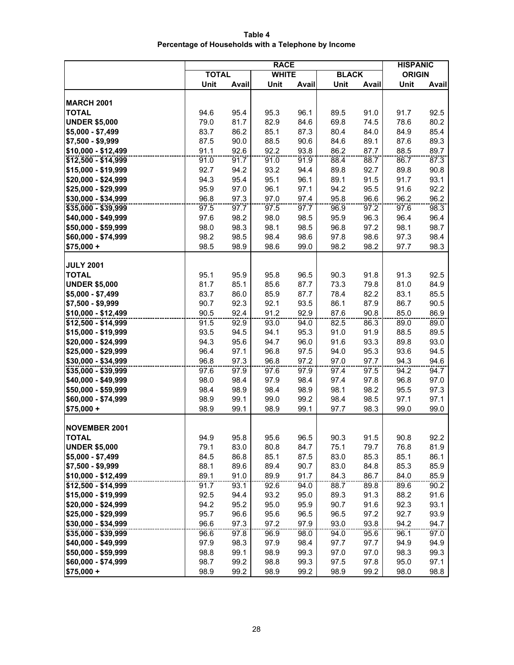**Table 4 Percentage of Households with a Telephone by Income**

|                                      | <b>RACE</b>  |       |              |       |              |       | <b>HISPANIC</b> |              |
|--------------------------------------|--------------|-------|--------------|-------|--------------|-------|-----------------|--------------|
|                                      | <b>TOTAL</b> |       | <b>WHITE</b> |       | <b>BLACK</b> |       | <b>ORIGIN</b>   |              |
|                                      | Unit         | Avail | Unit         | Avail | Unit         | Avail | Unit            | Avail        |
|                                      |              |       |              |       |              |       |                 |              |
| <b>MARCH 2001</b>                    |              |       |              |       |              |       |                 |              |
| <b>TOTAL</b>                         | 94.6         | 95.4  | 95.3         | 96.1  | 89.5         | 91.0  | 91.7            | 92.5         |
| <b>UNDER \$5,000</b>                 | 79.0         | 81.7  | 82.9         | 84.6  | 69.8         | 74.5  | 78.6            | 80.2         |
| $$5,000 - $7,499$                    | 83.7         | 86.2  | 85.1         | 87.3  | 80.4         | 84.0  | 84.9            | 85.4         |
| \$7,500 - \$9,999                    | 87.5         | 90.0  | 88.5         | 90.6  | 84.6         | 89.1  | 87.6            | 89.3         |
| \$10,000 - \$12,499                  | 91.1         | 92.6  | 92.2         | 93.8  | 86.2         | 87.7  | 88.5            | 89.7         |
| \$12,500 - \$14,999                  | 91.0         | 91.7  | 91.0         | 91.9  | 88.4         | 88.7  | 86.7            | 87.3         |
| \$15,000 - \$19,999                  | 92.7         | 94.2  | 93.2         | 94.4  | 89.8         | 92.7  | 89.8            | 90.8         |
| \$20,000 - \$24,999                  | 94.3         | 95.4  | 95.1         | 96.1  | 89.1         | 91.5  | 91.7            | 93.1         |
| \$25,000 - \$29,999                  | 95.9         | 97.0  | 96.1         | 97.1  | 94.2         | 95.5  | 91.6            | 92.2         |
| \$30,000 - \$34,999                  | 96.8         | 97.3  | 97.0         | 97.4  | 95.8         | 96.6  | 96.2            | 96.2         |
| \$35,000 - \$39,999                  | 97.5         | 97.7  | 97.5         | 97.7  | 96.9         | 97.2  | 97.6            | 98.3         |
| \$40,000 - \$49,999                  | 97.6         | 98.2  | 98.0         | 98.5  | 95.9         | 96.3  | 96.4            | 96.4         |
| \$50,000 - \$59,999                  | 98.0         | 98.3  | 98.1         | 98.5  | 96.8         | 97.2  | 98.1            | 98.7         |
| \$60,000 - \$74,999                  | 98.2         | 98.5  | 98.4         | 98.6  | 97.8         | 98.6  | 97.3            | 98.4         |
| $$75,000 +$                          | 98.5         | 98.9  | 98.6         | 99.0  | 98.2         | 98.2  | 97.7            | 98.3         |
|                                      |              |       |              |       |              |       |                 |              |
| <b>JULY 2001</b>                     |              |       |              |       |              |       |                 |              |
| <b>TOTAL</b>                         | 95.1         | 95.9  | 95.8         | 96.5  | 90.3         | 91.8  | 91.3            | 92.5         |
| <b>UNDER \$5,000</b>                 | 81.7         | 85.1  | 85.6         | 87.7  | 73.3         | 79.8  | 81.0            | 84.9         |
| \$5,000 - \$7,499                    | 83.7         | 86.0  | 85.9         | 87.7  | 78.4         | 82.2  | 83.1            | 85.5         |
| \$7,500 - \$9,999                    | 90.7         | 92.3  | 92.1         | 93.5  | 86.1         | 87.9  | 86.7            | 90.5         |
| \$10,000 - \$12,499                  | 90.5         | 92.4  | 91.2         | 92.9  | 87.6         | 90.8  | 85.0            | 86.9         |
| \$12,500 - \$14,999                  | 91.5         | 92.9  | 93.0         | 94.0  | 82.5         | 86.3  | 89.0            | 89.0         |
| \$15,000 - \$19,999                  | 93.5         | 94.5  | 94.1         | 95.3  | 91.0         | 91.9  | 88.5            | 89.5         |
| \$20,000 - \$24,999                  | 94.3         | 95.6  | 94.7         | 96.0  | 91.6         | 93.3  | 89.8            | 93.0         |
| \$25,000 - \$29,999                  | 96.4         | 97.1  | 96.8         | 97.5  | 94.0         | 95.3  | 93.6            | 94.5         |
| \$30,000 - \$34,999                  | 96.8         | 97.3  | 96.8         | 97.2  | 97.0         | 97.7  | 94.3            | 94.6         |
| $$35,000 - $39,999$                  | 97.6         | 97.9  | 97.6         | 97.9  | 97.4         | 97.5  | 94.2            | 94.7         |
| \$40,000 - \$49,999                  | 98.0         | 98.4  | 97.9         | 98.4  | 97.4         | 97.8  | 96.8            | 97.0         |
| \$50,000 - \$59,999                  | 98.4         | 98.9  | 98.4         | 98.9  | 98.1         | 98.2  | 95.5            | 97.3         |
| \$60,000 - \$74,999                  | 98.9         | 99.1  | 99.0         | 99.2  | 98.4         | 98.5  | 97.1            | 97.1         |
| $$75,000 +$                          | 98.9         | 99.1  | 98.9         | 99.1  | 97.7         | 98.3  | 99.0            | 99.0         |
| <b>NOVEMBER 2001</b>                 |              |       |              |       |              |       |                 |              |
|                                      | 94.9         | 95.8  |              | 96.5  |              | 91.5  |                 |              |
| <b>IOIAL</b><br><b>UNDER \$5,000</b> | 79.1         | 83.0  | 95.6<br>80.8 | 84.7  | 90.3<br>75.1 | 79.7  | 90.8<br>76.8    | 92.2<br>81.9 |
| $$5,000 - $7,499$                    | 84.5         | 86.8  | 85.1         | 87.5  | 83.0         | 85.3  | 85.1            | 86.1         |
| \$7,500 - \$9,999                    | 88.1         | 89.6  | 89.4         | 90.7  | 83.0         | 84.8  | 85.3            | 85.9         |
| \$10,000 - \$12,499                  | 89.1         | 91.0  | 89.9         | 91.7  | 84.3         | 86.7  | 84.0            | 85.9         |
| $$12,500 - $14,999$                  | 91.7         | 93.1  | 92.6         | 94.0  | 88.7         | 89.8  | 89.6            | 90.2         |
| \$15,000 - \$19,999                  | 92.5         | 94.4  | 93.2         | 95.0  | 89.3         | 91.3  | 88.2            | 91.6         |
| \$20,000 - \$24,999                  | 94.2         | 95.2  | 95.0         | 95.9  | 90.7         | 91.6  | 92.3            | 93.1         |
| \$25,000 - \$29,999                  | 95.7         | 96.6  | 95.6         | 96.5  | 96.5         | 97.2  | 92.7            | 93.9         |
| \$30,000 - \$34,999                  | 96.6         | 97.3  | 97.2         | 97.9  | 93.0         | 93.8  | 94.2            | 94.7         |
| \$35,000 - \$39,999                  | 96.6         | 97.8  | 96.9         | 98.0  | 94.0         | 95.6  | 96.1            | 97.0         |
| \$40,000 - \$49,999                  | 97.9         | 98.3  | 97.9         | 98.4  | 97.7         | 97.7  | 94.9            | 94.9         |
| \$50,000 - \$59,999                  | 98.8         | 99.1  | 98.9         | 99.3  | 97.0         | 97.0  | 98.3            | 99.3         |
| \$60,000 - \$74,999                  | 98.7         | 99.2  | 98.8         | 99.3  | 97.5         | 97.8  | 95.0            | 97.1         |
| $$75,000 +$                          | 98.9         | 99.2  | 98.9         | 99.2  | 98.9         | 99.2  | 98.0            | 98.8         |
|                                      |              |       |              |       |              |       |                 |              |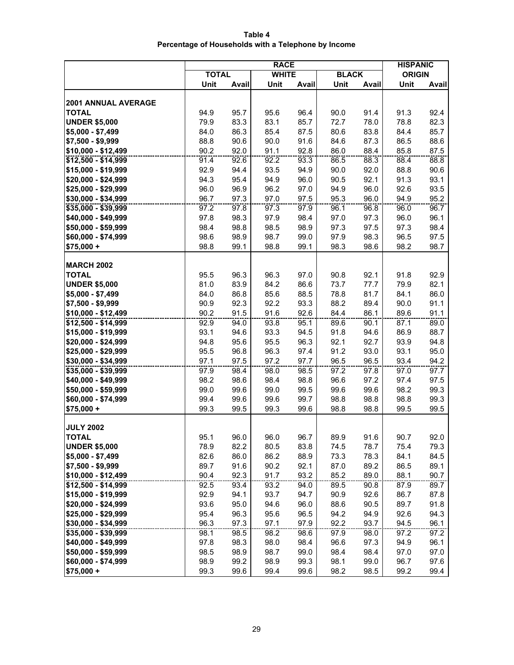**Table 4 Percentage of Households with a Telephone by Income**

|                                  | <b>RACE</b>  |       |              |       |              |              | <b>HISPANIC</b> |       |
|----------------------------------|--------------|-------|--------------|-------|--------------|--------------|-----------------|-------|
|                                  | <b>TOTAL</b> |       | <b>WHITE</b> |       | <b>BLACK</b> |              | <b>ORIGIN</b>   |       |
|                                  | Unit         | Avail | Unit         | Avail | Unit         | <b>Avail</b> | Unit            | Avail |
|                                  |              |       |              |       |              |              |                 |       |
| 2001 ANNUAL AVERAGE              |              |       |              |       |              |              |                 |       |
| <b>TOTAL</b>                     | 94.9         | 95.7  | 95.6         | 96.4  | 90.0         | 91.4         | 91.3            | 92.4  |
| <b>UNDER \$5,000</b>             | 79.9         | 83.3  | 83.1         | 85.7  | 72.7         | 78.0         | 78.8            | 82.3  |
| $$5,000 - $7,499$                | 84.0         | 86.3  | 85.4         | 87.5  | 80.6         | 83.8         | 84.4            | 85.7  |
| \$7,500 - \$9,999                | 88.8         | 90.6  | 90.0         | 91.6  | 84.6         | 87.3         | 86.5            | 88.6  |
| \$10,000 - \$12,499              | 90.2         | 92.0  | 91.1         | 92.8  | 86.0         | 88.4         | 85.8            | 87.5  |
| \$12,500 - \$14,999              | 91.4         | 92.6  | 92.2         | 93.3  | 86.5         | 88.3         | 88.4            | 88.8  |
| \$15,000 - \$19,999              | 92.9         | 94.4  | 93.5         | 94.9  | 90.0         | 92.0         | 88.8            | 90.6  |
| \$20,000 - \$24,999              | 94.3         | 95.4  | 94.9         | 96.0  | 90.5         | 92.1         | 91.3            | 93.1  |
| \$25,000 - \$29,999              | 96.0         | 96.9  | 96.2         | 97.0  | 94.9         | 96.0         | 92.6            | 93.5  |
| \$30,000 - \$34,999              | 96.7         | 97.3  | 97.0         | 97.5  | 95.3         | 96.0         | 94.9            | 95.2  |
| \$35,000 - \$39,999              | 97.2         | 97.8  | 97.3         | 97.9  | 96.1         | 96.8         | 96.0            | 96.7  |
| \$40,000 - \$49,999              | 97.8         | 98.3  | 97.9         | 98.4  | 97.0         | 97.3         | 96.0            | 96.1  |
| \$50,000 - \$59,999              | 98.4         | 98.8  | 98.5         | 98.9  | 97.3         | 97.5         | 97.3            | 98.4  |
| \$60,000 - \$74,999              | 98.6         | 98.9  | 98.7         | 99.0  | 97.9         | 98.3         | 96.5            | 97.5  |
| $$75,000 +$                      | 98.8         | 99.1  | 98.8         | 99.1  | 98.3         | 98.6         | 98.2            | 98.7  |
|                                  |              |       |              |       |              |              |                 |       |
| <b>MARCH 2002</b>                |              |       |              |       |              |              |                 |       |
| <b>TOTAL</b>                     | 95.5         | 96.3  | 96.3         | 97.0  | 90.8         | 92.1         | 91.8            | 92.9  |
| <b>UNDER \$5,000</b>             | 81.0         | 83.9  | 84.2         | 86.6  | 73.7         | 77.7         | 79.9            | 82.1  |
| $$5,000 - $7,499$                | 84.0         | 86.8  | 85.6         | 88.5  | 78.8         | 81.7         | 84.1            | 86.0  |
| \$7,500 - \$9,999                | 90.9         | 92.3  | 92.2         | 93.3  | 88.2         | 89.4         | 90.0            | 91.1  |
| \$10,000 - \$12,499              | 90.2         | 91.5  | 91.6         | 92.6  | 84.4         | 86.1         | 89.6            | 91.1  |
| \$12,500 - \$14,999              | 92.9         | 94.0  | 93.8         | 95.1  | 89.6         | 90.1         | 87.1            | 89.0  |
| \$15,000 - \$19,999              | 93.1         | 94.6  | 93.3         | 94.5  | 91.8         | 94.6         | 86.9            | 88.7  |
| \$20,000 - \$24,999              | 94.8         | 95.6  | 95.5         | 96.3  | 92.1         | 92.7         | 93.9            | 94.8  |
| \$25,000 - \$29,999              | 95.5         | 96.8  | 96.3         | 97.4  | 91.2         | 93.0         | 93.1            | 95.0  |
| \$30,000 - \$34,999              | 97.1         | 97.5  | 97.2         | 97.7  | 96.5         | 96.5         | 93.4            | 94.2  |
| \$35,000 - \$39,999              | 97.9         | 98.4  | 98.0         | 98.5  | 97.2         | 97.8         | 97.0            | 97.7  |
| \$40,000 - \$49,999              | 98.2         | 98.6  | 98.4         | 98.8  | 96.6         | 97.2         | 97.4            | 97.5  |
| \$50,000 - \$59,999              | 99.0         | 99.6  | 99.0         | 99.5  | 99.6         | 99.6         | 98.2            | 99.3  |
| \$60,000 - \$74,999              | 99.4         | 99.6  | 99.6         | 99.7  | 98.8         | 98.8         | 98.8            | 99.3  |
| $$75,000 +$                      | 99.3         | 99.5  | 99.3         | 99.6  | 98.8         | 98.8         | 99.5            | 99.5  |
|                                  |              |       |              |       |              |              |                 |       |
| <b>JULY 2002</b><br><b>TOTAL</b> | 95.1         | 96.0  | 96.0         | 96.7  | 89.9         | 91.6         | 90.7            | 92.0  |
| <b>UNDER \$5,000</b>             | 78.9         | 82.2  | 80.5         | 83.8  | 74.5         | 78.7         | 75.4            | 79.3  |
| \$5,000 - \$7,499                | 82.6         | 86.0  | 86.2         | 88.9  | 73.3         | 78.3         | 84.1            | 84.5  |
| \$7,500 - \$9,999                | 89.7         | 91.6  | 90.2         | 92.1  | 87.0         | 89.2         | 86.5            | 89.1  |
| \$10,000 - \$12,499              | 90.4         | 92.3  | 91.7         | 93.2  | 85.2         | 89.0         | 88.1            | 90.7  |
| \$12,500 - \$14,999              | 92.5         | 93.4  | 93.2         | 94.0  | 89.5         | 90.8         | 87.9            | 89.7  |
| \$15,000 - \$19,999              | 92.9         | 94.1  | 93.7         | 94.7  | 90.9         | 92.6         | 86.7            | 87.8  |
| \$20,000 - \$24,999              | 93.6         | 95.0  | 94.6         | 96.0  | 88.6         | 90.5         | 89.7            | 91.8  |
| \$25,000 - \$29,999              | 95.4         | 96.3  | 95.6         | 96.5  | 94.2         | 94.9         | 92.6            | 94.3  |
| \$30,000 - \$34,999              | 96.3         | 97.3  | 97.1         | 97.9  | 92.2         | 93.7         | 94.5            | 96.1  |
| \$35,000 - \$39,999              | 98.1         | 98.5  | 98.2         | 98.6  | 97.9         | 98.0         | 97.2            | 97.2  |
| \$40,000 - \$49,999              | 97.8         | 98.3  | 98.0         | 98.4  | 96.6         | 97.3         | 94.9            | 96.1  |
| \$50,000 - \$59,999              | 98.5         | 98.9  | 98.7         | 99.0  | 98.4         | 98.4         | 97.0            | 97.0  |
| \$60,000 - \$74,999              | 98.9         | 99.2  | 98.9         | 99.3  | 98.1         | 99.0         | 96.7            | 97.6  |
| $$75,000 +$                      | 99.3         | 99.6  | 99.4         | 99.6  | 98.2         | 98.5         | 99.2            | 99.4  |
|                                  |              |       |              |       |              |              |                 |       |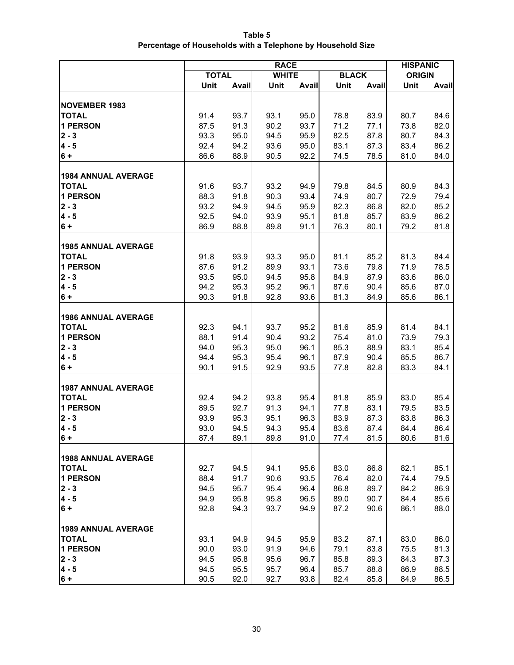**Table 5 Percentage of Households with a Telephone by Household Size**

|                                            | <b>RACE</b>  |       |              |       |              |       | <b>HISPANIC</b> |       |
|--------------------------------------------|--------------|-------|--------------|-------|--------------|-------|-----------------|-------|
|                                            | <b>TOTAL</b> |       | <b>WHITE</b> |       | <b>BLACK</b> |       | <b>ORIGIN</b>   |       |
|                                            | Unit         | Avail | Unit         | Avail | Unit         | Avail | Unit            | Avail |
|                                            |              |       |              |       |              |       |                 |       |
| <b>NOVEMBER 1983</b>                       |              |       |              |       |              |       |                 |       |
| <b>TOTAL</b>                               | 91.4         | 93.7  | 93.1         | 95.0  | 78.8         | 83.9  | 80.7            | 84.6  |
| <b>1 PERSON</b>                            | 87.5         | 91.3  | 90.2         | 93.7  | 71.2         | 77.1  | 73.8            | 82.0  |
| $2 - 3$                                    | 93.3         | 95.0  | 94.5         | 95.9  | 82.5         | 87.8  | 80.7            | 84.3  |
| $4 - 5$                                    | 92.4         | 94.2  | 93.6         | 95.0  | 83.1         | 87.3  | 83.4            | 86.2  |
| $6+$                                       | 86.6         | 88.9  | 90.5         | 92.2  | 74.5         | 78.5  | 81.0            | 84.0  |
|                                            |              |       |              |       |              |       |                 |       |
| <b>1984 ANNUAL AVERAGE</b>                 |              |       |              |       |              |       |                 |       |
| <b>TOTAL</b>                               | 91.6         | 93.7  | 93.2         | 94.9  | 79.8         | 84.5  | 80.9            | 84.3  |
| <b>1 PERSON</b>                            | 88.3         | 91.8  | 90.3         | 93.4  | 74.9         | 80.7  | 72.9            | 79.4  |
| $2 - 3$                                    | 93.2         | 94.9  | 94.5         | 95.9  | 82.3         | 86.8  | 82.0            | 85.2  |
| $4 - 5$                                    | 92.5<br>86.9 | 94.0  | 93.9         | 95.1  | 81.8         | 85.7  | 83.9<br>79.2    | 86.2  |
| $6+$                                       |              | 88.8  | 89.8         | 91.1  | 76.3         | 80.1  |                 | 81.8  |
| <b>1985 ANNUAL AVERAGE</b>                 |              |       |              |       |              |       |                 |       |
| <b>TOTAL</b>                               | 91.8         | 93.9  | 93.3         | 95.0  | 81.1         | 85.2  | 81.3            | 84.4  |
| <b>1 PERSON</b>                            | 87.6         | 91.2  | 89.9         | 93.1  | 73.6         | 79.8  | 71.9            | 78.5  |
| $2 - 3$                                    | 93.5         | 95.0  | 94.5         | 95.8  | 84.9         | 87.9  | 83.6            | 86.0  |
| $4 - 5$                                    | 94.2         | 95.3  | 95.2         | 96.1  | 87.6         | 90.4  | 85.6            | 87.0  |
| $6+$                                       | 90.3         | 91.8  | 92.8         | 93.6  | 81.3         | 84.9  | 85.6            | 86.1  |
|                                            |              |       |              |       |              |       |                 |       |
| <b>1986 ANNUAL AVERAGE</b>                 |              |       |              |       |              |       |                 |       |
| <b>TOTAL</b>                               | 92.3         | 94.1  | 93.7         | 95.2  | 81.6         | 85.9  | 81.4            | 84.1  |
| <b>1 PERSON</b>                            | 88.1         | 91.4  | 90.4         | 93.2  | 75.4         | 81.0  | 73.9            | 79.3  |
| $2 - 3$                                    | 94.0         | 95.3  | 95.0         | 96.1  | 85.3         | 88.9  | 83.1            | 85.4  |
| $4 - 5$                                    | 94.4         | 95.3  | 95.4         | 96.1  | 87.9         | 90.4  | 85.5            | 86.7  |
| $6+$                                       | 90.1         | 91.5  | 92.9         | 93.5  | 77.8         | 82.8  | 83.3            | 84.1  |
|                                            |              |       |              |       |              |       |                 |       |
| <b>1987 ANNUAL AVERAGE</b>                 |              |       |              |       |              |       |                 |       |
| <b>TOTAL</b>                               | 92.4         | 94.2  | 93.8         | 95.4  | 81.8         | 85.9  | 83.0            | 85.4  |
| <b>1 PERSON</b>                            | 89.5         | 92.7  | 91.3         | 94.1  | 77.8         | 83.1  | 79.5            | 83.5  |
| $ 2 - 3 $                                  | 93.9         | 95.3  | 95.1         | 96.3  | 83.9         | 87.3  | 83.8            | 86.3  |
| $4 - 5$                                    | 93.0         | 94.5  | 94.3         | 95.4  | 83.6         | 87.4  | 84.4            | 86.4  |
| 6 +                                        | 87.4         | 89.1  | 89.8         | 91.0  | 77.4         | 81.5  | 80.6            | 81.6  |
|                                            |              |       |              |       |              |       |                 |       |
| <b>1988 ANNUAL AVERAGE</b><br><b>TOTAL</b> | 92.7         | 94.5  | 94.1         | 95.6  | 83.0         | 86.8  | 82.1            | 85.1  |
| <b>1 PERSON</b>                            | 88.4         | 91.7  | 90.6         | 93.5  | 76.4         | 82.0  | 74.4            | 79.5  |
| $2 - 3$                                    | 94.5         | 95.7  | 95.4         | 96.4  | 86.8         | 89.7  | 84.2            | 86.9  |
| $4 - 5$                                    | 94.9         | 95.8  | 95.8         | 96.5  | 89.0         | 90.7  | 84.4            | 85.6  |
| $6 +$                                      | 92.8         | 94.3  | 93.7         | 94.9  | 87.2         | 90.6  | 86.1            | 88.0  |
|                                            |              |       |              |       |              |       |                 |       |
| <b>1989 ANNUAL AVERAGE</b>                 |              |       |              |       |              |       |                 |       |
| <b>TOTAL</b>                               | 93.1         | 94.9  | 94.5         | 95.9  | 83.2         | 87.1  | 83.0            | 86.0  |
| <b>1 PERSON</b>                            | 90.0         | 93.0  | 91.9         | 94.6  | 79.1         | 83.8  | 75.5            | 81.3  |
| $2 - 3$                                    | 94.5         | 95.8  | 95.6         | 96.7  | 85.8         | 89.3  | 84.3            | 87.3  |
| $4 - 5$                                    | 94.5         | 95.5  | 95.7         | 96.4  | 85.7         | 88.8  | 86.9            | 88.5  |
| $6 +$                                      | 90.5         | 92.0  | 92.7         | 93.8  | 82.4         | 85.8  | 84.9            | 86.5  |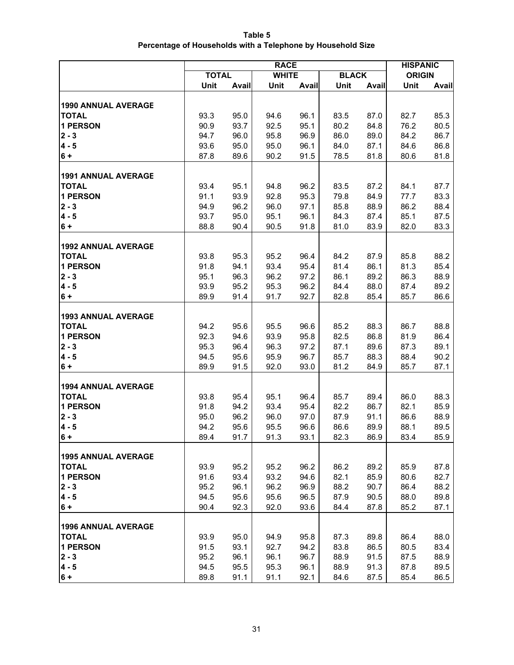| Table 5                                                     |
|-------------------------------------------------------------|
| Percentage of Households with a Telephone by Household Size |

|                                            |              | <b>HISPANIC</b> |              |       |              |              |               |       |
|--------------------------------------------|--------------|-----------------|--------------|-------|--------------|--------------|---------------|-------|
|                                            | <b>TOTAL</b> |                 | <b>WHITE</b> |       | <b>BLACK</b> |              | <b>ORIGIN</b> |       |
|                                            | Unit         | Avail           | Unit         | Avail | Unit         | Avail        | Unit          | Avail |
|                                            |              |                 |              |       |              |              |               |       |
| <b>1990 ANNUAL AVERAGE</b>                 |              |                 |              |       |              |              |               |       |
| <b>TOTAL</b>                               | 93.3         | 95.0            | 94.6         | 96.1  | 83.5         | 87.0         | 82.7          | 85.3  |
| <b>1 PERSON</b>                            | 90.9         | 93.7            | 92.5         | 95.1  | 80.2         | 84.8         | 76.2          | 80.5  |
| $2 - 3$                                    | 94.7         | 96.0            | 95.8         | 96.9  | 86.0         | 89.0         | 84.2          | 86.7  |
| $4 - 5$                                    | 93.6         | 95.0            | 95.0         | 96.1  | 84.0         | 87.1         | 84.6          | 86.8  |
| $6+$                                       | 87.8         | 89.6            | 90.2         | 91.5  | 78.5         | 81.8         | 80.6          | 81.8  |
|                                            |              |                 |              |       |              |              |               |       |
| <b>1991 ANNUAL AVERAGE</b><br><b>TOTAL</b> | 93.4         | 95.1            | 94.8         | 96.2  | 83.5         | 87.2         | 84.1          | 87.7  |
| <b>1 PERSON</b>                            | 91.1         | 93.9            | 92.8         | 95.3  | 79.8         | 84.9         | 77.7          | 83.3  |
| $2 - 3$                                    | 94.9         | 96.2            | 96.0         | 97.1  | 85.8         | 88.9         | 86.2          | 88.4  |
| $4 - 5$                                    | 93.7         | 95.0            | 95.1         | 96.1  | 84.3         | 87.4         | 85.1          | 87.5  |
| $6+$                                       | 88.8         | 90.4            | 90.5         | 91.8  | 81.0         | 83.9         | 82.0          | 83.3  |
|                                            |              |                 |              |       |              |              |               |       |
| <b>1992 ANNUAL AVERAGE</b>                 |              |                 |              |       |              |              |               |       |
| <b>TOTAL</b>                               | 93.8         | 95.3            | 95.2         | 96.4  | 84.2         | 87.9         | 85.8          | 88.2  |
| <b>1 PERSON</b>                            | 91.8         | 94.1            | 93.4         | 95.4  | 81.4         | 86.1         | 81.3          | 85.4  |
| $2 - 3$                                    | 95.1         | 96.3            | 96.2         | 97.2  | 86.1         | 89.2         | 86.3          | 88.9  |
| $4 - 5$                                    | 93.9         | 95.2            | 95.3         | 96.2  | 84.4         | 88.0         | 87.4          | 89.2  |
| $6 +$                                      | 89.9         | 91.4            | 91.7         | 92.7  | 82.8         | 85.4         | 85.7          | 86.6  |
|                                            |              |                 |              |       |              |              |               |       |
| <b>1993 ANNUAL AVERAGE</b>                 |              |                 |              |       |              |              |               |       |
| <b>TOTAL</b>                               | 94.2         | 95.6            | 95.5         | 96.6  | 85.2         | 88.3         | 86.7          | 88.8  |
| <b>1 PERSON</b>                            | 92.3         | 94.6            | 93.9         | 95.8  | 82.5         | 86.8         | 81.9          | 86.4  |
| $2 - 3$                                    | 95.3         | 96.4            | 96.3         | 97.2  | 87.1         | 89.6         | 87.3          | 89.1  |
| $4 - 5$                                    | 94.5<br>89.9 | 95.6<br>91.5    | 95.9         | 96.7  | 85.7<br>81.2 | 88.3         | 88.4<br>85.7  | 90.2  |
| $6+$                                       |              |                 | 92.0         | 93.0  |              | 84.9         |               | 87.1  |
| <b>1994 ANNUAL AVERAGE</b>                 |              |                 |              |       |              |              |               |       |
| <b>TOTAL</b>                               | 93.8         | 95.4            | 95.1         | 96.4  | 85.7         | 89.4         | 86.0          | 88.3  |
| <b>1 PERSON</b>                            | 91.8         | 94.2            | 93.4         | 95.4  | 82.2         | 86.7         | 82.1          | 85.9  |
| $2 - 3$                                    | 95.0         | 96.2            | 96.0         | 97.0  | 87.9         | 91.1         | 86.6          | 88.9  |
| $4 - 5$                                    | 94.2         | 95.6            | 95.5         | 96.6  | 86.6         | 89.9         | 88.1          | 89.5  |
| 6+                                         | 89.4         | 91.7            | 91.3         | 93.1  | 82.3         | 86.9         | 83.4          | 85.9  |
|                                            |              |                 |              |       |              |              |               |       |
| <b>1995 ANNUAL AVERAGE</b>                 |              |                 |              |       |              |              |               |       |
| <b>TOTAL</b>                               | 93.9         | 95.2            | 95.2         | 96.2  | 86.2         | 89.2         | 85.9          | 87.8  |
| <b>1 PERSON</b>                            | 91.6         | 93.4            | 93.2         | 94.6  | 82.1         | 85.9         | 80.6          | 82.7  |
| $2 - 3$                                    | 95.2         | 96.1            | 96.2         | 96.9  | 88.2         | 90.7         | 86.4          | 88.2  |
| $4 - 5$                                    | 94.5         | 95.6            | 95.6         | 96.5  | 87.9         | 90.5         | 88.0          | 89.8  |
| $6+$                                       | 90.4         | 92.3            | 92.0         | 93.6  | 84.4         | 87.8         | 85.2          | 87.1  |
|                                            |              |                 |              |       |              |              |               |       |
| <b>1996 ANNUAL AVERAGE</b>                 |              | 95.0            |              | 95.8  |              |              | 86.4          | 88.0  |
| <b>TOTAL</b><br><b>1 PERSON</b>            | 93.9<br>91.5 | 93.1            | 94.9<br>92.7 | 94.2  | 87.3<br>83.8 | 89.8<br>86.5 | 80.5          | 83.4  |
| $2 - 3$                                    | 95.2         | 96.1            | 96.1         | 96.7  | 88.9         | 91.5         | 87.5          | 88.9  |
| $4 - 5$                                    | 94.5         | 95.5            | 95.3         | 96.1  | 88.9         | 91.3         | 87.8          | 89.5  |
| $6 +$                                      | 89.8         | 91.1            | 91.1         | 92.1  | 84.6         | 87.5         | 85.4          | 86.5  |
|                                            |              |                 |              |       |              |              |               |       |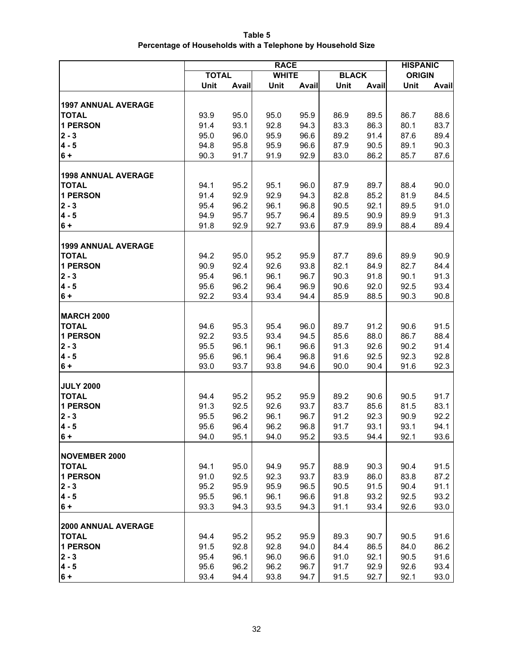| Table 5                                                     |
|-------------------------------------------------------------|
| Percentage of Households with a Telephone by Household Size |

|                                 | <b>RACE</b>  |              |              |              |              |              |               | <b>HISPANIC</b> |
|---------------------------------|--------------|--------------|--------------|--------------|--------------|--------------|---------------|-----------------|
|                                 | <b>TOTAL</b> |              | <b>WHITE</b> |              | <b>BLACK</b> |              | <b>ORIGIN</b> |                 |
|                                 | Unit         | Avail        | Unit         | Avail        | Unit         | Avail        | Unit          | Avail           |
|                                 |              |              |              |              |              |              |               |                 |
| <b>1997 ANNUAL AVERAGE</b>      |              |              |              |              |              |              |               |                 |
| <b>TOTAL</b>                    | 93.9         | 95.0         | 95.0         | 95.9         | 86.9         | 89.5         | 86.7          | 88.6            |
| <b>1 PERSON</b>                 | 91.4         | 93.1         | 92.8         | 94.3         | 83.3         | 86.3         | 80.1          | 83.7            |
| $2 - 3$                         | 95.0<br>94.8 | 96.0         | 95.9         | 96.6         | 89.2         | 91.4         | 87.6          | 89.4            |
| $4 - 5$<br>$6+$                 | 90.3         | 95.8<br>91.7 | 95.9<br>91.9 | 96.6<br>92.9 | 87.9<br>83.0 | 90.5<br>86.2 | 89.1<br>85.7  | 90.3<br>87.6    |
|                                 |              |              |              |              |              |              |               |                 |
| <b>1998 ANNUAL AVERAGE</b>      |              |              |              |              |              |              |               |                 |
| <b>TOTAL</b>                    | 94.1         | 95.2         | 95.1         | 96.0         | 87.9         | 89.7         | 88.4          | 90.0            |
| <b>1 PERSON</b>                 | 91.4         | 92.9         | 92.9         | 94.3         | 82.8         | 85.2         | 81.9          | 84.5            |
| $2 - 3$                         | 95.4         | 96.2         | 96.1         | 96.8         | 90.5         | 92.1         | 89.5          | 91.0            |
| $4 - 5$                         | 94.9         | 95.7         | 95.7         | 96.4         | 89.5         | 90.9         | 89.9          | 91.3            |
| $6+$                            | 91.8         | 92.9         | 92.7         | 93.6         | 87.9         | 89.9         | 88.4          | 89.4            |
|                                 |              |              |              |              |              |              |               |                 |
| <b>1999 ANNUAL AVERAGE</b>      |              |              |              |              |              |              |               |                 |
| <b>TOTAL</b>                    | 94.2         | 95.0         | 95.2         | 95.9         | 87.7         | 89.6         | 89.9          | 90.9            |
| <b>1 PERSON</b>                 | 90.9         | 92.4         | 92.6         | 93.8         | 82.1         | 84.9         | 82.7          | 84.4            |
| $2 - 3$                         | 95.4         | 96.1         | 96.1         | 96.7         | 90.3         | 91.8         | 90.1          | 91.3            |
| $4 - 5$                         | 95.6         | 96.2         | 96.4         | 96.9         | 90.6         | 92.0         | 92.5          | 93.4            |
| $6+$                            | 92.2         | 93.4         | 93.4         | 94.4         | 85.9         | 88.5         | 90.3          | 90.8            |
|                                 |              |              |              |              |              |              |               |                 |
| <b>MARCH 2000</b>               |              |              |              |              |              |              |               |                 |
| <b>TOTAL</b><br><b>1 PERSON</b> | 94.6<br>92.2 | 95.3<br>93.5 | 95.4<br>93.4 | 96.0<br>94.5 | 89.7<br>85.6 | 91.2<br>88.0 | 90.6<br>86.7  | 91.5<br>88.4    |
| $2 - 3$                         | 95.5         | 96.1         | 96.1         | 96.6         | 91.3         | 92.6         | 90.2          | 91.4            |
| $4 - 5$                         | 95.6         | 96.1         | 96.4         | 96.8         | 91.6         | 92.5         | 92.3          | 92.8            |
| $6+$                            | 93.0         | 93.7         | 93.8         | 94.6         | 90.0         | 90.4         | 91.6          | 92.3            |
|                                 |              |              |              |              |              |              |               |                 |
| <b>JULY 2000</b>                |              |              |              |              |              |              |               |                 |
| <b>TOTAL</b>                    | 94.4         | 95.2         | 95.2         | 95.9         | 89.2         | 90.6         | 90.5          | 91.7            |
| <b>1 PERSON</b>                 | 91.3         | 92.5         | 92.6         | 93.7         | 83.7         | 85.6         | 81.5          | 83.1            |
| $2 - 3$                         | 95.5         | 96.2         | 96.1         | 96.7         | 91.2         | 92.3         | 90.9          | 92.2            |
| $4 - 5$                         | 95.6         | 96.4         | 96.2         | 96.8         | 91.7         | 93.1         | 93.1          | 94.1            |
| $6 +$                           | 94.0         | 95.1         | 94.0         | 95.2         | 93.5         | 94.4         | 92.1          | 93.6            |
|                                 |              |              |              |              |              |              |               |                 |
| NOVEMBER 2000                   |              |              |              |              |              |              |               |                 |
| <b>TOTAL</b>                    | 94.1         | 95.0         | 94.9         | 95.7         | 88.9         | 90.3         | 90.4          | 91.5            |
| <b>1 PERSON</b><br>$2 - 3$      | 91.0         | 92.5         | 92.3         | 93.7         | 83.9         | 86.0         | 83.8          | 87.2            |
| $4 - 5$                         | 95.2<br>95.5 | 95.9<br>96.1 | 95.9<br>96.1 | 96.5<br>96.6 | 90.5<br>91.8 | 91.5<br>93.2 | 90.4<br>92.5  | 91.1<br>93.2    |
| $6 +$                           | 93.3         | 94.3         | 93.5         | 94.3         | 91.1         | 93.4         | 92.6          | 93.0            |
|                                 |              |              |              |              |              |              |               |                 |
| <b>2000 ANNUAL AVERAGE</b>      |              |              |              |              |              |              |               |                 |
| <b>TOTAL</b>                    | 94.4         | 95.2         | 95.2         | 95.9         | 89.3         | 90.7         | 90.5          | 91.6            |
| 1 PERSON                        | 91.5         | 92.8         | 92.8         | 94.0         | 84.4         | 86.5         | 84.0          | 86.2            |
| $2 - 3$                         | 95.4         | 96.1         | 96.0         | 96.6         | 91.0         | 92.1         | 90.5          | 91.6            |
| $4 - 5$                         | 95.6         | 96.2         | 96.2         | 96.7         | 91.7         | 92.9         | 92.6          | 93.4            |
| $6 +$                           | 93.4         | 94.4         | 93.8         | 94.7         | 91.5         | 92.7         | 92.1          | 93.0            |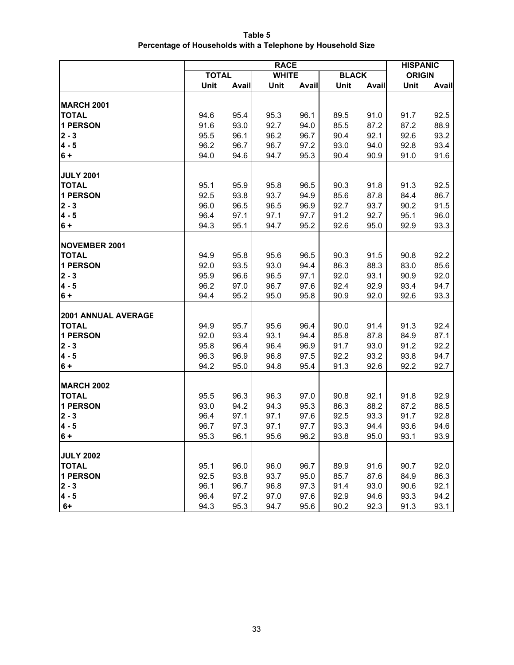**Table 5 Percentage of Households with a Telephone by Household Size**

|                            | <b>RACE</b>  |       |              |       |              |       | <b>HISPANIC</b> |       |
|----------------------------|--------------|-------|--------------|-------|--------------|-------|-----------------|-------|
|                            | <b>TOTAL</b> |       | <b>WHITE</b> |       | <b>BLACK</b> |       | <b>ORIGIN</b>   |       |
|                            | Unit         | Avail | Unit         | Avail | Unit         | Avail | Unit            | Avail |
|                            |              |       |              |       |              |       |                 |       |
| <b>MARCH 2001</b>          |              |       |              |       |              |       |                 |       |
| <b>TOTAL</b>               | 94.6         | 95.4  | 95.3         | 96.1  | 89.5         | 91.0  | 91.7            | 92.5  |
| <b>1 PERSON</b>            | 91.6         | 93.0  | 92.7         | 94.0  | 85.5         | 87.2  | 87.2            | 88.9  |
| $2 - 3$                    | 95.5         | 96.1  | 96.2         | 96.7  | 90.4         | 92.1  | 92.6            | 93.2  |
| $4 - 5$                    | 96.2         | 96.7  | 96.7         | 97.2  | 93.0         | 94.0  | 92.8            | 93.4  |
| $6 +$                      | 94.0         | 94.6  | 94.7         | 95.3  | 90.4         | 90.9  | 91.0            | 91.6  |
|                            |              |       |              |       |              |       |                 |       |
| <b>JULY 2001</b>           |              |       |              |       |              |       |                 |       |
| <b>TOTAL</b>               | 95.1         | 95.9  | 95.8         | 96.5  | 90.3         | 91.8  | 91.3            | 92.5  |
| <b>1 PERSON</b>            | 92.5         | 93.8  | 93.7         | 94.9  | 85.6         | 87.8  | 84.4            | 86.7  |
| $2 - 3$                    | 96.0         | 96.5  | 96.5         | 96.9  | 92.7         | 93.7  | 90.2            | 91.5  |
| $4 - 5$                    | 96.4         | 97.1  | 97.1         | 97.7  | 91.2         | 92.7  | 95.1            | 96.0  |
| $6 +$                      | 94.3         | 95.1  | 94.7         | 95.2  | 92.6         | 95.0  | 92.9            | 93.3  |
|                            |              |       |              |       |              |       |                 |       |
| <b>NOVEMBER 2001</b>       |              |       |              |       |              |       |                 |       |
| <b>TOTAL</b>               | 94.9         | 95.8  | 95.6         | 96.5  | 90.3         | 91.5  | 90.8            | 92.2  |
| <b>1 PERSON</b>            | 92.0         | 93.5  | 93.0         | 94.4  | 86.3         | 88.3  | 83.0            | 85.6  |
| $2 - 3$                    | 95.9         | 96.6  | 96.5         | 97.1  | 92.0         | 93.1  | 90.9            | 92.0  |
| $4 - 5$                    | 96.2         | 97.0  | 96.7         | 97.6  | 92.4         | 92.9  | 93.4            | 94.7  |
| $6+$                       | 94.4         | 95.2  | 95.0         | 95.8  | 90.9         | 92.0  | 92.6            | 93.3  |
|                            |              |       |              |       |              |       |                 |       |
| <b>2001 ANNUAL AVERAGE</b> |              |       |              |       |              |       |                 |       |
| <b>TOTAL</b>               | 94.9         | 95.7  | 95.6         | 96.4  | 90.0         | 91.4  | 91.3            | 92.4  |
| <b>1 PERSON</b>            | 92.0         | 93.4  | 93.1         | 94.4  | 85.8         | 87.8  | 84.9            | 87.1  |
| $2 - 3$                    | 95.8         | 96.4  | 96.4         | 96.9  | 91.7         | 93.0  | 91.2            | 92.2  |
| $4 - 5$                    | 96.3         | 96.9  | 96.8         | 97.5  | 92.2         | 93.2  | 93.8            | 94.7  |
| $6 +$                      | 94.2         | 95.0  | 94.8         | 95.4  | 91.3         | 92.6  | 92.2            | 92.7  |
|                            |              |       |              |       |              |       |                 |       |
| <b>MARCH 2002</b>          |              |       |              |       |              |       |                 |       |
| <b>TOTAL</b>               | 95.5         | 96.3  | 96.3         | 97.0  | 90.8         | 92.1  | 91.8            | 92.9  |
| <b>1 PERSON</b>            | 93.0         | 94.2  | 94.3         | 95.3  | 86.3         | 88.2  | 87.2            | 88.5  |
| $2 - 3$                    | 96.4         | 97.1  | 97.1         | 97.6  | 92.5         | 93.3  | 91.7            | 92.8  |
| $4 - 5$                    | 96.7         | 97.3  | 97.1         | 97.7  | 93.3         | 94.4  | 93.6            | 94.6  |
| $6 +$                      | 95.3         | 96.1  | 95.6         | 96.2  | 93.8         | 95.0  | 93.1            | 93.9  |
|                            |              |       |              |       |              |       |                 |       |
| <b>JULY 2002</b>           |              |       |              |       |              |       |                 |       |
| <b>TOTAL</b>               | 95.1         | 96.0  | 96.0         | 96.7  | 89.9         | 91.6  | 90.7            | 92.0  |
| <b>1 PERSON</b>            | 92.5         | 93.8  | 93.7         | 95.0  | 85.7         | 87.6  | 84.9            | 86.3  |
| $2 - 3$                    | 96.1         | 96.7  | 96.8         | 97.3  | 91.4         | 93.0  | 90.6            | 92.1  |
| $4 - 5$                    | 96.4         | 97.2  | 97.0         | 97.6  | 92.9         | 94.6  | 93.3            | 94.2  |
| $6+$                       | 94.3         | 95.3  | 94.7         | 95.6  | 90.2         | 92.3  | 91.3            | 93.1  |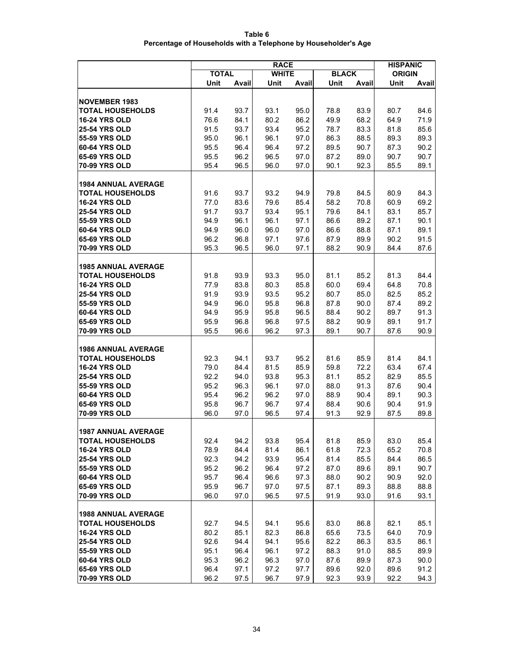| Table 6                                                        |
|----------------------------------------------------------------|
| Percentage of Households with a Telephone by Householder's Age |

|                                                       | <b>RACE</b>  |              |              |              |              |              | <b>HISPANIC</b> |              |  |
|-------------------------------------------------------|--------------|--------------|--------------|--------------|--------------|--------------|-----------------|--------------|--|
|                                                       | <b>TOTAL</b> |              | <b>WHITE</b> |              | <b>BLACK</b> |              | <b>ORIGIN</b>   |              |  |
|                                                       | Unit         | Avail        | Unit         | Avail        | Unit         | Avail        | Unit            | <b>Avail</b> |  |
|                                                       |              |              |              |              |              |              |                 |              |  |
| <b>NOVEMBER 1983</b>                                  |              |              |              |              |              |              |                 |              |  |
| <b>TOTAL HOUSEHOLDS</b>                               | 91.4         | 93.7         | 93.1         | 95.0         | 78.8         | 83.9         | 80.7            | 84.6         |  |
| <b>16-24 YRS OLD</b>                                  | 76.6         | 84.1         | 80.2         | 86.2         | 49.9         | 68.2         | 64.9            | 71.9         |  |
| <b>25-54 YRS OLD</b>                                  | 91.5         | 93.7         | 93.4         | 95.2         | 78.7         | 83.3         | 81.8            | 85.6         |  |
| 55-59 YRS OLD<br>60-64 YRS OLD                        | 95.0         | 96.1         | 96.1         | 97.0         | 86.3         | 88.5         | 89.3            | 89.3         |  |
| 65-69 YRS OLD                                         | 95.5<br>95.5 | 96.4         | 96.4         | 97.2         | 89.5         | 90.7         | 87.3            | 90.2         |  |
| <b>70-99 YRS OLD</b>                                  | 95.4         | 96.2<br>96.5 | 96.5<br>96.0 | 97.0<br>97.0 | 87.2<br>90.1 | 89.0<br>92.3 | 90.7<br>85.5    | 90.7<br>89.1 |  |
|                                                       |              |              |              |              |              |              |                 |              |  |
| <b>1984 ANNUAL AVERAGE</b>                            |              |              |              |              |              |              |                 |              |  |
| <b>TOTAL HOUSEHOLDS</b>                               | 91.6         | 93.7         | 93.2         | 94.9         | 79.8         | 84.5         | 80.9            | 84.3         |  |
| <b>16-24 YRS OLD</b>                                  | 77.0         | 83.6         | 79.6         | 85.4         | 58.2         | 70.8         | 60.9            | 69.2         |  |
| <b>25-54 YRS OLD</b>                                  | 91.7         | 93.7         | 93.4         | 95.1         | 79.6         | 84.1         | 83.1            | 85.7         |  |
| 55-59 YRS OLD                                         | 94.9         | 96.1         | 96.1         | 97.1         | 86.6         | 89.2         | 87.1            | 90.1         |  |
| 60-64 YRS OLD                                         | 94.9         | 96.0         | 96.0         | 97.0         | 86.6         | 88.8         | 87.1            | 89.1         |  |
| <b>65-69 YRS OLD</b>                                  | 96.2         | 96.8         | 97.1         | 97.6         | 87.9         | 89.9         | 90.2            | 91.5         |  |
| 70-99 YRS OLD                                         | 95.3         | 96.5         | 96.0         | 97.1         | 88.2         | 90.9         | 84.4            | 87.6         |  |
|                                                       |              |              |              |              |              |              |                 |              |  |
| <b>1985 ANNUAL AVERAGE</b><br><b>TOTAL HOUSEHOLDS</b> |              |              |              |              |              |              |                 |              |  |
| <b>16-24 YRS OLD</b>                                  | 91.8<br>77.9 | 93.9<br>83.8 | 93.3<br>80.3 | 95.0<br>85.8 | 81.1<br>60.0 | 85.2<br>69.4 | 81.3<br>64.8    | 84.4<br>70.8 |  |
| <b>25-54 YRS OLD</b>                                  | 91.9         | 93.9         | 93.5         | 95.2         | 80.7         | 85.0         | 82.5            | 85.2         |  |
| 55-59 YRS OLD                                         | 94.9         | 96.0         | 95.8         | 96.8         | 87.8         | 90.0         | 87.4            | 89.2         |  |
| 60-64 YRS OLD                                         | 94.9         | 95.9         | 95.8         | 96.5         | 88.4         | 90.2         | 89.7            | 91.3         |  |
| <b>65-69 YRS OLD</b>                                  | 95.9         | 96.8         | 96.8         | 97.5         | 88.2         | 90.9         | 89.1            | 91.7         |  |
| <b>70-99 YRS OLD</b>                                  | 95.5         | 96.6         | 96.2         | 97.3         | 89.1         | 90.7         | 87.6            | 90.9         |  |
|                                                       |              |              |              |              |              |              |                 |              |  |
| <b>1986 ANNUAL AVERAGE</b>                            |              |              |              |              |              |              |                 |              |  |
| <b>TOTAL HOUSEHOLDS</b>                               | 92.3         | 94.1         | 93.7         | 95.2         | 81.6         | 85.9         | 81.4            | 84.1         |  |
| <b>16-24 YRS OLD</b>                                  | 79.0         | 84.4         | 81.5         | 85.9         | 59.8         | 72.2         | 63.4            | 67.4         |  |
| <b>25-54 YRS OLD</b>                                  | 92.2         | 94.0         | 93.8         | 95.3         | 81.1         | 85.2         | 82.9            | 85.5         |  |
| 55-59 YRS OLD                                         | 95.2         | 96.3         | 96.1         | 97.0         | 88.0         | 91.3         | 87.6            | 90.4         |  |
| 60-64 YRS OLD<br><b>65-69 YRS OLD</b>                 | 95.4<br>95.8 | 96.2<br>96.7 | 96.2<br>96.7 | 97.0<br>97.4 | 88.9<br>88.4 | 90.4<br>90.6 | 89.1<br>90.4    | 90.3<br>91.9 |  |
| <b>70-99 YRS OLD</b>                                  | 96.0         | 97.0         | 96.5         | 97.4         | 91.3         | 92.9         | 87.5            | 89.8         |  |
|                                                       |              |              |              |              |              |              |                 |              |  |
| 1987 ANNUAL AVERAGE                                   |              |              |              |              |              |              |                 |              |  |
| <b>TOTAL HOUSEHOLDS</b>                               | 92.4         | 94.2         | 93.8         | 95.4         | 81.8         | 85.9         | 83.0            | 85.4         |  |
| <b>16-24 YRS OLD</b>                                  | 78.9         | 84.4         | 81.4         | 86.1         | 61.8         | 72.3         | 65.2            | 70.8         |  |
| <b>25-54 YRS OLD</b>                                  | 92.3         | 94.2         | 93.9         | 95.4         | 81.4         | 85.5         | 84.4            | 86.5         |  |
| 55-59 YRS OLD                                         | 95.2         | 96.2         | 96.4         | 97.2         | 87.0         | 89.6         | 89.1            | 90.7         |  |
| 60-64 YRS OLD                                         | 95.7         | 96.4         | 96.6         | 97.3         | 88.0         | 90.2         | 90.9            | 92.0         |  |
| 65-69 YRS OLD                                         | 95.9         | 96.7         | 97.0         | 97.5         | 87.1         | 89.3         | 88.8            | 88.8         |  |
| 70-99 YRS OLD                                         | 96.0         | 97.0         | 96.5         | 97.5         | 91.9         | 93.0         | 91.6            | 93.1         |  |
|                                                       |              |              |              |              |              |              |                 |              |  |
| <b>1988 ANNUAL AVERAGE</b><br><b>TOTAL HOUSEHOLDS</b> | 92.7         | 94.5         | 94.1         | 95.6         | 83.0         | 86.8         | 82.1            | 85.1         |  |
| <b>16-24 YRS OLD</b>                                  | 80.2         | 85.1         | 82.3         | 86.8         | 65.6         | 73.5         | 64.0            | 70.9         |  |
| <b>25-54 YRS OLD</b>                                  | 92.6         | 94.4         | 94.1         | 95.6         | 82.2         | 86.3         | 83.5            | 86.1         |  |
| 55-59 YRS OLD                                         | 95.1         | 96.4         | 96.1         | 97.2         | 88.3         | 91.0         | 88.5            | 89.9         |  |
| 60-64 YRS OLD                                         | 95.3         | 96.2         | 96.3         | 97.0         | 87.6         | 89.9         | 87.3            | 90.0         |  |
| <b>65-69 YRS OLD</b>                                  | 96.4         | 97.1         | 97.2         | 97.7         | 89.6         | 92.0         | 89.6            | 91.2         |  |
| <b>70-99 YRS OLD</b>                                  | 96.2         | 97.5         | 96.7         | 97.9         | 92.3         | 93.9         | 92.2            | 94.3         |  |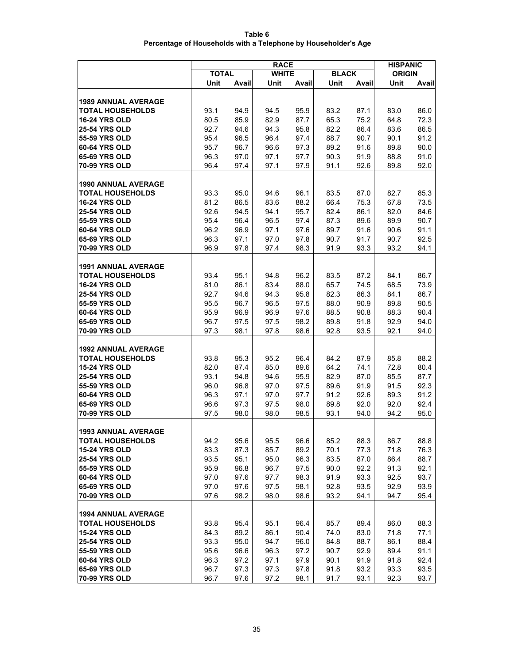| Table 6                                                        |
|----------------------------------------------------------------|
| Percentage of Households with a Telephone by Householder's Age |

|                                | <b>RACE</b>  |              |              |              |              |              | <b>HISPANIC</b> |              |  |
|--------------------------------|--------------|--------------|--------------|--------------|--------------|--------------|-----------------|--------------|--|
|                                | <b>TOTAL</b> |              | <b>WHITE</b> |              | <b>BLACK</b> |              | <b>ORIGIN</b>   |              |  |
|                                | Unit         | Avail        | Unit         | Avail        | Unit         | Avail        | Unit            | Avail        |  |
|                                |              |              |              |              |              |              |                 |              |  |
| <b>1989 ANNUAL AVERAGE</b>     |              |              |              |              |              |              |                 |              |  |
| <b>TOTAL HOUSEHOLDS</b>        | 93.1         | 94.9         | 94.5         | 95.9         | 83.2         | 87.1         | 83.0            | 86.0         |  |
| <b>16-24 YRS OLD</b>           | 80.5         | 85.9         | 82.9         | 87.7         | 65.3         | 75.2         | 64.8            | 72.3         |  |
| <b>25-54 YRS OLD</b>           | 92.7         | 94.6         | 94.3         | 95.8         | 82.2         | 86.4         | 83.6            | 86.5         |  |
| 55-59 YRS OLD                  | 95.4         | 96.5         | 96.4         | 97.4         | 88.7         | 90.7         | 90.1            | 91.2         |  |
| 60-64 YRS OLD<br>65-69 YRS OLD | 95.7<br>96.3 | 96.7         | 96.6         | 97.3         | 89.2         | 91.6         | 89.8            | 90.0         |  |
| <b>70-99 YRS OLD</b>           | 96.4         | 97.0<br>97.4 | 97.1<br>97.1 | 97.7<br>97.9 | 90.3<br>91.1 | 91.9<br>92.6 | 88.8<br>89.8    | 91.0<br>92.0 |  |
|                                |              |              |              |              |              |              |                 |              |  |
| <b>1990 ANNUAL AVERAGE</b>     |              |              |              |              |              |              |                 |              |  |
| <b>TOTAL HOUSEHOLDS</b>        | 93.3         | 95.0         | 94.6         | 96.1         | 83.5         | 87.0         | 82.7            | 85.3         |  |
| <b>16-24 YRS OLD</b>           | 81.2         | 86.5         | 83.6         | 88.2         | 66.4         | 75.3         | 67.8            | 73.5         |  |
| <b>25-54 YRS OLD</b>           | 92.6         | 94.5         | 94.1         | 95.7         | 82.4         | 86.1         | 82.0            | 84.6         |  |
| 55-59 YRS OLD                  | 95.4         | 96.4         | 96.5         | 97.4         | 87.3         | 89.6         | 89.9            | 90.7         |  |
| 60-64 YRS OLD                  | 96.2         | 96.9         | 97.1         | 97.6         | 89.7         | 91.6         | 90.6            | 91.1         |  |
| <b>65-69 YRS OLD</b>           | 96.3         | 97.1         | 97.0         | 97.8         | 90.7         | 91.7         | 90.7            | 92.5         |  |
| <b>70-99 YRS OLD</b>           | 96.9         | 97.8         | 97.4         | 98.3         | 91.9         | 93.3         | 93.2            | 94.1         |  |
|                                |              |              |              |              |              |              |                 |              |  |
| <b>1991 ANNUAL AVERAGE</b>     |              |              |              |              |              |              |                 |              |  |
| <b>TOTAL HOUSEHOLDS</b>        | 93.4         | 95.1         | 94.8         | 96.2         | 83.5         | 87.2         | 84.1            | 86.7         |  |
| <b>16-24 YRS OLD</b>           | 81.0         | 86.1         | 83.4         | 88.0         | 65.7         | 74.5         | 68.5            | 73.9         |  |
| <b>25-54 YRS OLD</b>           | 92.7         | 94.6         | 94.3         | 95.8         | 82.3         | 86.3         | 84.1            | 86.7         |  |
| 55-59 YRS OLD                  | 95.5         | 96.7         | 96.5         | 97.5         | 88.0         | 90.9         | 89.8            | 90.5         |  |
| 60-64 YRS OLD                  | 95.9         | 96.9         | 96.9         | 97.6         | 88.5         | 90.8         | 88.3            | 90.4         |  |
| <b>65-69 YRS OLD</b>           | 96.7         | 97.5         | 97.5         | 98.2         | 89.8         | 91.8         | 92.9            | 94.0         |  |
| <b>70-99 YRS OLD</b>           | 97.3         | 98.1         | 97.8         | 98.6         | 92.8         | 93.5         | 92.1            | 94.0         |  |
| <b>1992 ANNUAL AVERAGE</b>     |              |              |              |              |              |              |                 |              |  |
| <b>TOTAL HOUSEHOLDS</b>        | 93.8         | 95.3         | 95.2         | 96.4         | 84.2         | 87.9         | 85.8            | 88.2         |  |
| <b>15-24 YRS OLD</b>           | 82.0         | 87.4         | 85.0         | 89.6         | 64.2         | 74.1         | 72.8            | 80.4         |  |
| <b>25-54 YRS OLD</b>           | 93.1         | 94.8         | 94.6         | 95.9         | 82.9         | 87.0         | 85.5            | 87.7         |  |
| 55-59 YRS OLD                  | 96.0         | 96.8         | 97.0         | 97.5         | 89.6         | 91.9         | 91.5            | 92.3         |  |
| 60-64 YRS OLD                  | 96.3         | 97.1         | 97.0         | 97.7         | 91.2         | 92.6         | 89.3            | 91.2         |  |
| <b>65-69 YRS OLD</b>           | 96.6         | 97.3         | 97.5         | 98.0         | 89.8         | 92.0         | 92.0            | 92.4         |  |
| <b>70-99 YRS OLD</b>           | 97.5         | 98.0         | 98.0         | 98.5         | 93.1         | 94.0         | 94.2            | 95.0         |  |
|                                |              |              |              |              |              |              |                 |              |  |
| <b>1993 ANNUAL AVERAGE</b>     |              |              |              |              |              |              |                 |              |  |
| <b>TOTAL HOUSEHOLDS</b>        | 94.2         | 95.6         | 95.5         | 96.6         | 85.2         | 88.3         | 86.7            | 88.8         |  |
| <b>15-24 YRS OLD</b>           | 83.3         | 87.3         | 85.7         | 89.2         | 70.1         | 77.3         | 71.8            | 76.3         |  |
| <b>25-54 YRS OLD</b>           | 93.5         | 95.1         | 95.0         | 96.3         | 83.5         | 87.0         | 86.4            | 88.7         |  |
| 55-59 YRS OLD<br>60-64 YRS OLD | 95.9         | 96.8         | 96.7         | 97.5         | 90.0         | 92.2         | 91.3            | 92.1         |  |
| 65-69 YRS OLD                  | 97.0<br>97.0 | 97.6<br>97.6 | 97.7<br>97.5 | 98.3<br>98.1 | 91.9<br>92.8 | 93.3<br>93.5 | 92.5<br>92.9    | 93.7<br>93.9 |  |
| 70-99 YRS OLD                  | 97.6         | 98.2         | 98.0         | 98.6         | 93.2         | 94.1         | 94.7            | 95.4         |  |
|                                |              |              |              |              |              |              |                 |              |  |
| <b>1994 ANNUAL AVERAGE</b>     |              |              |              |              |              |              |                 |              |  |
| <b>TOTAL HOUSEHOLDS</b>        | 93.8         | 95.4         | 95.1         | 96.4         | 85.7         | 89.4         | 86.0            | 88.3         |  |
| <b>15-24 YRS OLD</b>           | 84.3         | 89.2         | 86.1         | 90.4         | 74.0         | 83.0         | 71.8            | 77.1         |  |
| <b>25-54 YRS OLD</b>           | 93.3         | 95.0         | 94.7         | 96.0         | 84.8         | 88.7         | 86.1            | 88.4         |  |
| 55-59 YRS OLD                  | 95.6         | 96.6         | 96.3         | 97.2         | 90.7         | 92.9         | 89.4            | 91.1         |  |
| <b>60-64 YRS OLD</b>           | 96.3         | 97.2         | 97.1         | 97.9         | 90.1         | 91.9         | 91.8            | 92.4         |  |
| <b>65-69 YRS OLD</b>           | 96.7         | 97.3         | 97.3         | 97.8         | 91.8         | 93.2         | 93.3            | 93.5         |  |
| <b>70-99 YRS OLD</b>           | 96.7         | 97.6         | 97.2         | 98.1         | 91.7         | 93.1         | 92.3            | 93.7         |  |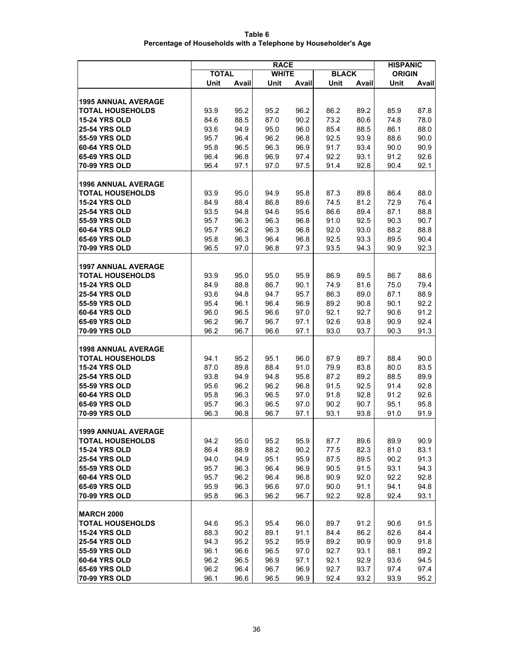| Table 6                                                        |
|----------------------------------------------------------------|
| Percentage of Households with a Telephone by Householder's Age |
|                                                                |

|                                | <b>RACE</b>  |              |              |              |              |              |               | <b>HISPANIC</b> |  |
|--------------------------------|--------------|--------------|--------------|--------------|--------------|--------------|---------------|-----------------|--|
|                                | <b>TOTAL</b> |              | <b>WHITE</b> |              | <b>BLACK</b> |              | <b>ORIGIN</b> |                 |  |
|                                | Unit         | Avail        | Unit         | Avail        | Unit         | Avail        | Unit          | Avail           |  |
|                                |              |              |              |              |              |              |               |                 |  |
| <b>1995 ANNUAL AVERAGE</b>     |              |              |              |              |              |              |               |                 |  |
| <b>TOTAL HOUSEHOLDS</b>        | 93.9         | 95.2         | 95.2         | 96.2         | 86.2         | 89.2         | 85.9          | 87.8            |  |
| <b>15-24 YRS OLD</b>           | 84.6         | 88.5         | 87.0         | 90.2         | 73.2         | 80.6         | 74.8          | 78.0            |  |
| <b>25-54 YRS OLD</b>           | 93.6         | 94.9         | 95.0         | 96.0         | 85.4         | 88.5         | 86.1          | 88.0            |  |
| 55-59 YRS OLD                  | 95.7         | 96.4         | 96.2         | 96.8         | 92.5         | 93.9         | 88.6          | 90.0            |  |
| 60-64 YRS OLD<br>65-69 YRS OLD | 95.8<br>96.4 | 96.5         | 96.3<br>96.9 | 96.9<br>97.4 | 91.7         | 93.4         | 90.0<br>91.2  | 90.9<br>92.6    |  |
| <b>70-99 YRS OLD</b>           | 96.4         | 96.8<br>97.1 | 97.0         | 97.5         | 92.2<br>91.4 | 93.1<br>92.8 | 90.4          | 92.1            |  |
|                                |              |              |              |              |              |              |               |                 |  |
| <b>1996 ANNUAL AVERAGE</b>     |              |              |              |              |              |              |               |                 |  |
| <b>TOTAL HOUSEHOLDS</b>        | 93.9         | 95.0         | 94.9         | 95.8         | 87.3         | 89.8         | 86.4          | 88.0            |  |
| <b>15-24 YRS OLD</b>           | 84.9         | 88.4         | 86.8         | 89.6         | 74.5         | 81.2         | 72.9          | 76.4            |  |
| <b>25-54 YRS OLD</b>           | 93.5         | 94.8         | 94.6         | 95.6         | 86.6         | 89.4         | 87.1          | 88.8            |  |
| 55-59 YRS OLD                  | 95.7         | 96.3         | 96.3         | 96.8         | 91.0         | 92.5         | 90.3          | 90.7            |  |
| 60-64 YRS OLD                  | 95.7         | 96.2         | 96.3         | 96.8         | 92.0         | 93.0         | 88.2          | 88.8            |  |
| 65-69 YRS OLD                  | 95.8         | 96.3         | 96.4         | 96.8         | 92.5         | 93.3         | 89.5          | 90.4            |  |
| <b>70-99 YRS OLD</b>           | 96.5         | 97.0         | 96.8         | 97.3         | 93.5         | 94.3         | 90.9          | 92.3            |  |
|                                |              |              |              |              |              |              |               |                 |  |
| <b>1997 ANNUAL AVERAGE</b>     |              |              |              |              |              |              |               |                 |  |
| <b>TOTAL HOUSEHOLDS</b>        | 93.9         | 95.0         | 95.0         | 95.9         | 86.9         | 89.5         | 86.7          | 88.6            |  |
| <b>15-24 YRS OLD</b>           | 84.9         | 88.8         | 86.7         | 90.1         | 74.9         | 81.6         | 75.0          | 79.4            |  |
| <b>25-54 YRS OLD</b>           | 93.6         | 94.8         | 94.7         | 95.7         | 86.3         | 89.0         | 87.1          | 88.9            |  |
| 55-59 YRS OLD                  | 95.4         | 96.1         | 96.4         | 96.9         | 89.2         | 90.8         | 90.1          | 92.2            |  |
| 60-64 YRS OLD                  | 96.0         | 96.5         | 96.6         | 97.0         | 92.1         | 92.7         | 90.6          | 91.2            |  |
| <b>65-69 YRS OLD</b>           | 96.2         | 96.7         | 96.7         | 97.1         | 92.6         | 93.8         | 90.9          | 92.4            |  |
| <b>70-99 YRS OLD</b>           | 96.2         | 96.7         | 96.6         | 97.1         | 93.0         | 93.7         | 90.3          | 91.3            |  |
| <b>1998 ANNUAL AVERAGE</b>     |              |              |              |              |              |              |               |                 |  |
| <b>TOTAL HOUSEHOLDS</b>        | 94.1         | 95.2         | 95.1         | 96.0         | 87.9         | 89.7         | 88.4          | 90.0            |  |
| <b>15-24 YRS OLD</b>           | 87.0         | 89.8         | 88.4         | 91.0         | 79.9         | 83.8         | 80.0          | 83.5            |  |
| <b>25-54 YRS OLD</b>           | 93.8         | 94.9         | 94.8         | 95.8         | 87.2         | 89.2         | 88.5          | 89.9            |  |
| 55-59 YRS OLD                  | 95.6         | 96.2         | 96.2         | 96.8         | 91.5         | 92.5         | 91.4          | 92.8            |  |
| 60-64 YRS OLD                  | 95.8         | 96.3         | 96.5         | 97.0         | 91.8         | 92.8         | 91.2          | 92.6            |  |
| <b>65-69 YRS OLD</b>           | 95.7         | 96.3         | 96.5         | 97.0         | 90.2         | 90.7         | 95.1          | 95.8            |  |
| <b>70-99 YRS OLD</b>           | 96.3         | 96.8         | 96.7         | 97.1         | 93.1         | 93.8         | 91.0          | 91.9            |  |
|                                |              |              |              |              |              |              |               |                 |  |
| 1999 ANNUAL AVERAGE            |              |              |              |              |              |              |               |                 |  |
| <b>TOTAL HOUSEHOLDS</b>        | 94.2         | 95.0         | 95.2         | 95.9         | 87.7         | 89.6         | 89.9          | 90.9            |  |
| <b>15-24 YRS OLD</b>           | 86.4         | 88.9         | 88.2         | 90.2         | 77.5         | 82.3         | 81.0          | 83.1            |  |
| <b>25-54 YRS OLD</b>           | 94.0         | 94.9         | 95.1         | 95.9         | 87.5         | 89.5         | 90.2          | 91.3            |  |
| 55-59 YRS OLD<br>60-64 YRS OLD | 95.7         | 96.3         | 96.4         | 96.9         | 90.5         | 91.5         | 93.1          | 94.3            |  |
| 65-69 YRS OLD                  | 95.7<br>95.9 | 96.2         | 96.4         | 96.8         | 90.9         | 92.0         | 92.2          | 92.8            |  |
| 70-99 YRS OLD                  | 95.8         | 96.3<br>96.3 | 96.6<br>96.2 | 97.0<br>96.7 | 90.0<br>92.2 | 91.1<br>92.8 | 94.1<br>92.4  | 94.8<br>93.1    |  |
|                                |              |              |              |              |              |              |               |                 |  |
| <b>MARCH 2000</b>              |              |              |              |              |              |              |               |                 |  |
| <b>TOTAL HOUSEHOLDS</b>        | 94.6         | 95.3         | 95.4         | 96.0         | 89.7         | 91.2         | 90.6          | 91.5            |  |
| <b>15-24 YRS OLD</b>           | 88.3         | 90.2         | 89.1         | 91.1         | 84.4         | 86.2         | 82.6          | 84.4            |  |
| <b>25-54 YRS OLD</b>           | 94.3         | 95.2         | 95.2         | 95.9         | 89.2         | 90.9         | 90.9          | 91.8            |  |
| 55-59 YRS OLD                  | 96.1         | 96.6         | 96.5         | 97.0         | 92.7         | 93.1         | 88.1          | 89.2            |  |
| <b>60-64 YRS OLD</b>           | 96.2         | 96.5         | 96.9         | 97.1         | 92.1         | 92.9         | 93.6          | 94.5            |  |
| <b>65-69 YRS OLD</b>           | 96.2         | 96.4         | 96.7         | 96.9         | 92.7         | 93.7         | 97.4          | 97.4            |  |
| <b>70-99 YRS OLD</b>           | 96.1         | 96.6         | 96.5         | 96.9         | 92.4         | 93.2         | 93.9          | 95.2            |  |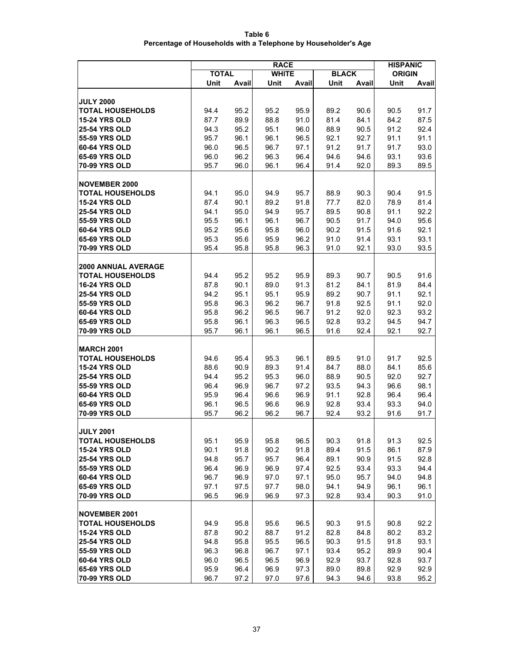| Table 6                                                        |  |
|----------------------------------------------------------------|--|
| Percentage of Households with a Telephone by Householder's Age |  |

|                                                       | <b>RACE</b>  |              |              |              |              |              |               | <b>HISPANIC</b> |
|-------------------------------------------------------|--------------|--------------|--------------|--------------|--------------|--------------|---------------|-----------------|
|                                                       | <b>TOTAL</b> |              | <b>WHITE</b> |              | <b>BLACK</b> |              | <b>ORIGIN</b> |                 |
|                                                       | Unit         | Avail        | Unit         | Avail        | Unit         | Avail        | Unit          | <b>Avail</b>    |
|                                                       |              |              |              |              |              |              |               |                 |
| <b>JULY 2000</b>                                      |              |              |              |              |              |              |               |                 |
| <b>TOTAL HOUSEHOLDS</b>                               | 94.4         | 95.2         | 95.2         | 95.9         | 89.2         | 90.6         | 90.5          | 91.7            |
| <b>15-24 YRS OLD</b>                                  | 87.7         | 89.9         | 88.8         | 91.0         | 81.4         | 84.1         | 84.2          | 87.5            |
| <b>25-54 YRS OLD</b>                                  | 94.3         | 95.2         | 95.1         | 96.0         | 88.9         | 90.5         | 91.2          | 92.4            |
| 55-59 YRS OLD<br>60-64 YRS OLD                        | 95.7         | 96.1         | 96.1         | 96.5         | 92.1         | 92.7         | 91.1          | 91.1            |
| 65-69 YRS OLD                                         | 96.0         | 96.5         | 96.7         | 97.1         | 91.2         | 91.7         | 91.7          | 93.0<br>93.6    |
| <b>70-99 YRS OLD</b>                                  | 96.0<br>95.7 | 96.2<br>96.0 | 96.3<br>96.1 | 96.4<br>96.4 | 94.6<br>91.4 | 94.6<br>92.0 | 93.1<br>89.3  | 89.5            |
|                                                       |              |              |              |              |              |              |               |                 |
| <b>NOVEMBER 2000</b>                                  |              |              |              |              |              |              |               |                 |
| <b>TOTAL HOUSEHOLDS</b>                               | 94.1         | 95.0         | 94.9         | 95.7         | 88.9         | 90.3         | 90.4          | 91.5            |
| <b>15-24 YRS OLD</b>                                  | 87.4         | 90.1         | 89.2         | 91.8         | 77.7         | 82.0         | 78.9          | 81.4            |
| <b>25-54 YRS OLD</b>                                  | 94.1         | 95.0         | 94.9         | 95.7         | 89.5         | 90.8         | 91.1          | 92.2            |
| 55-59 YRS OLD                                         | 95.5         | 96.1         | 96.1         | 96.7         | 90.5         | 91.7         | 94.0          | 95.6            |
| 60-64 YRS OLD                                         | 95.2         | 95.6         | 95.8         | 96.0         | 90.2         | 91.5         | 91.6          | 92.1            |
| <b>65-69 YRS OLD</b>                                  | 95.3         | 95.6         | 95.9         | 96.2         | 91.0         | 91.4         | 93.1          | 93.1            |
| 70-99 YRS OLD                                         | 95.4         | 95.8         | 95.8         | 96.3         | 91.0         | 92.1         | 93.0          | 93.5            |
|                                                       |              |              |              |              |              |              |               |                 |
| <b>2000 ANNUAL AVERAGE</b><br><b>TOTAL HOUSEHOLDS</b> |              |              |              |              |              |              |               | 91.6            |
| <b>16-24 YRS OLD</b>                                  | 94.4<br>87.8 | 95.2<br>90.1 | 95.2<br>89.0 | 95.9<br>91.3 | 89.3<br>81.2 | 90.7<br>84.1 | 90.5<br>81.9  | 84.4            |
| <b>25-54 YRS OLD</b>                                  | 94.2         | 95.1         | 95.1         | 95.9         | 89.2         | 90.7         | 91.1          | 92.1            |
| 55-59 YRS OLD                                         | 95.8         | 96.3         | 96.2         | 96.7         | 91.8         | 92.5         | 91.1          | 92.0            |
| 60-64 YRS OLD                                         | 95.8         | 96.2         | 96.5         | 96.7         | 91.2         | 92.0         | 92.3          | 93.2            |
| <b>65-69 YRS OLD</b>                                  | 95.8         | 96.1         | 96.3         | 96.5         | 92.8         | 93.2         | 94.5          | 94.7            |
| 70-99 YRS OLD                                         | 95.7         | 96.1         | 96.1         | 96.5         | 91.6         | 92.4         | 92.1          | 92.7            |
|                                                       |              |              |              |              |              |              |               |                 |
| <b>MARCH 2001</b>                                     |              |              |              |              |              |              |               |                 |
| <b>TOTAL HOUSEHOLDS</b>                               | 94.6         | 95.4         | 95.3         | 96.1         | 89.5         | 91.0         | 91.7          | 92.5            |
| <b>15-24 YRS OLD</b>                                  | 88.6         | 90.9         | 89.3         | 91.4         | 84.7         | 88.0         | 84.1          | 85.6            |
| <b>25-54 YRS OLD</b>                                  | 94.4         | 95.2         | 95.3         | 96.0         | 88.9         | 90.5         | 92.0          | 92.7            |
| 55-59 YRS OLD                                         | 96.4         | 96.9         | 96.7         | 97.2         | 93.5         | 94.3         | 96.6          | 98.1            |
| 60-64 YRS OLD<br><b>65-69 YRS OLD</b>                 | 95.9<br>96.1 | 96.4<br>96.5 | 96.6<br>96.6 | 96.9<br>96.9 | 91.1<br>92.8 | 92.8<br>93.4 | 96.4<br>93.3  | 96.4<br>94.0    |
| 70-99 YRS OLD                                         | 95.7         | 96.2         | 96.2         | 96.7         | 92.4         | 93.2         | 91.6          | 91.7            |
|                                                       |              |              |              |              |              |              |               |                 |
| <b>JULY 2001</b>                                      |              |              |              |              |              |              |               |                 |
| <b>TOTAL HOUSEHOLDS</b>                               | 95.1         | 95.9         | 95.8         | 96.5         | 90.3         | 91.8         | 91.3          | 92.5            |
| <b>15-24 YRS OLD</b>                                  | 90.1         | 91.8         | 90.2         | 91.8         | 89.4         | 91.5         | 86.1          | 87.9            |
| <b>25-54 YRS OLD</b>                                  | 94.8         | 95.7         | 95.7         | 96.4         | 89.1         | 90.9         | 91.5          | 92.8            |
| 55-59 YRS OLD                                         | 96.4         | 96.9         | 96.9         | 97.4         | 92.5         | 93.4         | 93.3          | 94.4            |
| 60-64 YRS OLD                                         | 96.7         | 96.9         | 97.0         | 97.1         | 95.0         | 95.7         | 94.0          | 94.8            |
| 65-69 YRS OLD                                         | 97.1         | 97.5         | 97.7         | 98.0         | 94.1         | 94.9         | 96.1          | 96.1            |
| 70-99 YRS OLD                                         | 96.5         | 96.9         | 96.9         | 97.3         | 92.8         | 93.4         | 90.3          | 91.0            |
|                                                       |              |              |              |              |              |              |               |                 |
| <b>NOVEMBER 2001</b><br><b>TOTAL HOUSEHOLDS</b>       | 94.9         | 95.8         | 95.6         | 96.5         | 90.3         | 91.5         | 90.8          | 92.2            |
| <b>15-24 YRS OLD</b>                                  | 87.8         | 90.2         | 88.7         | 91.2         | 82.8         | 84.8         | 80.2          | 83.2            |
| <b>25-54 YRS OLD</b>                                  | 94.8         | 95.8         | 95.5         | 96.5         | 90.3         | 91.5         | 91.8          | 93.1            |
| 55-59 YRS OLD                                         | 96.3         | 96.8         | 96.7         | 97.1         | 93.4         | 95.2         | 89.9          | 90.4            |
| 60-64 YRS OLD                                         | 96.0         | 96.5         | 96.5         | 96.9         | 92.9         | 93.7         | 92.8          | 93.7            |
| <b>65-69 YRS OLD</b>                                  | 95.9         | 96.4         | 96.9         | 97.3         | 89.0         | 89.8         | 92.9          | 92.9            |
| <b>70-99 YRS OLD</b>                                  | 96.7         | 97.2         | 97.0         | 97.6         | 94.3         | 94.6         | 93.8          | 95.2            |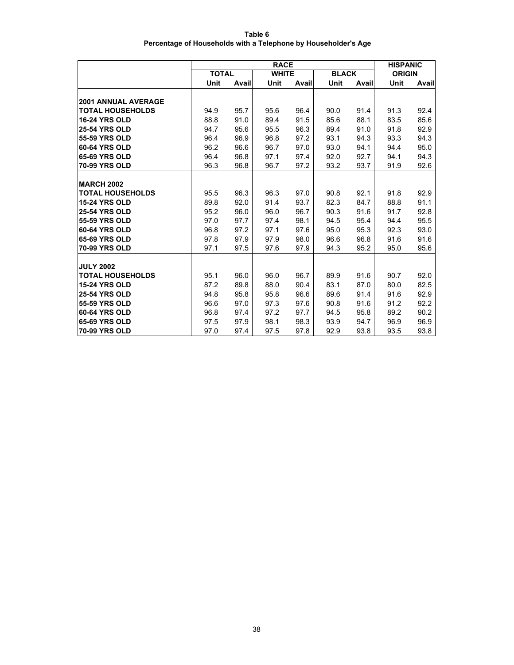| Table 6                                                        |
|----------------------------------------------------------------|
| Percentage of Households with a Telephone by Householder's Age |

|                            |              | <b>HISPANIC</b> |              |       |              |       |               |       |
|----------------------------|--------------|-----------------|--------------|-------|--------------|-------|---------------|-------|
|                            | <b>TOTAL</b> |                 | <b>WHITE</b> |       | <b>BLACK</b> |       | <b>ORIGIN</b> |       |
|                            | Unit         | Avail           | Unit         | Avail | Unit         | Avail | Unit          | Avail |
| <b>2001 ANNUAL AVERAGE</b> |              |                 |              |       |              |       |               |       |
| <b>TOTAL HOUSEHOLDS</b>    | 94.9         | 95.7            | 95.6         | 96.4  | 90.0         | 91.4  | 91.3          | 92.4  |
| <b>16-24 YRS OLD</b>       | 88.8         | 91.0            | 89.4         | 91.5  | 85.6         | 88.1  | 83.5          | 85.6  |
| <b>25-54 YRS OLD</b>       | 94.7         | 95.6            | 95.5         | 96.3  | 89.4         | 91.0  | 91.8          | 92.9  |
| 55-59 YRS OLD              | 96.4         | 96.9            | 96.8         | 97.2  | 93.1         | 94.3  | 93.3          | 94.3  |
| 60-64 YRS OLD              | 96.2         | 96.6            |              | 97.0  | 93.0         |       | 94.4          | 95.0  |
|                            |              |                 | 96.7         |       |              | 94.1  |               |       |
| <b>65-69 YRS OLD</b>       | 96.4         | 96.8            | 97.1         | 97.4  | 92.0         | 92.7  | 94.1          | 94.3  |
| <b>70-99 YRS OLD</b>       | 96.3         | 96.8            | 96.7         | 97.2  | 93.2         | 93.7  | 91.9          | 92.6  |
| <b>MARCH 2002</b>          |              |                 |              |       |              |       |               |       |
| <b>TOTAL HOUSEHOLDS</b>    | 95.5         | 96.3            | 96.3         | 97.0  | 90.8         | 92.1  | 91.8          | 92.9  |
| <b>15-24 YRS OLD</b>       | 89.8         | 92.0            | 91.4         | 93.7  | 82.3         | 84.7  | 88.8          | 91.1  |
| <b>25-54 YRS OLD</b>       | 95.2         | 96.0            | 96.0         | 96.7  | 90.3         | 91.6  | 91.7          | 92.8  |
| <b>55-59 YRS OLD</b>       | 97.0         | 97.7            | 97.4         | 98.1  | 94.5         | 95.4  | 94.4          | 95.5  |
| 60-64 YRS OLD              | 96.8         | 97.2            | 97.1         | 97.6  | 95.0         | 95.3  | 92.3          | 93.0  |
| <b>65-69 YRS OLD</b>       | 97.8         | 97.9            | 97.9         | 98.0  | 96.6         | 96.8  | 91.6          | 91.6  |
| <b>70-99 YRS OLD</b>       | 97.1         | 97.5            | 97.6         | 97.9  | 94.3         | 95.2  | 95.0          | 95.6  |
|                            |              |                 |              |       |              |       |               |       |
| <b>JULY 2002</b>           |              |                 |              |       |              |       |               |       |
| <b>TOTAL HOUSEHOLDS</b>    | 95.1         | 96.0            | 96.0         | 96.7  | 89.9         | 91.6  | 90.7          | 92.0  |
| <b>15-24 YRS OLD</b>       | 87.2         | 89.8            | 88.0         | 90.4  | 83.1         | 87.0  | 80.0          | 82.5  |
| 25-54 YRS OLD              | 94.8         | 95.8            | 95.8         | 96.6  | 89.6         | 91.4  | 91.6          | 92.9  |
| 55-59 YRS OLD              | 96.6         | 97.0            | 97.3         | 97.6  | 90.8         | 91.6  | 91.2          | 92.2  |
| 60-64 YRS OLD              | 96.8         | 97.4            | 97.2         | 97.7  | 94.5         | 95.8  | 89.2          | 90.2  |
| <b>65-69 YRS OLD</b>       | 97.5         | 97.9            | 98.1         | 98.3  | 93.9         | 94.7  | 96.9          | 96.9  |
| 70-99 YRS OLD              | 97.0         | 97.4            | 97.5         | 97.8  | 92.9         | 93.8  | 93.5          | 93.8  |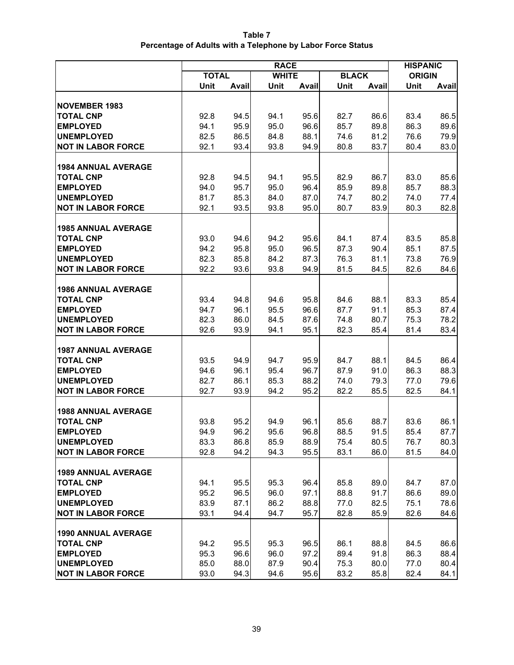| Table 7                                                     |
|-------------------------------------------------------------|
| Percentage of Adults with a Telephone by Labor Force Status |

|                            | <b>RACE</b>  |              |              |       |              |       | <b>HISPANIC</b> |       |
|----------------------------|--------------|--------------|--------------|-------|--------------|-------|-----------------|-------|
|                            | <b>TOTAL</b> |              | <b>WHITE</b> |       | <b>BLACK</b> |       | <b>ORIGIN</b>   |       |
|                            | Unit         | <b>Avail</b> | Unit         | Avail | Unit         | Avail | Unit            | Avail |
| <b>NOVEMBER 1983</b>       |              |              |              |       |              |       |                 |       |
| <b>TOTAL CNP</b>           | 92.8         | 94.5         | 94.1         | 95.6  | 82.7         | 86.6  | 83.4            | 86.5  |
| <b>EMPLOYED</b>            | 94.1         | 95.9         | 95.0         | 96.6  | 85.7         | 89.8  | 86.3            | 89.6  |
| <b>UNEMPLOYED</b>          | 82.5         | 86.5         | 84.8         | 88.1  | 74.6         | 81.2  | 76.6            | 79.9  |
| <b>NOT IN LABOR FORCE</b>  | 92.1         | 93.4         | 93.8         | 94.9  | 80.8         | 83.7  | 80.4            | 83.0  |
|                            |              |              |              |       |              |       |                 |       |
| <b>1984 ANNUAL AVERAGE</b> |              |              |              |       |              |       |                 |       |
| <b>TOTAL CNP</b>           | 92.8         | 94.5         | 94.1         | 95.5  | 82.9         | 86.7  | 83.0            | 85.6  |
| <b>EMPLOYED</b>            | 94.0         | 95.7         | 95.0         | 96.4  | 85.9         | 89.8  | 85.7            | 88.3  |
| <b>UNEMPLOYED</b>          | 81.7         | 85.3         | 84.0         | 87.0  | 74.7         | 80.2  | 74.0            | 77.4  |
| <b>NOT IN LABOR FORCE</b>  | 92.1         | 93.5         | 93.8         | 95.0  | 80.7         | 83.9  | 80.3            | 82.8  |
|                            |              |              |              |       |              |       |                 |       |
| <b>1985 ANNUAL AVERAGE</b> |              |              |              |       |              |       |                 |       |
| <b>TOTAL CNP</b>           | 93.0         | 94.6         | 94.2         | 95.6  | 84.1         | 87.4  | 83.5            | 85.8  |
| <b>EMPLOYED</b>            | 94.2         | 95.8         | 95.0         | 96.5  | 87.3         | 90.4  | 85.1            | 87.5  |
| <b>UNEMPLOYED</b>          | 82.3         | 85.8         | 84.2         | 87.3  | 76.3         | 81.1  | 73.8            | 76.9  |
| <b>NOT IN LABOR FORCE</b>  | 92.2         | 93.6         | 93.8         | 94.9  | 81.5         | 84.5  | 82.6            | 84.6  |
|                            |              |              |              |       |              |       |                 |       |
| <b>1986 ANNUAL AVERAGE</b> |              |              |              |       |              |       |                 |       |
| <b>TOTAL CNP</b>           | 93.4         | 94.8         | 94.6         | 95.8  | 84.6         | 88.1  | 83.3            | 85.4  |
| <b>EMPLOYED</b>            | 94.7         | 96.1         | 95.5         | 96.6  | 87.7         | 91.1  | 85.3            | 87.4  |
| <b>UNEMPLOYED</b>          | 82.3         | 86.0         | 84.5         | 87.6  | 74.8         | 80.7  | 75.3            | 78.2  |
| <b>NOT IN LABOR FORCE</b>  | 92.6         | 93.9         | 94.1         | 95.1  | 82.3         | 85.4  | 81.4            | 83.4  |
|                            |              |              |              |       |              |       |                 |       |
| <b>1987 ANNUAL AVERAGE</b> |              |              |              |       |              |       |                 |       |
| <b>TOTAL CNP</b>           | 93.5         | 94.9         | 94.7         | 95.9  | 84.7         | 88.1  | 84.5            | 86.4  |
| <b>EMPLOYED</b>            | 94.6         | 96.1         | 95.4         | 96.7  | 87.9         | 91.0  | 86.3            | 88.3  |
| <b>UNEMPLOYED</b>          | 82.7         | 86.1         | 85.3         | 88.2  | 74.0         | 79.3  | 77.0            | 79.6  |
| <b>NOT IN LABOR FORCE</b>  | 92.7         | 93.9         | 94.2         | 95.2  | 82.2         | 85.5  | 82.5            | 84.1  |
| <b>1988 ANNUAL AVERAGE</b> |              |              |              |       |              |       |                 |       |
| <b>TOTAL CNP</b>           | 93.8         | 95.2         | 94.9         | 96.1  | 85.6         | 88.7  | 83.6            | 86.1  |
| <b>EMPLOYED</b>            | 94.9         | 96.2         | 95.6         | 96.8  | 88.5         | 91.5  | 85.4            | 87.7  |
| <b>UNEMPLOYED</b>          | 83.3         | 86.8         | 85.9         | 88.9  | 75.4         | 80.5  | 76.7            | 80.3  |
| <b>NOT IN LABOR FORCE</b>  | 92.8         | 94.2         | 94.3         | 95.5  | 83.1         | 86.0  | 81.5            | 84.0  |
|                            |              |              |              |       |              |       |                 |       |
| <b>1989 ANNUAL AVERAGE</b> |              |              |              |       |              |       |                 |       |
| <b>TOTAL CNP</b>           | 94.1         | 95.5         | 95.3         | 96.4  | 85.8         | 89.0  | 84.7            | 87.0  |
| <b>EMPLOYED</b>            | 95.2         | 96.5         | 96.0         | 97.1  | 88.8         | 91.7  | 86.6            | 89.0  |
| <b>UNEMPLOYED</b>          | 83.9         | 87.1         | 86.2         | 88.8  | 77.0         | 82.5  | 75.1            | 78.6  |
| <b>NOT IN LABOR FORCE</b>  | 93.1         | 94.4         | 94.7         | 95.7  | 82.8         | 85.9  | 82.6            | 84.6  |
|                            |              |              |              |       |              |       |                 |       |
| <b>1990 ANNUAL AVERAGE</b> |              |              |              |       |              |       |                 |       |
| <b>TOTAL CNP</b>           | 94.2         | 95.5         | 95.3         | 96.5  | 86.1         | 88.8  | 84.5            | 86.6  |
| <b>EMPLOYED</b>            | 95.3         | 96.6         | 96.0         | 97.2  | 89.4         | 91.8  | 86.3            | 88.4  |
| <b>UNEMPLOYED</b>          | 85.0         | 88.0         | 87.9         | 90.4  | 75.3         | 80.0  | 77.0            | 80.4  |
| <b>NOT IN LABOR FORCE</b>  | 93.0         | 94.3         | 94.6         | 95.6  | 83.2         | 85.8  | 82.4            | 84.1  |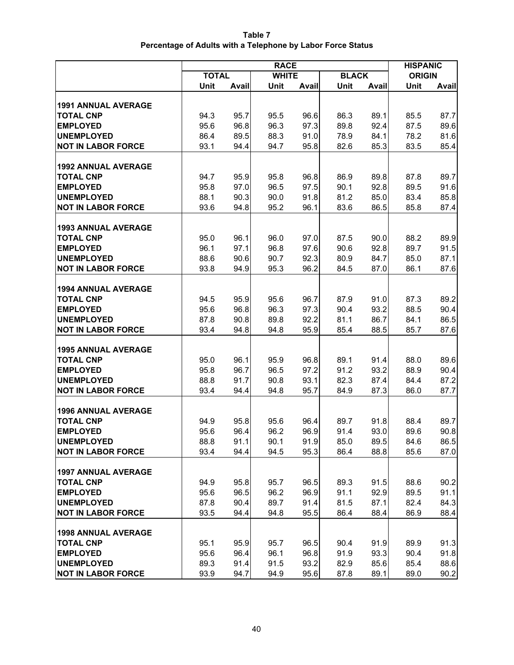| Table 7                                                     |
|-------------------------------------------------------------|
| Percentage of Adults with a Telephone by Labor Force Status |

|                            |              | <b>HISPANIC</b> |              |       |              |       |               |       |  |
|----------------------------|--------------|-----------------|--------------|-------|--------------|-------|---------------|-------|--|
|                            | <b>TOTAL</b> |                 | <b>WHITE</b> |       | <b>BLACK</b> |       | <b>ORIGIN</b> |       |  |
|                            | Unit         | Avail           | Unit         | Avail | Unit         | Avail | Unit          | Avail |  |
| <b>1991 ANNUAL AVERAGE</b> |              |                 |              |       |              |       |               |       |  |
| <b>TOTAL CNP</b>           | 94.3         | 95.7            | 95.5         | 96.6  | 86.3         | 89.1  | 85.5          | 87.7  |  |
| <b>EMPLOYED</b>            | 95.6         | 96.8            | 96.3         | 97.3  | 89.8         | 92.4  | 87.5          | 89.6  |  |
| <b>UNEMPLOYED</b>          | 86.4         | 89.5            | 88.3         | 91.0  | 78.9         | 84.1  | 78.2          | 81.6  |  |
| <b>NOT IN LABOR FORCE</b>  | 93.1         | 94.4            | 94.7         | 95.8  | 82.6         | 85.3  | 83.5          | 85.4  |  |
|                            |              |                 |              |       |              |       |               |       |  |
| <b>1992 ANNUAL AVERAGE</b> |              |                 |              |       |              |       |               |       |  |
| <b>TOTAL CNP</b>           | 94.7         | 95.9            | 95.8         | 96.8  | 86.9         | 89.8  | 87.8          | 89.7  |  |
| <b>EMPLOYED</b>            | 95.8         | 97.0            | 96.5         | 97.5  | 90.1         | 92.8  | 89.5          | 91.6  |  |
| <b>UNEMPLOYED</b>          | 88.1         | 90.3            | 90.0         | 91.8  | 81.2         | 85.0  | 83.4          | 85.8  |  |
| <b>NOT IN LABOR FORCE</b>  | 93.6         | 94.8            | 95.2         | 96.1  | 83.6         | 86.5  | 85.8          | 87.4  |  |
|                            |              |                 |              |       |              |       |               |       |  |
| <b>1993 ANNUAL AVERAGE</b> |              |                 |              |       |              |       |               |       |  |
| <b>TOTAL CNP</b>           | 95.0         | 96.1            | 96.0         | 97.0  | 87.5         | 90.0  | 88.2          | 89.9  |  |
| <b>EMPLOYED</b>            | 96.1         | 97.1            | 96.8         | 97.6  | 90.6         | 92.8  | 89.7          | 91.5  |  |
| <b>UNEMPLOYED</b>          | 88.6         | 90.6            | 90.7         | 92.3  | 80.9         | 84.7  | 85.0          | 87.1  |  |
| <b>NOT IN LABOR FORCE</b>  | 93.8         | 94.9            | 95.3         | 96.2  | 84.5         | 87.0  | 86.1          | 87.6  |  |
|                            |              |                 |              |       |              |       |               |       |  |
| <b>1994 ANNUAL AVERAGE</b> |              |                 |              |       |              |       |               |       |  |
| <b>TOTAL CNP</b>           | 94.5         | 95.9            | 95.6         | 96.7  | 87.9         | 91.0  | 87.3          | 89.2  |  |
| <b>EMPLOYED</b>            | 95.6         | 96.8            | 96.3         | 97.3  | 90.4         | 93.2  | 88.5          | 90.4  |  |
| <b>UNEMPLOYED</b>          | 87.8         | 90.8            | 89.8         | 92.2  | 81.1         | 86.7  | 84.1          | 86.5  |  |
| <b>NOT IN LABOR FORCE</b>  | 93.4         | 94.8            | 94.8         | 95.9  | 85.4         | 88.5  | 85.7          | 87.6  |  |
| <b>1995 ANNUAL AVERAGE</b> |              |                 |              |       |              |       |               |       |  |
| <b>TOTAL CNP</b>           | 95.0         | 96.1            | 95.9         | 96.8  | 89.1         | 91.4  | 88.0          | 89.6  |  |
| <b>EMPLOYED</b>            | 95.8         | 96.7            | 96.5         | 97.2  | 91.2         | 93.2  | 88.9          | 90.4  |  |
| <b>UNEMPLOYED</b>          | 88.8         | 91.7            | 90.8         | 93.1  | 82.3         | 87.4  | 84.4          | 87.2  |  |
| <b>NOT IN LABOR FORCE</b>  | 93.4         | 94.4            | 94.8         | 95.7  | 84.9         | 87.3  | 86.0          | 87.7  |  |
|                            |              |                 |              |       |              |       |               |       |  |
| <b>1996 ANNUAL AVERAGE</b> |              |                 |              |       |              |       |               |       |  |
| <b>TOTAL CNP</b>           | 94.9         | 95.8            | 95.6         | 96.4  | 89.7         | 91.8  | 88.4          | 89.7  |  |
| <b>EMPLOYED</b>            | 95.6         | 96.4            | 96.2         | 96.9  | 91.4         | 93.0  | 89.6          | 90.8  |  |
| <b>UNEMPLOYED</b>          | 88.8         | 91.1            | 90.1         | 91.9  | 85.0         | 89.5  | 84.6          | 86.5  |  |
| <b>NOT IN LABOR FORCE</b>  | 93.4         | 94.4            | 94.5         | 95.3  | 86.4         | 88.8  | 85.6          | 87.0  |  |
|                            |              |                 |              |       |              |       |               |       |  |
| <b>1997 ANNUAL AVERAGE</b> |              |                 |              |       |              |       |               |       |  |
| <b>TOTAL CNP</b>           | 94.9         | 95.8            | 95.7         | 96.5  | 89.3         | 91.5  | 88.6          | 90.2  |  |
| <b>EMPLOYED</b>            | 95.6         | 96.5            | 96.2         | 96.9  | 91.1         | 92.9  | 89.5          | 91.1  |  |
| <b>UNEMPLOYED</b>          | 87.8         | 90.4            | 89.7         | 91.4  | 81.5         | 87.1  | 82.4          | 84.3  |  |
| <b>NOT IN LABOR FORCE</b>  | 93.5         | 94.4            | 94.8         | 95.5  | 86.4         | 88.4  | 86.9          | 88.4  |  |
| <b>1998 ANNUAL AVERAGE</b> |              |                 |              |       |              |       |               |       |  |
| <b>TOTAL CNP</b>           | 95.1         | 95.9            | 95.7         | 96.5  | 90.4         | 91.9  | 89.9          | 91.3  |  |
| <b>EMPLOYED</b>            | 95.6         | 96.4            | 96.1         | 96.8  | 91.9         | 93.3  | 90.4          | 91.8  |  |
| <b>UNEMPLOYED</b>          | 89.3         | 91.4            | 91.5         | 93.2  | 82.9         | 85.6  | 85.4          | 88.6  |  |
| <b>NOT IN LABOR FORCE</b>  | 93.9         | 94.7            | 94.9         | 95.6  | 87.8         | 89.1  | 89.0          | 90.2  |  |
|                            |              |                 |              |       |              |       |               |       |  |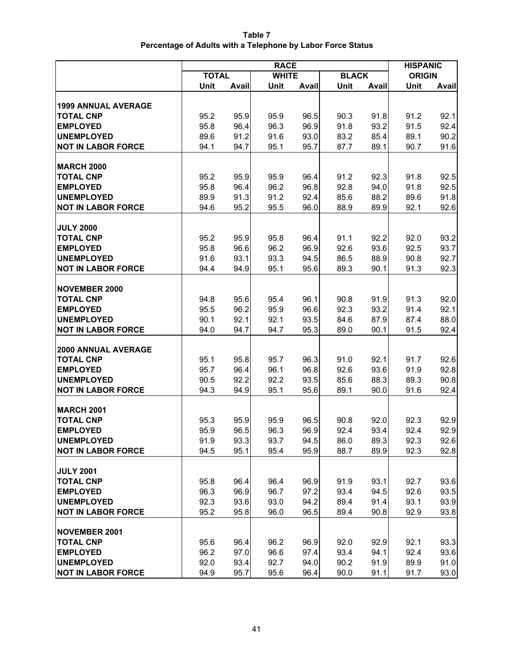| Table 7                                                     |  |
|-------------------------------------------------------------|--|
| Percentage of Adults with a Telephone by Labor Force Status |  |

|                                                |              | <b>HISPANIC</b> |              |              |              |              |               |              |
|------------------------------------------------|--------------|-----------------|--------------|--------------|--------------|--------------|---------------|--------------|
|                                                | <b>TOTAL</b> |                 | <b>WHITE</b> |              | <b>BLACK</b> |              | <b>ORIGIN</b> |              |
|                                                | Unit         | Avail           | Unit         | Avail        | Unit         | Avail        | Unit          | <b>Avail</b> |
|                                                |              |                 |              |              |              |              |               |              |
| <b>1999 ANNUAL AVERAGE</b><br><b>TOTAL CNP</b> | 95.2         | 95.9            | 95.9         | 96.5         | 90.3         | 91.8         | 91.2          | 92.1         |
| <b>EMPLOYED</b>                                | 95.8         | 96.4            | 96.3         | 96.9         | 91.8         | 93.2         | 91.5          | 92.4         |
| <b>UNEMPLOYED</b>                              | 89.6         | 91.2            | 91.6         | 93.0         | 83.2         | 85.4         | 89.1          | 90.2         |
| <b>NOT IN LABOR FORCE</b>                      | 94.1         | 94.7            | 95.1         | 95.7         | 87.7         | 89.1         | 90.7          | 91.6         |
|                                                |              |                 |              |              |              |              |               |              |
| <b>MARCH 2000</b>                              |              |                 |              |              |              |              |               |              |
| <b>TOTAL CNP</b>                               | 95.2         | 95.9            | 95.9         | 96.4         | 91.2         | 92.3         | 91.8          | 92.5         |
| <b>EMPLOYED</b>                                | 95.8         | 96.4            | 96.2         | 96.8         | 92.8         | 94.0         | 91.8          | 92.5         |
| <b>UNEMPLOYED</b>                              | 89.9         | 91.3            | 91.2         | 92.4         | 85.6         | 88.2         | 89.6          | 91.8         |
| <b>NOT IN LABOR FORCE</b>                      | 94.6         | 95.2            | 95.5         | 96.0         | 88.9         | 89.9         | 92.1          | 92.6         |
|                                                |              |                 |              |              |              |              |               |              |
| <b>JULY 2000</b>                               |              |                 |              |              |              |              |               |              |
| <b>TOTAL CNP</b>                               | 95.2         | 95.9            | 95.8         | 96.4         | 91.1         | 92.2         | 92.0          | 93.2         |
| <b>EMPLOYED</b>                                | 95.8         | 96.6            | 96.2         | 96.9         | 92.6         | 93.6         | 92.5          | 93.7         |
| <b>UNEMPLOYED</b>                              | 91.6         | 93.1            | 93.3         | 94.5         | 86.5         | 88.9         | 90.8          | 92.7         |
| <b>NOT IN LABOR FORCE</b>                      | 94.4         | 94.9            | 95.1         | 95.6         | 89.3         | 90.1         | 91.3          | 92.3         |
|                                                |              |                 |              |              |              |              |               |              |
| <b>NOVEMBER 2000</b>                           |              |                 |              |              |              |              |               |              |
| <b>TOTAL CNP</b>                               | 94.8         | 95.6            | 95.4         | 96.1         | 90.8         | 91.9         | 91.3          | 92.0         |
| <b>EMPLOYED</b>                                | 95.5         | 96.2            | 95.9         | 96.6         | 92.3         | 93.2         | 91.4          | 92.1         |
| <b>UNEMPLOYED</b>                              | 90.1         | 92.1            | 92.1         | 93.5         | 84.6         | 87.9         | 87.4          | 88.0         |
| <b>NOT IN LABOR FORCE</b>                      | 94.0         | 94.7            | 94.7         | 95.3         | 89.0         | 90.1         | 91.5          | 92.4         |
|                                                |              |                 |              |              |              |              |               |              |
| <b>2000 ANNUAL AVERAGE</b>                     |              |                 |              |              |              |              |               |              |
| <b>TOTAL CNP</b>                               | 95.1         | 95.8            | 95.7         | 96.3         | 91.0         | 92.1         | 91.7          | 92.6         |
| <b>EMPLOYED</b><br><b>UNEMPLOYED</b>           | 95.7<br>90.5 | 96.4            | 96.1<br>92.2 | 96.8<br>93.5 | 92.6         | 93.6<br>88.3 | 91.9          | 92.8         |
| <b>NOT IN LABOR FORCE</b>                      | 94.3         | 92.2            | 95.1         | 95.6         | 85.6<br>89.1 | 90.0         | 89.3          | 90.8         |
|                                                |              | 94.9            |              |              |              |              | 91.6          | 92.4         |
| <b>MARCH 2001</b>                              |              |                 |              |              |              |              |               |              |
| <b>TOTAL CNP</b>                               | 95.3         | 95.9            | 95.9         | 96.5         | 90.8         | 92.0         | 92.3          | 92.9         |
| <b>EMPLOYED</b>                                | 95.9         | 96.5            | 96.3         | 96.9         | 92.4         | 93.4         | 92.4          | 92.9         |
| <b>UNEMPLOYED</b>                              | 91.9         | 93.3            | 93.7         | 94.5         | 86.0         | 89.3         | 92.3          | 92.6         |
| <b>NOT IN LABOR FORCE</b>                      | 94.5         | 95.1            | 95.4         | 95.9         | 88.7         | 89.9         | 92.3          | 92.8         |
|                                                |              |                 |              |              |              |              |               |              |
| <b>JULY 2001</b>                               |              |                 |              |              |              |              |               |              |
| <b>TOTAL CNP</b>                               | 95.8         | 96.4            | 96.4         | 96.9         | 91.9         | 93.1         | 92.7          | 93.6         |
| <b>EMPLOYED</b>                                | 96.3         | 96.9            | 96.7         | 97.2         | 93.4         | 94.5         | 92.6          | 93.5         |
| <b>UNEMPLOYED</b>                              | 92.3         | 93.6            | 93.0         | 94.2         | 89.4         | 91.4         | 93.1          | 93.9         |
| <b>NOT IN LABOR FORCE</b>                      | 95.2         | 95.8            | 96.0         | 96.5         | 89.4         | 90.8         | 92.9          | 93.8         |
|                                                |              |                 |              |              |              |              |               |              |
| <b>NOVEMBER 2001</b>                           |              |                 |              |              |              |              |               |              |
| <b>TOTAL CNP</b>                               | 95.6         | 96.4            | 96.2         | 96.9         | 92.0         | 92.9         | 92.1          | 93.3         |
| <b>EMPLOYED</b>                                | 96.2         | 97.0            | 96.6         | 97.4         | 93.4         | 94.1         | 92.4          | 93.6         |
| <b>UNEMPLOYED</b>                              | 92.0         | 93.4            | 92.7         | 94.0         | 90.2         | 91.9         | 89.9          | 91.0         |
| <b>NOT IN LABOR FORCE</b>                      | 94.9         | 95.7            | 95.6         | 96.4         | 90.0         | 91.1         | 91.7          | 93.0         |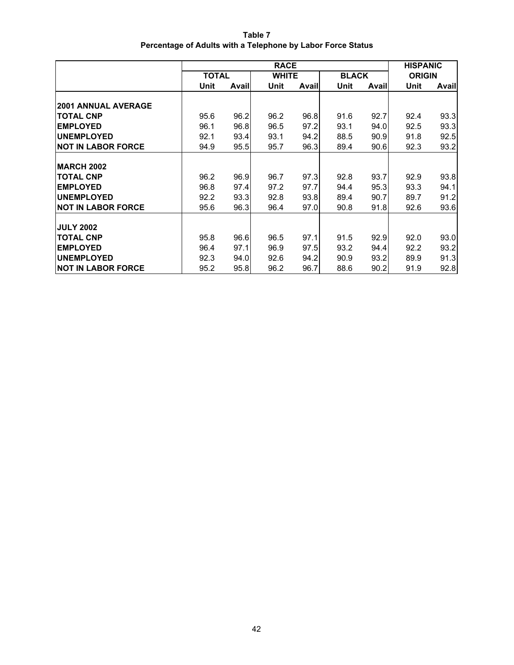| Table 7                                                     |
|-------------------------------------------------------------|
| Percentage of Adults with a Telephone by Labor Force Status |

|                            | <b>RACE</b>  |       |              |       |              |       | <b>HISPANIC</b> |       |  |
|----------------------------|--------------|-------|--------------|-------|--------------|-------|-----------------|-------|--|
|                            | <b>TOTAL</b> |       | <b>WHITE</b> |       | <b>BLACK</b> |       | <b>ORIGIN</b>   |       |  |
|                            | Unit         | Avail | Unit         | Avail | Unit         | Avail | Unit            | Avail |  |
|                            |              |       |              |       |              |       |                 |       |  |
| <b>2001 ANNUAL AVERAGE</b> |              |       |              |       |              |       |                 |       |  |
| <b>TOTAL CNP</b>           | 95.6         | 96.2  | 96.2         | 96.8  | 91.6         | 92.7  | 92.4            | 93.3  |  |
| <b>EMPLOYED</b>            | 96.1         | 96.8  | 96.5         | 97.2  | 93.1         | 94.0  | 92.5            | 93.3  |  |
| <b>UNEMPLOYED</b>          | 92.1         | 93.4  | 93.1         | 94.2  | 88.5         | 90.9  | 91.8            | 92.5  |  |
| <b>NOT IN LABOR FORCE</b>  | 94.9         | 95.5  | 95.7         | 96.3  | 89.4         | 90.6  | 92.3            | 93.2  |  |
|                            |              |       |              |       |              |       |                 |       |  |
| <b>MARCH 2002</b>          |              |       |              |       |              |       |                 |       |  |
| <b>TOTAL CNP</b>           | 96.2         | 96.9  | 96.7         | 97.3  | 92.8         | 93.7  | 92.9            | 93.8  |  |
| <b>EMPLOYED</b>            | 96.8         | 97.4  | 97.2         | 97.7  | 94.4         | 95.3  | 93.3            | 94.1  |  |
| <b>UNEMPLOYED</b>          | 92.2         | 93.3  | 92.8         | 93.8  | 89.4         | 90.7  | 89.7            | 91.2  |  |
| <b>NOT IN LABOR FORCE</b>  | 95.6         | 96.3  | 96.4         | 97.0  | 90.8         | 91.8  | 92.6            | 93.6  |  |
|                            |              |       |              |       |              |       |                 |       |  |
| <b>JULY 2002</b>           |              |       |              |       |              |       |                 |       |  |
| <b>TOTAL CNP</b>           | 95.8         | 96.6  | 96.5         | 97.1  | 91.5         | 92.9  | 92.0            | 93.0  |  |
| <b>EMPLOYED</b>            | 96.4         | 97.1  | 96.9         | 97.5  | 93.2         | 94.4  | 92.2            | 93.2  |  |
| <b>UNEMPLOYED</b>          | 92.3         | 94.0  | 92.6         | 94.2  | 90.9         | 93.2  | 89.9            | 91.3  |  |
| <b>NOT IN LABOR FORCE</b>  | 95.2         | 95.8  | 96.2         | 96.7  | 88.6         | 90.2  | 91.9            | 92.8  |  |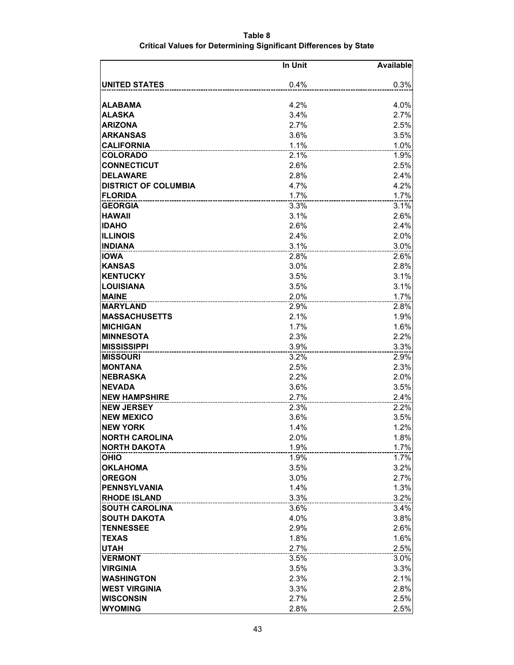|                             | In Unit | <b>Available</b> |
|-----------------------------|---------|------------------|
| <b>UNITED STATES</b>        | 0.4%    | 0.3%             |
|                             |         |                  |
| ALABAMA                     | 4.2%    | 4.0%             |
| <b>ALASKA</b>               | 3.4%    | 2.7%             |
| <b>ARIZONA</b>              | 2.7%    | 2.5%             |
| <b>ARKANSAS</b>             | 3.6%    | 3.5%             |
| <b>CALIFORNIA</b>           | 1.1%    | 1.0%             |
| <b>COLORADO</b>             | 2.1%    | 1.9%             |
| <b>CONNECTICUT</b>          | 2.6%    | 2.5%             |
| <b>DELAWARE</b>             | 2.8%    | 2.4%             |
| <b>DISTRICT OF COLUMBIA</b> | 4.7%    | 4.2%             |
| <b>FLORIDA</b>              | 1.7%    | 1.7%             |
| <b>GEORGIA</b>              | 3.3%    | 3.1%             |
| <b>HAWAII</b>               | 3.1%    | 2.6%             |
| <b>IDAHO</b>                | 2.6%    | 2.4%             |
| <b>ILLINOIS</b>             | 2.4%    | 2.0%             |
| <b>INDIANA</b>              | 3.1%    | 3.0%             |
| <b>IOWA</b>                 | 2.8%    | 2.6%             |
| <b>KANSAS</b>               | 3.0%    | 2.8%             |
| <b>KENTUCKY</b>             | 3.5%    | 3.1%             |
| <b>LOUISIANA</b>            | 3.5%    | 3.1%             |
| <b>MAINE</b>                | 2.0%    | 1.7%             |
| <b>MARYLAND</b>             | 2.9%    | 2.8%             |
| <b>MASSACHUSETTS</b>        | 2.1%    | 1.9%             |
| <b>MICHIGAN</b>             | 1.7%    | 1.6%             |
| <b>MINNESOTA</b>            | 2.3%    | 2.2%             |
| <b>MISSISSIPPI</b>          | 3.9%    | 3.3%             |
| <b>MISSOURI</b>             | 3.2%    | 2.9%             |
| <b>MONTANA</b>              | 2.5%    | 2.3%             |
| <b>NEBRASKA</b>             | 2.2%    | 2.0%             |
| <b>NEVADA</b>               | 3.6%    | 3.5%             |
| <b>NEW HAMPSHIRE</b>        | 2.7%    | 2.4%             |
| <b>NEW JERSEY</b>           | 2.3%    | 2.2%             |
| <b>NEW MEXICO</b>           | 3.6%    | 3.5%             |
| <b>NEW YORK</b>             | 1.4%    | 1.2%             |
| <b>NORTH CAROLINA</b>       | 2.0%    | 1.8%             |
| <b>NORTH DAKOTA</b>         | 1.9%    | 1.7%             |
| <b>OHIO</b>                 | 1.9%    | 1.7%             |
| <b>OKLAHOMA</b>             | 3.5%    | 3.2%             |
| <b>OREGON</b>               | 3.0%    | 2.7%             |
| <b>PENNSYLVANIA</b>         | 1.4%    | 1.3%             |
| <b>RHODE ISLAND</b>         | 3.3%    | 3.2%             |
| <b>SOUTH CAROLINA</b>       | 3.6%    | 3.4%             |
| <b>SOUTH DAKOTA</b>         | 4.0%    | 3.8%             |
| <b>TENNESSEE</b>            | 2.9%    | 2.6%             |
| <b>TEXAS</b>                | 1.8%    | 1.6%             |
| <b>UTAH</b>                 | 2.7%    | 2.5%             |
| <b>VERMONT</b>              | 3.5%    | 3.0%             |
| <b>VIRGINIA</b>             | 3.5%    | 3.3%             |
| <b>WASHINGTON</b>           | 2.3%    | 2.1%             |
| <b>WEST VIRGINIA</b>        | 3.3%    | 2.8%             |
| <b>WISCONSIN</b>            | 2.7%    | 2.5%             |
| <b>WYOMING</b>              | 2.8%    | 2.5%             |

#### **Table 8 Critical Values for Determining Significant Differences by State**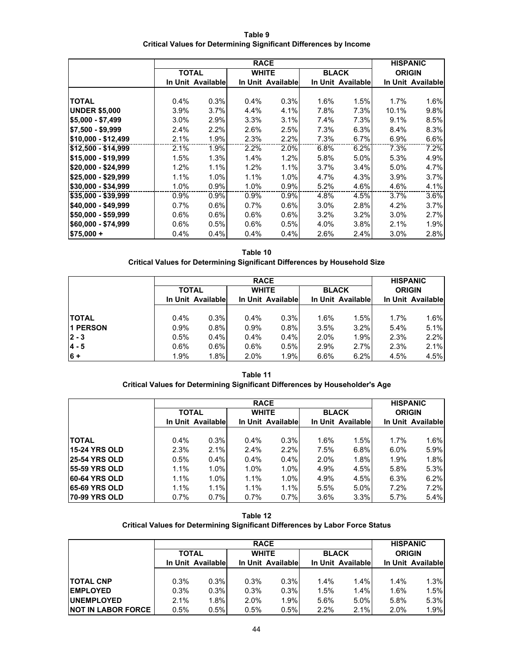**Table 9 Critical Values for Determining Significant Differences by Income**

|                      | <b>RACE</b>  |                   |         |                   |      |                   |               | <b>HISPANIC</b>   |
|----------------------|--------------|-------------------|---------|-------------------|------|-------------------|---------------|-------------------|
|                      | <b>TOTAL</b> |                   |         | <b>WHITE</b>      |      | <b>BLACK</b>      | <b>ORIGIN</b> |                   |
|                      |              | In Unit Available |         | In Unit Available |      | In Unit Available |               | In Unit Available |
|                      |              |                   |         |                   |      |                   |               |                   |
| <b>TOTAL</b>         | 0.4%         | 0.3%              | 0.4%    | 0.3%              | 1.6% | 1.5%              | 1.7%          | 1.6%              |
| <b>UNDER \$5,000</b> | 3.9%         | 3.7%              | 4.4%    | 4.1%              | 7.8% | 7.3%              | 10.1%         | 9.8%              |
| $$5,000 - $7,499$    | $3.0\%$      | 2.9%              | $3.3\%$ | 3.1%              | 7.4% | 7.3%              | 9.1%          | 8.5%              |
| $$7,500 - $9,999$    | 2.4%         | 2.2%              | 2.6%    | 2.5%              | 7.3% | 6.3%              | 8.4%          | 8.3%              |
| \$10,000 - \$12,499  | 2.1%         | 1.9%              | 2.3%    | 2.2%              | 7.3% | 6.7%              | 6.9%          | 6.6%              |
| \$12,500 - \$14,999  | 2.1%         | 1.9%              | 2.2%    | 2.0%              | 6.8% | 6.2%              | 7.3%          | 7.2%              |
| \$15,000 - \$19,999  | 1.5%         | 1.3%              | 1.4%    | 1.2%              | 5.8% | 5.0%              | 5.3%          | 4.9%              |
| \$20,000 - \$24,999  | 1.2%         | 1.1%              | 1.2%    | 1.1%              | 3.7% | 3.4%              | 5.0%          | 4.7%              |
| \$25,000 - \$29,999  | 1.1%         | 1.0%              | 1.1%    | 1.0%              | 4.7% | 4.3%              | 3.9%          | 3.7%              |
| \$30,000 - \$34,999  | 1.0%         | 0.9%              | 1.0%    | 0.9%              | 5.2% | 4.6%              | 4.6%          | 4.1%              |
| \$35,000 - \$39,999  | 0.9%         | 0.9%              | 0.9%    | 0.9%              | 4.8% | 4.5%              | 3.7%          | 3.6%              |
| $$40,000 - $49,999$  | 0.7%         | $0.6\%$           | 0.7%    | $0.6\%$           | 3.0% | 2.8%              | 4.2%          | $3.7\%$           |
| \$50,000 - \$59,999  | 0.6%         | 0.6%              | $0.6\%$ | 0.6%              | 3.2% | 3.2%              | 3.0%          | 2.7%              |
| \$60,000 - \$74,999  | 0.6%         | 0.5%              | $0.6\%$ | 0.5%              | 4.0% | 3.8%              | 2.1%          | 1.9%              |
| $$75,000 +$          | 0.4%         | 0.4%              | $0.4\%$ | 0.4%              | 2.6% | 2.4%              | 3.0%          | 2.8%              |

**Table 10 Critical Values for Determining Significant Differences by Household Size**

|                 |                   | <b>RACE</b> |         |                   |      |                   |               |                   |
|-----------------|-------------------|-------------|---------|-------------------|------|-------------------|---------------|-------------------|
|                 | <b>TOTAL</b>      |             |         | <b>WHITE</b>      |      | <b>BLACK</b>      | <b>ORIGIN</b> |                   |
|                 | In Unit Available |             |         | In Unit Available |      | In Unit Available |               | In Unit Available |
|                 |                   |             |         |                   |      |                   |               |                   |
| <b>TOTAL</b>    | 0.4%              | 0.3%        | $0.4\%$ | 0.3%              | 1.6% | 1.5%              | 1.7%          | 1.6%              |
| <b>1 PERSON</b> | 0.9%              | 0.8%        | 0.9%    | 0.8%              | 3.5% | 3.2%              | 5.4%          | 5.1%              |
| $2 - 3$         | 0.5%              | 0.4%        | 0.4%    | 0.4%              | 2.0% | 1.9%              | 2.3%          | 2.2%              |
| $14 - 5$        | 0.6%              | $0.6\%$     | 0.6%    | 0.5%              | 2.9% | 2.7%              | 2.3%          | 2.1%              |
| $6 +$           | 1.9%              | 1.8%        | 2.0%    | 1.9%              | 6.6% | 6.2%              | 4.5%          | 4.5%              |

**Table 11 Critical Values for Determining Significant Differences by Householder's Age**

|                      | <b>RACE</b>       |              |      |                   |      |                   |               | <b>HISPANIC</b>   |
|----------------------|-------------------|--------------|------|-------------------|------|-------------------|---------------|-------------------|
|                      |                   | <b>TOTAL</b> |      | <b>WHITE</b>      |      | <b>BLACK</b>      | <b>ORIGIN</b> |                   |
|                      | In Unit Available |              |      | In Unit Available |      | In Unit Available |               | In Unit Available |
|                      |                   |              |      |                   |      |                   |               |                   |
| <b>TOTAL</b>         | 0.4%              | 0.3%         | 0.4% | 0.3%              | 1.6% | 1.5%              | 1.7%          | 1.6%              |
| <b>15-24 YRS OLD</b> | 2.3%              | 2.1%         | 2.4% | 2.2%              | 7.5% | 6.8%              | 6.0%          | 5.9%              |
| <b>25-54 YRS OLD</b> | 0.5%              | 0.4%         | 0.4% | 0.4%              | 2.0% | 1.8%              | 1.9%          | 1.8%              |
| <b>55-59 YRS OLD</b> | 1.1%              | 1.0%         | 1.0% | 1.0%              | 4.9% | 4.5%              | 5.8%          | 5.3%              |
| <b>60-64 YRS OLD</b> | 1.1%              | 1.0%         | 1.1% | 1.0%              | 4.9% | 4.5%              | 6.3%          | 6.2%              |
| <b>65-69 YRS OLD</b> | 1.1%              | 1.1%         | 1.1% | 1.1%              | 5.5% | 5.0%              | 7.2%          | 7.2%              |
| <b>70-99 YRS OLD</b> | 0.7%              | 0.7%         | 0.7% | 0.7%              | 3.6% | 3.3%              | 5.7%          | 5.4%              |

| Table 12                                                                      |
|-------------------------------------------------------------------------------|
| Critical Values for Determining Significant Differences by Labor Force Status |

|                           |                   | <b>RACE</b> |                   |              |                   |              |               |                   |
|---------------------------|-------------------|-------------|-------------------|--------------|-------------------|--------------|---------------|-------------------|
|                           | <b>TOTAL</b>      |             |                   | <b>WHITE</b> |                   | <b>BLACK</b> | <b>ORIGIN</b> |                   |
|                           | In Unit Available |             | In Unit Available |              | In Unit Available |              |               | In Unit Available |
|                           |                   |             |                   |              |                   |              |               |                   |
| <b>TOTAL CNP</b>          | 0.3%              | 0.3%        | 0.3%              | 0.3%         | $1.4\%$           | 1.4%         | $1.4\%$       | 1.3%              |
| <b>EMPLOYED</b>           | 0.3%              | 0.3%        | 0.3%              | 0.3%         | 1.5%              | 1.4%         | 1.6%          | 1.5%              |
| <b>UNEMPLOYED</b>         | 2.1%              | 1.8%        | 2.0%              | 1.9%         | 5.6%              | 5.0%         | 5.8%          | 5.3%              |
| <b>NOT IN LABOR FORCE</b> | 0.5%              | 0.5%        | 0.5%              | $0.5\%$      | 2.2%              | 2.1%         | 2.0%          | 1.9%              |